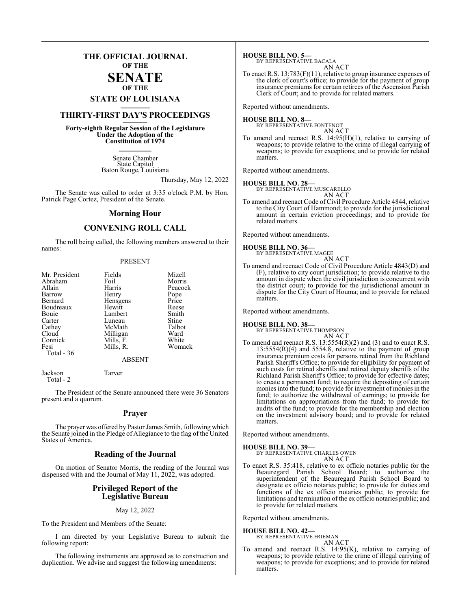## **THE OFFICIAL JOURNAL OF THE**

### **SENATE OF THE**

# **STATE OF LOUISIANA \_\_\_\_\_\_\_**

## **THIRTY-FIRST DAY'S PROCEEDINGS \_\_\_\_\_\_\_**

**Forty-eighth Regular Session of the Legislature Under the Adoption of the Constitution of 1974 \_\_\_\_\_\_\_**

> Senate Chamber State Capitol Baton Rouge, Louisiana

> > Thursday, May 12, 2022

The Senate was called to order at 3:35 o'clock P.M. by Hon. Patrick Page Cortez, President of the Senate.

#### **Morning Hour**

## **CONVENING ROLL CALL**

The roll being called, the following members answered to their names:

#### PRESENT

| Mr. President | Fields    | Mizell  |
|---------------|-----------|---------|
| Abraham       | Foil      | Morris  |
| Allain        | Harris    | Peacock |
| Barrow        | Henry     | Pope    |
| Bernard       | Hensgens  | Price   |
| Boudreaux     | Hewitt    | Reese   |
| Bouie         | Lambert   | Smith   |
| Carter        | Luneau    | Stine   |
| Cathey        | McMath    | Talbot  |
| Cloud         | Milligan  | Ward    |
| Connick       | Mills, F. | White   |
| Fesi          | Mills, R. | Womack  |
| Total - 36    |           |         |
|               | 1.72777   |         |

#### ABSENT

Jackson Tarver Total - 2

The President of the Senate announced there were 36 Senators present and a quorum.

#### **Prayer**

The prayer was offered by Pastor James Smith, following which the Senate joined in the Pledge of Allegiance to the flag of the United States of America.

#### **Reading of the Journal**

On motion of Senator Morris, the reading of the Journal was dispensed with and the Journal of May 11, 2022, was adopted.

#### **Privileged Report of the Legislative Bureau**

#### May 12, 2022

To the President and Members of the Senate:

I am directed by your Legislative Bureau to submit the following report:

The following instruments are approved as to construction and duplication. We advise and suggest the following amendments:

**HOUSE BILL NO. 5—** BY REPRESENTATIVE BACALA

AN ACT To enact R.S. 13:783(F)(11), relative to group insurance expenses of the clerk of court's office; to provide for the payment of group insurance premiums for certain retirees of the Ascension Parish Clerk of Court; and to provide for related matters.

Reported without amendments.

#### **HOUSE BILL NO. 8—**

BY REPRESENTATIVE FONTENOT AN ACT

To amend and reenact R.S. 14:95(H)(1), relative to carrying of weapons; to provide relative to the crime of illegal carrying of weapons; to provide for exceptions; and to provide for related matters.

Reported without amendments.

### **HOUSE BILL NO. 28—**

BY REPRESENTATIVE MUSCARELLO AN ACT

To amend and reenact Code of Civil Procedure Article 4844, relative to the City Court of Hammond; to provide for the jurisdictional amount in certain eviction proceedings; and to provide for related matters.

Reported without amendments.

**HOUSE BILL NO. 36—** BY REPRESENTATIVE MAGEE

AN ACT

To amend and reenact Code of Civil Procedure Article 4843(D) and (F), relative to city court jurisdiction; to provide relative to the amount in dispute when the civil jurisdiction is concurrent with the district court; to provide for the jurisdictional amount in dispute for the City Court of Houma; and to provide for related matters.

Reported without amendments.

#### **HOUSE BILL NO. 38—** BY REPRESENTATIVE THOMPSON

AN ACT

To amend and reenact R.S. 13:5554(R)(2) and (3) and to enact R.S.  $13:5554(R)(4)$  and  $5554.8$ , relative to the payment of group insurance premium costs for persons retired from the Richland Parish Sheriff's Office; to provide for eligibility for payment of such costs for retired sheriffs and retired deputy sheriffs of the Richland Parish Sheriff's Office; to provide for effective dates; to create a permanent fund; to require the depositing of certain monies into the fund; to provide for investment of monies in the fund; to authorize the withdrawal of earnings; to provide for limitations on appropriations from the fund; to provide for audits of the fund; to provide for the membership and election on the investment advisory board; and to provide for related matters.

Reported without amendments.

## **HOUSE BILL NO. 39—** BY REPRESENTATIVE CHARLES OWEN

AN ACT

To enact R.S. 35:418, relative to ex officio notaries public for the Beauregard Parish School Board; to authorize the superintendent of the Beauregard Parish School Board to designate ex officio notaries public; to provide for duties and functions of the ex officio notaries public; to provide for limitations and termination of the ex officio notaries public; and to provide for related matters.

Reported without amendments.

**HOUSE BILL NO. 42—** BY REPRESENTATIVE FRIEMAN AN ACT

To amend and reenact R.S. 14:95(K), relative to carrying of weapons; to provide relative to the crime of illegal carrying of weapons; to provide for exceptions; and to provide for related matters.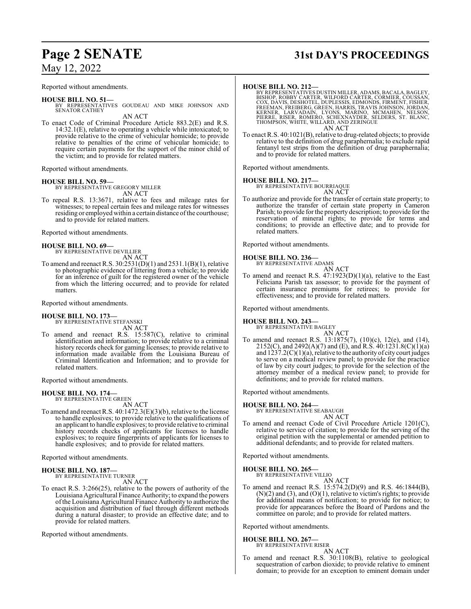## May 12, 2022

Reported without amendments.

#### **HOUSE BILL NO. 51—** BY REPRESENTATIVES GOUDEAU AND MIKE JOHNSON AND SENATOR CATHEY AN ACT

To enact Code of Criminal Procedure Article 883.2(E) and R.S. 14:32.1(E), relative to operating a vehicle while intoxicated; to provide relative to the crime of vehicular homicide; to provide relative to penalties of the crime of vehicular homicide; to require certain payments for the support of the minor child of the victim; and to provide for related matters.

Reported without amendments.

#### **HOUSE BILL NO. 59—**

BY REPRESENTATIVE GREGORY MILLER AN ACT

To repeal R.S. 13:3671, relative to fees and mileage rates for witnesses; to repeal certain fees and mileage rates for witnesses residing or employed within a certain distance of the courthouse; and to provide for related matters.

Reported without amendments.

#### **HOUSE BILL NO. 69—**

BY REPRESENTATIVE DEVILLIER AN ACT

To amend and reenact R.S. 30:2531(D)(1) and 2531.1(B)(1), relative to photographic evidence of littering from a vehicle; to provide for an inference of guilt for the registered owner of the vehicle from which the littering occurred; and to provide for related matters.

Reported without amendments.

## **HOUSE BILL NO. 173—**

BY REPRESENTATIVE STEFANSKI AN ACT

To amend and reenact R.S. 15:587(C), relative to criminal identification and information; to provide relative to a criminal history records check for gaming licenses; to provide relative to information made available from the Louisiana Bureau of Criminal Identification and Information; and to provide for related matters.

Reported without amendments.

#### **HOUSE BILL NO. 174—**

BY REPRESENTATIVE GREEN AN ACT

To amend and reenact R.S. 40:1472.3(E)(3)(b), relative to the license to handle explosives; to provide relative to the qualifications of an applicant to handle explosives; to provide relative to criminal history records checks of applicants for licenses to handle explosives; to require fingerprints of applicants for licenses to handle explosives; and to provide for related matters.

Reported without amendments.

#### **HOUSE BILL NO. 187—**

BY REPRESENTATIVE TURNER AN ACT

To enact R.S. 3:266(25), relative to the powers of authority of the Louisiana Agricultural Finance Authority; to expand the powers ofthe Louisiana Agricultural Finance Authority to authorize the acquisition and distribution of fuel through different methods during a natural disaster; to provide an effective date; and to provide for related matters.

Reported without amendments.

# **Page 2 SENATE 31st DAY'S PROCEEDINGS**

#### **HOUSE BILL NO. 212—**

BY REPRESENTATIVES DUSTIN MILLER, ADAMS, BACALA, BAGLEY,<br>BISHOP, ROBBY CARTER, WILFORD CARTER, CORMIER, COUSAN,<br>COX, DAVIS, DESHOTEL, DUPLESSIS, EDMONDS, FIRMENT, FISHER,<br>FREEMAN, FREIBERG, GREEN, HARRIS, TRAVIS JOHNSON, J AN ACT

To enact R.S. 40:1021(B), relative to drug-related objects; to provide relative to the definition of drug paraphernalia; to exclude rapid fentanyl test strips from the definition of drug paraphernalia; and to provide for related matters.

Reported without amendments.

#### **HOUSE BILL NO. 217—**

BY REPRESENTATIVE BOURRIAQUE

AN ACT To authorize and provide for the transfer of certain state property; to authorize the transfer of certain state property in Cameron Parish; to provide for the property description; to provide for the reservation of mineral rights; to provide for terms and conditions; to provide an effective date; and to provide for related matters.

Reported without amendments.

#### **HOUSE BILL NO. 236—**

BY REPRESENTATIVE ADAMS

AN ACT To amend and reenact R.S. 47:1923(D)(1)(a), relative to the East Feliciana Parish tax assessor; to provide for the payment of certain insurance premiums for retirees; to provide for effectiveness; and to provide for related matters.

Reported without amendments.

### **HOUSE BILL NO. 243—**

## BY REPRESENTATIVE BAGLEY

AN ACT To amend and reenact R.S. 13:1875(7), (10)(c), 12(e), and (14), 2152(C), and 2492(A)(7) and (E), and R.S. 40:1231.8(C)(1)(a) and  $1237.2(C)(1)(a)$ , relative to the authority of city court judges to serve on a medical review panel; to provide for the practice of law by city court judges; to provide for the selection of the attorney member of a medical review panel; to provide for definitions; and to provide for related matters.

Reported without amendments.

## **HOUSE BILL NO. 264—**

BY REPRESENTATIVE SEABAUGH AN ACT

To amend and reenact Code of Civil Procedure Article 1201(C), relative to service of citation; to provide for the serving of the original petition with the supplemental or amended petition to additional defendants; and to provide for related matters.

Reported without amendments.

#### **HOUSE BILL NO. 265—**

BY REPRESENTATIVE VILLIO AN ACT

To amend and reenact R.S. 15:574.2(D)(9) and R.S. 46:1844(B),  $(N)(2)$  and  $(3)$ , and  $(0)(1)$ , relative to victim's rights; to provide for additional means of notification; to provide for notice; to provide for appearances before the Board of Pardons and the committee on parole; and to provide for related matters.

Reported without amendments.

#### **HOUSE BILL NO. 267—**

BY REPRESENTATIVE RISER AN ACT

To amend and reenact R.S. 30:1108(B), relative to geological sequestration of carbon dioxide; to provide relative to eminent domain; to provide for an exception to eminent domain under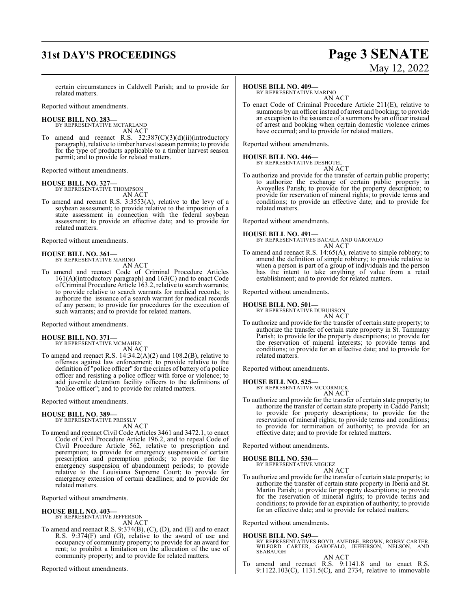# **31st DAY'S PROCEEDINGS Page 3 SENATE**

# May 12, 2022

certain circumstances in Caldwell Parish; and to provide for related matters.

Reported without amendments.

#### **HOUSE BILL NO. 283—**

BY REPRESENTATIVE MCFARLAND AN ACT

To amend and reenact R.S. 32:387(C)(3)(d)(ii)(introductory paragraph), relative to timber harvest season permits; to provide for the type of products applicable to a timber harvest season permit; and to provide for related matters.

Reported without amendments.

## **HOUSE BILL NO. 327—** BY REPRESENTATIVE THOMPSON

AN ACT

To amend and reenact R.S. 3:3553(A), relative to the levy of a soybean assessment; to provide relative to the imposition of a state assessment in connection with the federal soybean assessment; to provide an effective date; and to provide for related matters.

Reported without amendments.

#### **HOUSE BILL NO. 361—** BY REPRESENTATIVE MARINO

AN ACT

To amend and reenact Code of Criminal Procedure Articles 161(A)(introductory paragraph) and 163(C) and to enact Code ofCriminal Procedure Article 163.2, relative to search warrants; to provide relative to search warrants for medical records; to authorize the issuance of a search warrant for medical records of any person; to provide for procedures for the execution of such warrants; and to provide for related matters.

Reported without amendments.

#### **HOUSE BILL NO. 371—** BY REPRESENTATIVE MCMAHEN

AN ACT

To amend and reenact R.S. 14:34.2(A)(2) and 108.2(B), relative to offenses against law enforcement; to provide relative to the definition of "police officer" for the crimes of battery of a police officer and resisting a police officer with force or violence; to add juvenile detention facility officers to the definitions of "police officer"; and to provide for related matters.

#### Reported without amendments.

#### **HOUSE BILL NO. 389—** BY REPRESENTATIVE PRESSLY

AN ACT

To amend and reenact Civil Code Articles 3461 and 3472.1, to enact Code of Civil Procedure Article 196.2, and to repeal Code of Civil Procedure Article 562, relative to prescription and peremption; to provide for emergency suspension of certain prescription and peremption periods; to provide for the emergency suspension of abandonment periods; to provide relative to the Louisiana Supreme Court; to provide for emergency extension of certain deadlines; and to provide for related matters.

Reported without amendments.

#### **HOUSE BILL NO. 403—**

BY REPRESENTATIVE JEFFERSON AN ACT

To amend and reenact R.S. 9:374(B), (C), (D), and (E) and to enact R.S. 9:374(F) and (G), relative to the award of use and occupancy of community property; to provide for an award for rent; to prohibit a limitation on the allocation of the use of community property; and to provide for related matters.

Reported without amendments.

#### **HOUSE BILL NO. 409—**

BY REPRESENTATIVE MARINO AN ACT

To enact Code of Criminal Procedure Article 211(E), relative to summons by an officer instead of arrest and booking; to provide an exception to the issuance of a summons by an officer instead of arrest and booking when certain domestic violence crimes have occurred; and to provide for related matters.

Reported without amendments.

# **HOUSE BILL NO. 446—** BY REPRESENTATIVE DESHOTEL

AN ACT To authorize and provide for the transfer of certain public property; to authorize the exchange of certain public property in Avoyelles Parish; to provide for the property description; to provide for reservation of mineral rights; to provide terms and conditions; to provide an effective date; and to provide for related matters.

Reported without amendments.

**HOUSE BILL NO. 491—** BY REPRESENTATIVES BACALA AND GAROFALO AN ACT

To amend and reenact R.S. 14:65(A), relative to simple robbery; to amend the definition of simple robbery; to provide relative to when a person is part of a group of individuals and the person has the intent to take anything of value from a retail establishment; and to provide for related matters.

Reported without amendments.

#### **HOUSE BILL NO. 501—**

BY REPRESENTATIVE DUBUISSON AN ACT

To authorize and provide for the transfer of certain state property; to authorize the transfer of certain state property in St. Tammany Parish; to provide for the property descriptions; to provide for the reservation of mineral interests; to provide terms and conditions; to provide for an effective date; and to provide for related matters.

Reported without amendments.

#### **HOUSE BILL NO. 525—**

BY REPRESENTATIVE MCCORMICK

AN ACT To authorize and provide for the transfer of certain state property; to authorize the transfer of certain state property in Caddo Parish; to provide for property descriptions; to provide for the reservation of mineral rights; to provide terms and conditions; to provide for termination of authority; to provide for an effective date; and to provide for related matters.

Reported without amendments.

#### **HOUSE BILL NO. 530—**

BY REPRESENTATIVE MIGUEZ AN ACT

To authorize and provide for the transfer of certain state property; to authorize the transfer of certain state property in Iberia and St. Martin Parish; to provide for property descriptions; to provide for the reservation of mineral rights; to provide terms and conditions; to provide for an expiration of authority; to provide for an effective date; and to provide for related matters.

Reported without amendments.

#### **HOUSE BILL NO. 549—**

- BY REPRESENTATIVES BOYD, AMEDEE, BROWN, ROBBY CARTER, WILFORD CARTER, GAROFALO, JEFFERSON, NELSON, AND SEABAUGH
- AN ACT To amend and reenact R.S. 9:1141.8 and to enact R.S. 9:1122.103(C), 1131.5(C), and 2734, relative to immovable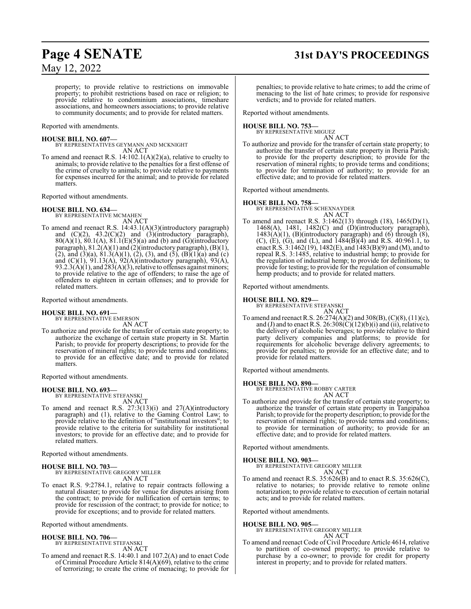# May 12, 2022

# **Page 4 SENATE 31st DAY'S PROCEEDINGS**

property; to provide relative to restrictions on immovable property; to prohibit restrictions based on race or religion; to provide relative to condominium associations, timeshare associations, and homeowners associations; to provide relative to community documents; and to provide for related matters.

Reported with amendments.

**HOUSE BILL NO. 607—** BY REPRESENTATIVES GEYMANN AND MCKNIGHT AN ACT

To amend and reenact R.S. 14:102.1(A)(2)(a), relative to cruelty to animals; to provide relative to the penalties for a first offense of the crime of cruelty to animals; to provide relative to payments for expenses incurred for the animal; and to provide for related matters.

Reported without amendments.

## **HOUSE BILL NO. 634—** BY REPRESENTATIVE MCMAHEN

AN ACT

To amend and reenact R.S. 14:43.1(A)(3)(introductory paragraph) and  $(C)(2)$ ,  $43.2(C)(2)$  and  $(3)(introductory)$  paragraph),  $80(A)(1)$ ,  $80.1(A)$ ,  $81.1(E)(5)(a)$  and (b) and (G)(introductory paragraph), 81.2(A)(1) and (2)(introductory paragraph), (B)(1), (2), and (3)(a),  $81.3(A)(1)$ , (2), (3), and (5), (B)(1)(a) and (c) and  $(C)(1)$ ,  $91.13(A)$ ,  $92(A)$ (introductory paragraph),  $93(A)$ ,  $93.2.3(A)(1)$ , and  $283(A)(3)$ , relative to offenses against minors; to provide relative to the age of offenders; to raise the age of offenders to eighteen in certain offenses; and to provide for related matters.

Reported without amendments.

## **HOUSE BILL NO. 691—** BY REPRESENTATIVE EMERSON

AN ACT

To authorize and provide for the transfer of certain state property; to authorize the exchange of certain state property in St. Martin Parish; to provide for property descriptions; to provide for the reservation of mineral rights; to provide terms and conditions; to provide for an effective date; and to provide for related matters.

Reported without amendments.

**HOUSE BILL NO. 693—** BY REPRESENTATIVE STEFANSKI

AN ACT

To amend and reenact R.S. 27:3(13)(i) and 27(A)(introductory paragraph) and (1), relative to the Gaming Control Law; to provide relative to the definition of "institutional investors"; to provide relative to the criteria for suitability for institutional investors; to provide for an effective date; and to provide for related matters.

Reported without amendments.

#### **HOUSE BILL NO. 703—** BY REPRESENTATIVE GREGORY MILLER AN ACT

To enact R.S. 9:2784.1, relative to repair contracts following a natural disaster; to provide for venue for disputes arising from the contract; to provide for nullification of certain terms; to provide for rescission of the contract; to provide for notice; to provide for exceptions; and to provide for related matters.

Reported without amendments.

#### **HOUSE BILL NO. 706—**

BY REPRESENTATIVE STEFANSKI AN ACT

To amend and reenact R.S. 14:40.1 and 107.2(A) and to enact Code of Criminal Procedure Article 814(A)(69), relative to the crime of terrorizing; to create the crime of menacing; to provide for penalties; to provide relative to hate crimes; to add the crime of menacing to the list of hate crimes; to provide for responsive verdicts; and to provide for related matters.

Reported without amendments.

## **HOUSE BILL NO. 753—** BY REPRESENTATIVE MIGUEZ

- AN ACT
- To authorize and provide for the transfer of certain state property; to authorize the transfer of certain state property in Iberia Parish; to provide for the property description; to provide for the reservation of mineral rights; to provide terms and conditions; to provide for termination of authority; to provide for an effective date; and to provide for related matters.

Reported without amendments.

#### **HOUSE BILL NO. 758—**

BY REPRESENTATIVE SCHEXNAYDER AN ACT

To amend and reenact R.S. 3:1462(13) through (18), 1465(D)(1), 1468(A), 1481, 1482(C) and (D)(introductory paragraph),  $1483(A)(1)$ , (B)(introductory paragraph) and (6) through (8), (C), (E), (G), and (L), and  $1484(B)(4)$  and R.S. 40:961.1, to enact R.S. 3:1462(19), 1482(E), and 1483(B)(9) and (M), and to repeal R.S. 3:1485, relative to industrial hemp; to provide for the regulation of industrial hemp; to provide for definitions; to provide for testing; to provide for the regulation of consumable hemp products; and to provide for related matters.

Reported without amendments.

#### **HOUSE BILL NO. 829—**

BY REPRESENTATIVE STEFANSKI

AN ACT To amend and reenact R.S. 26:274(A)(2) and 308(B), (C)(8), (11)(c), and (J) and to enact R.S.  $26:308(\tilde{C})(12)(b)(i)$  and (ii), relative to the delivery of alcoholic beverages; to provide relative to third party delivery companies and platforms; to provide for requirements for alcoholic beverage delivery agreements; to provide for penalties; to provide for an effective date; and to provide for related matters.

Reported without amendments.

**HOUSE BILL NO. 890—**

BY REPRESENTATIVE ROBBY CARTER

AN ACT To authorize and provide for the transfer of certain state property; to authorize the transfer of certain state property in Tangipahoa Parish; to provide for the property description; to provide for the reservation of mineral rights; to provide terms and conditions; to provide for termination of authority; to provide for an effective date; and to provide for related matters.

Reported without amendments.

#### **HOUSE BILL NO. 903—**

BY REPRESENTATIVE GREGORY MILLER AN ACT

To amend and reenact R.S. 35:626(B) and to enact R.S. 35:626(C), relative to notaries; to provide relative to remote online notarization; to provide relative to execution of certain notarial acts; and to provide for related matters.

Reported without amendments.

**HOUSE BILL NO. 905—** BY REPRESENTATIVE GREGORY MILLER AN ACT

To amend and reenact Code of Civil Procedure Article 4614, relative to partition of co-owned property; to provide relative to purchase by a co-owner; to provide for credit for property interest in property; and to provide for related matters.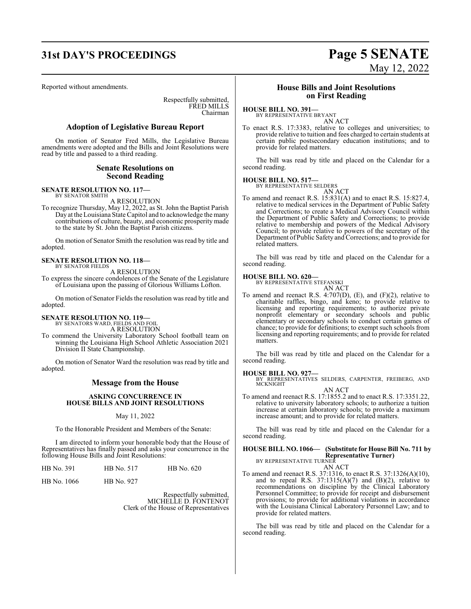# **31st DAY'S PROCEEDINGS Page 5 SENATE**

Reported without amendments.

Respectfully submitted, FRED MILLS Chairman

#### **Adoption of Legislative Bureau Report**

On motion of Senator Fred Mills, the Legislative Bureau amendments were adopted and the Bills and Joint Resolutions were read by title and passed to a third reading.

#### **Senate Resolutions on Second Reading**

**SENATE RESOLUTION NO. 117—**

BY SENATOR SMITH

A RESOLUTION

To recognize Thursday, May 12, 2022, as St. John the Baptist Parish Day at the Louisiana State Capitol and to acknowledge the many contributions of culture, beauty, and economic prosperity made to the state by St. John the Baptist Parish citizens.

On motion of Senator Smith the resolution was read by title and adopted.

#### **SENATE RESOLUTION NO. 118—** BY SENATOR FIELDS

A RESOLUTION

To express the sincere condolences of the Senate of the Legislature of Louisiana upon the passing of Glorious Williams Lofton.

On motion of Senator Fields the resolution was read by title and adopted.

# **SENATE RESOLUTION NO. 119—** BY SENATORS WARD, FIELDS AND FOIL

A RESOLUTION

To commend the University Laboratory School football team on winning the Louisiana High School Athletic Association 2021 Division II State Championship.

On motion of Senator Ward the resolution was read by title and adopted.

## **Message from the House**

#### **ASKING CONCURRENCE IN HOUSE BILLS AND JOINT RESOLUTIONS**

May 11, 2022

To the Honorable President and Members of the Senate:

I am directed to inform your honorable body that the House of Representatives has finally passed and asks your concurrence in the following House Bills and Joint Resolutions:

| HB No. 391 | HB No. 517 | HB No. 620 |
|------------|------------|------------|
|            |            |            |

HB No. 1066 HB No. 927

Respectfully submitted, MICHELLE D. FONTENOT Clerk of the House of Representatives

## **House Bills and Joint Resolutions on First Reading**

#### **HOUSE BILL NO. 391—**

BY REPRESENTATIVE BRYANT AN ACT

To enact R.S. 17:3383, relative to colleges and universities; to provide relative to tuition and fees charged to certain students at certain public postsecondary education institutions; and to provide for related matters.

The bill was read by title and placed on the Calendar for a second reading.

#### **HOUSE BILL NO. 517—**

BY REPRESENTATIVE SELDERS AN ACT

To amend and reenact R.S. 15:831(A) and to enact R.S. 15:827.4, relative to medical services in the Department of Public Safety and Corrections; to create a Medical Advisory Council within the Department of Public Safety and Corrections; to provide relative to membership and powers of the Medical Advisory Council; to provide relative to powers of the secretary of the Department of Public Safety and Corrections; and to provide for related matters.

The bill was read by title and placed on the Calendar for a second reading.

# **HOUSE BILL NO. 620—** BY REPRESENTATIVE STEFANSKI

AN ACT

To amend and reenact R.S. 4:707(D), (E), and (F)(2), relative to charitable raffles, bingo, and keno; to provide relative to licensing and reporting requirements; to authorize private nonprofit elementary or secondary schools and public elementary or secondary schools to conduct certain games of chance; to provide for definitions; to exempt such schools from licensing and reporting requirements; and to provide for related matters.

The bill was read by title and placed on the Calendar for a second reading.

#### **HOUSE BILL NO. 927—**

BY REPRESENTATIVES SELDERS, CARPENTER, FREIBERG, AND MCKNIGHT AN ACT

To amend and reenact R.S. 17:1855.2 and to enact R.S. 17:3351.22, relative to university laboratory schools; to authorize a tuition increase at certain laboratory schools; to provide a maximum increase amount; and to provide for related matters.

The bill was read by title and placed on the Calendar for a second reading.

## **HOUSE BILL NO. 1066— (Substitute for House Bill No. 711 by Representative Turner)** BY REPRESENTATIVE TURNER

AN ACT

To amend and reenact R.S. 37:1316, to enact R.S. 37:1326(A)(10), and to repeal R.S.  $37:1315(A)(7)$  and  $(B)(2)$ , relative to recommendations on discipline by the Clinical Laboratory Personnel Committee; to provide for receipt and disbursement provisions; to provide for additional violations in accordance with the Louisiana Clinical Laboratory Personnel Law; and to provide for related matters.

The bill was read by title and placed on the Calendar for a second reading.

# May 12, 2022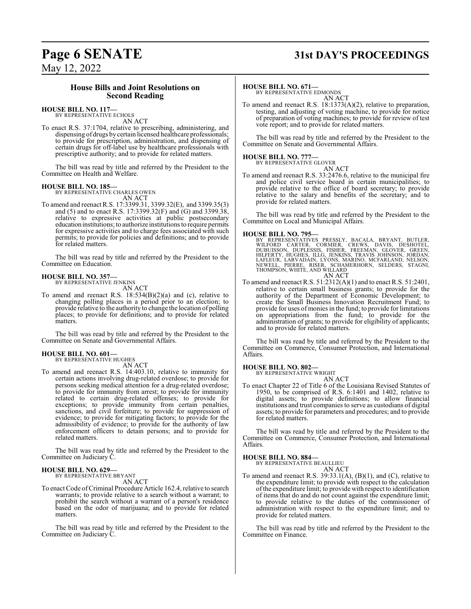## **Page 6 SENATE 31st DAY'S PROCEEDINGS**

May 12, 2022

## **House Bills and Joint Resolutions on Second Reading**

#### **HOUSE BILL NO. 117—** BY REPRESENTATIVE ECHOLS

AN ACT

To enact R.S. 37:1704, relative to prescribing, administering, and dispensing of drugs bycertain licensed healthcare professionals; to provide for prescription, administration, and dispensing of certain drugs for off-label use by healthcare professionals with prescriptive authority; and to provide for related matters.

The bill was read by title and referred by the President to the Committee on Health and Welfare.

#### **HOUSE BILL NO. 185—**

BY REPRESENTATIVE CHARLES OWEN AN ACT

To amend and reenact R.S. 17:3399.31, 3399.32(E), and 3399.35(3) and (5) and to enact R.S. 17:3399.32(F) and (G) and 3399.38, relative to expressive activities at public postsecondary education institutions; to authorize institutions to require permits for expressive activities and to charge fees associated with such permits; to provide for policies and definitions; and to provide for related matters.

The bill was read by title and referred by the President to the Committee on Education.

#### **HOUSE BILL NO. 357—** BY REPRESENTATIVE JENKINS

AN ACT

To amend and reenact R.S.  $18:534(B)(2)(a)$  and (c), relative to changing polling places in a period prior to an election; to provide relative to the authority to change the location of polling places; to provide for definitions; and to provide for related matters.

The bill was read by title and referred by the President to the Committee on Senate and Governmental Affairs.

# **HOUSE BILL NO. 601—** BY REPRESENTATIVE HUGHES

AN ACT

To amend and reenact R.S. 14:403.10, relative to immunity for certain actions involving drug-related overdose; to provide for persons seeking medical attention for a drug-related overdose; to provide for immunity from arrest; to provide for immunity related to certain drug-related offenses; to provide for exceptions; to provide immunity from certain penalties, sanctions, and civil forfeiture; to provide for suppression of evidence; to provide for mitigating factors; to provide for the admissibility of evidence; to provide for the authority of law enforcement officers to detain persons; and to provide for related matters.

The bill was read by title and referred by the President to the Committee on Judiciary C.

#### **HOUSE BILL NO. 629—**

BY REPRESENTATIVE BRYANT AN ACT

To enact Code ofCriminal Procedure Article 162.4, relative to search warrants; to provide relative to a search without a warrant; to prohibit the search without a warrant of a person's residence based on the odor of marijuana; and to provide for related matters.

The bill was read by title and referred by the President to the Committee on Judiciary C.

#### **HOUSE BILL NO. 671—**

BY REPRESENTATIVE EDMONDS AN ACT

To amend and reenact R.S. 18:1373(A)(2), relative to preparation, testing, and adjusting of voting machine, to provide for notice of preparation of voting machines; to provide for review of test vote report; and to provide for related matters.

The bill was read by title and referred by the President to the Committee on Senate and Governmental Affairs.

# **HOUSE BILL NO. 777—** BY REPRESENTATIVE GLOVER

AN ACT To amend and reenact R.S. 33:2476.6, relative to the municipal fire and police civil service board in certain municipalities; to provide relative to the office of board secretary; to provide relative to the salary and benefits of the secretary; and to provide for related matters.

The bill was read by title and referred by the President to the Committee on Local and Municipal Affairs.

**HOUSE BILL NO. 795—**<br>BY REPRESENTATIVES PRESSLY, BACALA, BRYANT, BUTLER,<br>WILFORD CARTER, CORMIER, CREWS, DAVIS, DESHOTEL,<br>DUBUISSON, DUPLESSIS, FISHER, FREEMAN, GLOVER, GREEN,<br>HILFERTY, HUGHES, ILLG, JENKINS, TRAVIS JOHNS AN ACT

To amend and reenact R.S. 51:2312(A)(1) and to enact R.S. 51:2401, relative to certain small business grants; to provide for the authority of the Department of Economic Development; to create the Small Business Innovation Recruitment Fund; to provide for uses of monies in the fund; to provide for limitations on appropriations from the fund; to provide for the administration of grants; to provide for eligibility of applicants; and to provide for related matters.

The bill was read by title and referred by the President to the Committee on Commerce, Consumer Protection, and International Affairs.

#### **HOUSE BILL NO. 802—**

BY REPRESENTATIVE WRIGHT AN ACT

To enact Chapter 22 of Title 6 of the Louisiana Revised Statutes of 1950, to be comprised of R.S. 6:1401 and 1402, relative to digital assets; to provide definitions; to allow financial institutions and trust companies to serve as custodians of digital assets; to provide for parameters and procedures; and to provide for related matters.

The bill was read by title and referred by the President to the Committee on Commerce, Consumer Protection, and International Affairs.

#### **HOUSE BILL NO. 884—**

BY REPRESENTATIVE BEAULLIEU AN ACT

To amend and reenact R.S. 39:33.1(A), (B)(1), and (C), relative to the expenditure limit; to provide with respect to the calculation ofthe expenditure limit; to provide with respect to identification of items that do and do not count against the expenditure limit; to provide relative to the duties of the commissioner of administration with respect to the expenditure limit; and to provide for related matters.

The bill was read by title and referred by the President to the Committee on Finance.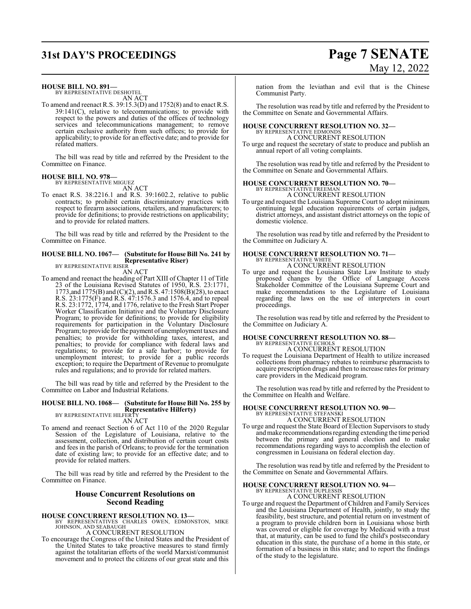## **31st DAY'S PROCEEDINGS Page 7 SENATE**

#### **HOUSE BILL NO. 891—**

BY REPRESENTATIVE DESHOTEL AN ACT

To amend and reenact R.S. 39:15.3(D) and 1752(8) and to enact R.S. 39:141(C), relative to telecommunications; to provide with respect to the powers and duties of the offices of technology services and telecommunications management; to remove certain exclusive authority from such offices; to provide for applicability; to provide for an effective date; and to provide for related matters.

The bill was read by title and referred by the President to the Committee on Finance.

#### **HOUSE BILL NO. 978—** BY REPRESENTATIVE MIGUEZ

AN ACT

To enact R.S. 38:2216.1 and R.S. 39:1602.2, relative to public contracts; to prohibit certain discriminatory practices with respect to firearm associations, retailers, and manufacturers; to provide for definitions; to provide restrictions on applicability; and to provide for related matters.

The bill was read by title and referred by the President to the Committee on Finance.

#### **HOUSE BILL NO. 1067— (Substitute for House Bill No. 241 by Representative Riser)** BY REPRESENTATIVE RISER

AN ACT

To amend and reenact the heading of Part XIII of Chapter 11 of Title 23 of the Louisiana Revised Statutes of 1950, R.S. 23:1771, 1773,and 1775(B) and (C)(2), andR.S. 47:1508(B)(28), to enact R.S. 23:1775(F) and R.S. 47:1576.3 and 1576.4, and to repeal R.S. 23:1772, 1774, and 1776, relative to the Fresh Start Proper Worker Classification Initiative and the Voluntary Disclosure Program; to provide for definitions; to provide for eligibility requirements for participation in the Voluntary Disclosure Program; to provide forthe payment of unemployment taxes and penalties; to provide for withholding taxes, interest, and penalties; to provide for compliance with federal laws and regulations; to provide for a safe harbor; to provide for unemployment interest; to provide for a public records exception; to require the Department of Revenue to promulgate rules and regulations; and to provide for related matters.

The bill was read by title and referred by the President to the Committee on Labor and Industrial Relations.

#### **HOUSE BILL NO. 1068— (Substitute for House Bill No. 255 by Representative Hilferty)** BY REPRESENTATIVE HILFERTY

AN ACT

To amend and reenact Section 6 of Act 110 of the 2020 Regular Session of the Legislature of Louisiana, relative to the assessment, collection, and distribution of certain court costs and fees in the parish of Orleans; to provide for the termination date of existing law; to provide for an effective date; and to provide for related matters.

The bill was read by title and referred by the President to the Committee on Finance.

## **House Concurrent Resolutions on Second Reading**

**HOUSE CONCURRENT RESOLUTION NO. 13—** BY REPRESENTATIVES CHARLES OWEN, EDMONSTON, MIKE JOHNSON, AND SEABAUGH

A CONCURRENT RESOLUTION

To encourage the Congress of the United States and the President of the United States to take proactive measures to stand firmly against the totalitarian efforts of the world Marxist/communist movement and to protect the citizens of our great state and this

nation from the leviathan and evil that is the Chinese Communist Party.

The resolution was read by title and referred by the President to the Committee on Senate and Governmental Affairs.

#### **HOUSE CONCURRENT RESOLUTION NO. 32—** BY REPRESENTATIVE EDMONDS

A CONCURRENT RESOLUTION To urge and request the secretary of state to produce and publish an annual report of all voting complaints.

The resolution was read by title and referred by the President to the Committee on Senate and Governmental Affairs.

#### **HOUSE CONCURRENT RESOLUTION NO. 70—** BY REPRESENTATIVE FREEMAN

A CONCURRENT RESOLUTION

To urge and request the Louisiana Supreme Court to adopt minimum continuing legal education requirements of certain judges, district attorneys, and assistant district attorneys on the topic of domestic violence.

The resolution was read by title and referred by the President to the Committee on Judiciary A.

#### **HOUSE CONCURRENT RESOLUTION NO. 71—** BY REPRESENTATIVE WHITE

A CONCURRENT RESOLUTION

To urge and request the Louisiana State Law Institute to study proposed changes by the Office of Language Access Stakeholder Committee of the Louisiana Supreme Court and make recommendations to the Legislature of Louisiana regarding the laws on the use of interpreters in court proceedings.

The resolution was read by title and referred by the President to the Committee on Judiciary A.

#### **HOUSE CONCURRENT RESOLUTION NO. 88—** BY REPRESENTATIVE ECHOLS A CONCURRENT RESOLUTION

To request the Louisiana Department of Health to utilize increased collections from pharmacy rebates to reimburse pharmacists to acquire prescription drugs and then to increase rates for primary care providers in the Medicaid program.

The resolution was read by title and referred by the President to the Committee on Health and Welfare.

## **HOUSE CONCURRENT RESOLUTION NO. 90—**

BY REPRESENTATIVE STEFANSKI A CONCURRENT RESOLUTION

To urge and request the State Board of Election Supervisors to study and make recommendations regarding extending the time period between the primary and general election and to make recommendations regarding ways to accomplish the election of congressmen in Louisiana on federal election day.

The resolution was read by title and referred by the President to the Committee on Senate and Governmental Affairs.

#### **HOUSE CONCURRENT RESOLUTION NO. 94—**

BY REPRESENTATIVE DUPLESSIS A CONCURRENT RESOLUTION

To urge and request the Department of Children and Family Services and the Louisiana Department of Health, jointly, to study the feasibility, best structure, and potential return on investment of a program to provide children born in Louisiana whose birth was covered or eligible for coverage by Medicaid with a trust that, at maturity, can be used to fund the child's postsecondary education in this state, the purchase of a home in this state, or formation of a business in this state; and to report the findings of the study to the legislature.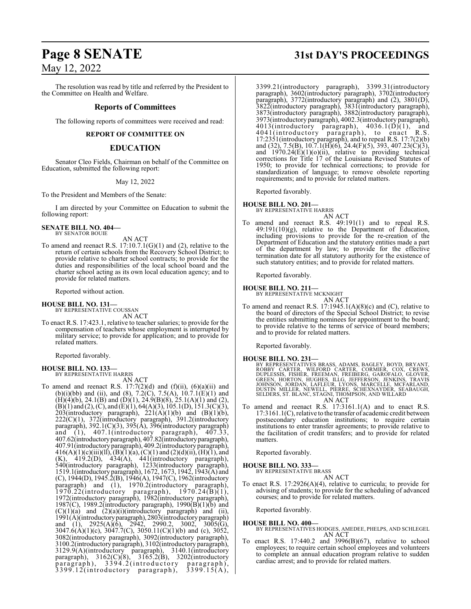## May 12, 2022

The resolution was read by title and referred by the President to the Committee on Health and Welfare.

#### **Reports of Committees**

The following reports of committees were received and read:

**REPORT OF COMMITTEE ON**

### **EDUCATION**

Senator Cleo Fields, Chairman on behalf of the Committee on Education, submitted the following report:

May 12, 2022

To the President and Members of the Senate:

I am directed by your Committee on Education to submit the following report:

**SENATE BILL NO. 404—** BY SENATOR BOUIE

AN ACT

To amend and reenact R.S.  $17:10.7.1(G)(1)$  and  $(2)$ , relative to the return of certain schools from the Recovery School District; to provide relative to charter school contracts; to provide for the duties and responsibilities of the local school board and the charter school acting as its own local education agency; and to provide for related matters.

Reported without action.

#### **HOUSE BILL NO. 131—**

BY REPRESENTATIVE COUSSAN AN ACT

To enact R.S. 17:423.1, relative to teacher salaries; to provide for the compensation of teachers whose employment is interrupted by military service; to provide for application; and to provide for related matters.

Reported favorably.

## **HOUSE BILL NO. 133—** BY REPRESENTATIVE HARRIS

AN ACT To amend and reenact R.S.  $17:7(2)(d)$  and  $(f)(ii)$ ,  $(6)(a)(ii)$  and (b)(i)(bb) and (ii), and (8), 7.2(C), 7.5(A),  $10.7.1(E)(1)$  and  $(H)(4)(b)$ , 24.1 $(B)$  and  $(D)(1)$ , 24.9 $(B)(8)$ , 25.1 $(A)(1)$  and (2),  $(B)(1)$  and  $(2)$ ,  $(C)$ , and  $(E)(1)$ , 64 $(A)(3)$ , 105.1(D), 151.3(C)(3), 203(introductory paragraph),  $221(A)(1)(b)$  and  $(B)(1)(b)$ , 222(C)(1), 372(introductory paragraph), 391.2(introductory paragraph), 392.1(C)(3), 395(A), 396(introductory paragraph) and (1), 407.1(introductory paragraph), 407.33, 407.62(introductoryparagraph), 407.82(introductoryparagraph), 407.91(introductory paragraph), 409.2(introductory paragraph),  $416(A)(1)(c)(iii)(ll), (B)(1)(a), (C)(1)$  and  $(2)(d)(ii), (H)(1),$  and  $(K)$ , 419.2(D), 434(A), 441(introductory paragraph), 540(introductory paragraph), 1233(introductory paragraph), 1519.1(introductory paragraph), 1672, 1673, 1942, 1943(A) and (C), 1944(D), 1945.2(B), 1946(A), 1947(C), 1962(introductory paragraph) and (1), 1970.2(introductory paragraph), 1970.22(introductory paragraph), 1970.24(B)(1), 1972(introductory paragraph), 1982(introductory paragraph), 1987(C), 1989.2(introductory paragraph), 1990(B)(1)(b) and  $(C)(1)(a)$  and  $(2)(a)(i)$ (introductory paragraph) and (ii), 1991(A)(introductoryparagraph), 2803(introductory paragraph) and (1), 2925(A)(6), 2942, 2990.2, 3002, 3005(G), 3047.6(A)(1)(c), 3047.7(C), 3050.11(C)(1)(b) and (c), 3052, 3082(introductory paragraph), 3092(introductory paragraph), 3100.2(introductory paragraph), 3102(introductory paragraph), 3129.9(A)(introductory paragraph), 3140.1(introductory paragraph), 3162(C)(8), 3165.2(B), 3202(introductory paragraph), 3394.2(introductory paragraph),  $3399.12$ (introductory paragraph),  $3399.15(A)$ ,

# **Page 8 SENATE 31st DAY'S PROCEEDINGS**

3399.21(introductory paragraph), 3399.31(introductory paragraph), 3602(introductory paragraph), 3702(introductory paragraph), 3772(introductory paragraph) and (2), 3801(D), 3822(introductory paragraph), 3831(introductory paragraph), 3873(introductory paragraph), 3882(introductory paragraph), 3973(introductory paragraph), 4002.3(introductory paragraph),  $4013$ (introductory paragraph),  $4036.1(D)(1)$ , and 4041(introductory paragraph), to enact R.S.  $17:2351$ (introductory paragraph), and to repeal R.S.  $17:7(2)(b)$ and (32), 7.5(B), 10.7.1(H)(6), 24.4(F)(5), 393, 407.23(C)(3), and  $1970.24(E)(1)(o)(ii)$ , relative to providing technical corrections for Title 17 of the Louisiana Revised Statutes of 1950; to provide for technical corrections; to provide for standardization of language; to remove obsolete reporting requirements; and to provide for related matters.

Reported favorably.

#### **HOUSE BILL NO. 201—**

BY REPRESENTATIVE HARRIS

AN ACT To amend and reenact R.S. 49:191(1) and to repeal R.S.  $49:191(10)(g)$ , relative to the Department of Education, including provisions to provide for the re-creation of the Department of Education and the statutory entities made a part of the department by law; to provide for the effective termination date for all statutory authority for the existence of such statutory entities; and to provide for related matters.

Reported favorably.

#### **HOUSE BILL NO. 211—**

BY REPRESENTATIVE MCKNIGHT AN ACT

To amend and reenact R.S. 17:1945.1(A)(8)(c) and (C), relative to the board of directors of the Special School District; to revise the entities submitting nominees for appointment to the board; to provide relative to the terms of service of board members; and to provide for related matters.

Reported favorably.

- **HOUSE BILL NO. 231—**<br>BY REPRESENTATIVES BRASS, ADAMS, BAGLEY, BOYD, BRYANT, ROBBY CARTER, WILFORD CARTER, CORMIER, COX, CREWS,<br>DUPLESSIS, FISHER, FREEMAN, FREIBERG, GAROFALO, GLOVER,<br>GREEN, HORTON, HUGHES, ILLG, JEFFERSON
- To amend and reenact R.S. 17:3161.1(A) and to enact R.S. 17:3161.1(C), relative to the transfer of academic credit between postsecondary education institutions; to require certain institutions to enter transfer agreements; to provide relative to the facilitation of credit transfers; and to provide for related matters.

Reported favorably.

## **HOUSE BILL NO. 333—** BY REPRESENTATIVE BRASS

AN ACT

To enact R.S. 17:2926(A)(4), relative to curricula; to provide for advising of students; to provide for the scheduling of advanced courses; and to provide for related matters.

Reported favorably.

**HOUSE BILL NO. 400—** BY REPRESENTATIVES HODGES, AMEDEE, PHELPS, AND SCHLEGEL AN ACT

To enact R.S. 17:440.2 and 3996(B)(67), relative to school employees; to require certain school employees and volunteers to complete an annual education program relative to sudden cardiac arrest; and to provide for related matters.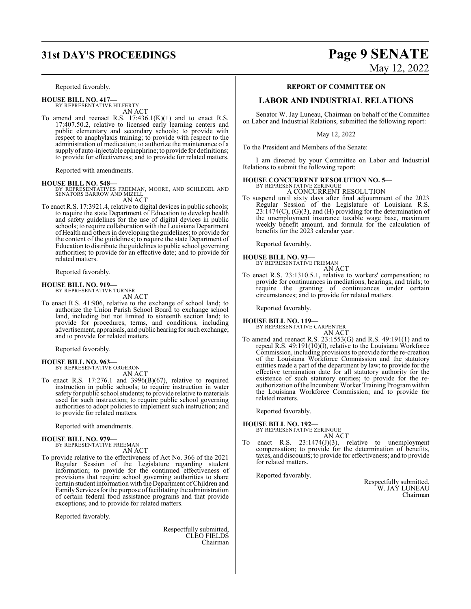Reported favorably.

**HOUSE BILL NO. 417—** BY REPRESENTATIVE HILFERTY

AN ACT

To amend and reenact R.S.  $17:436.1(K)(1)$  and to enact R.S. 17:407.50.2, relative to licensed early learning centers and public elementary and secondary schools; to provide with respect to anaphylaxis training; to provide with respect to the administration of medication; to authorize the maintenance of a supply of auto-injectable epinephrine; to provide for definitions; to provide for effectiveness; and to provide for related matters.

Reported with amendments.

**HOUSE BILL NO. 548—** BY REPRESENTATIVES FREEMAN, MOORE, AND SCHLEGEL AND SENATORS BARROW AND MIZELL AN ACT

To enact R.S. 17:3921.4, relative to digital devices in public schools; to require the state Department of Education to develop health and safety guidelines for the use of digital devices in public schools; to require collaboration with the Louisiana Department of Health and others in developing the guidelines; to provide for the content of the guidelines; to require the state Department of Education to distribute the guidelines to public school governing authorities; to provide for an effective date; and to provide for related matters.

Reported favorably.

#### **HOUSE BILL NO. 919—**

BY REPRESENTATIVE TURNER AN ACT

To enact R.S. 41:906, relative to the exchange of school land; to authorize the Union Parish School Board to exchange school land, including but not limited to sixteenth section land; to provide for procedures, terms, and conditions, including advertisement, appraisals, and public hearing for such exchange; and to provide for related matters.

Reported favorably.

## **HOUSE BILL NO. 963—** BY REPRESENTATIVE ORGERON

AN ACT

To enact R.S. 17:276.1 and 3996(B)(67), relative to required instruction in public schools; to require instruction in water safety for public school students; to provide relative to materials used for such instruction; to require public school governing authorities to adopt policies to implement such instruction; and to provide for related matters.

Reported with amendments.

## **HOUSE BILL NO. 979—** BY REPRESENTATIVE FREEMAN

AN ACT

To provide relative to the effectiveness of Act No. 366 of the 2021 Regular Session of the Legislature regarding student information; to provide for the continued effectiveness of provisions that require school governing authorities to share certain student information with the Department ofChildren and Family Services for the purpose of facilitating the administration of certain federal food assistance programs and that provide exceptions; and to provide for related matters.

Reported favorably.

Respectfully submitted, CLEO FIELDS Chairman

# **31st DAY'S PROCEEDINGS Page 9 SENATE** May 12, 2022

#### **REPORT OF COMMITTEE ON**

### **LABOR AND INDUSTRIAL RELATIONS**

Senator W. Jay Luneau, Chairman on behalf of the Committee on Labor and Industrial Relations, submitted the following report:

May 12, 2022

To the President and Members of the Senate:

I am directed by your Committee on Labor and Industrial Relations to submit the following report:

## **HOUSE CONCURRENT RESOLUTION NO. 5—** BY REPRESENTATIVE ZERINGUE

A CONCURRENT RESOLUTION

To suspend until sixty days after final adjournment of the 2023 Regular Session of the Legislature of Louisiana R.S. 23:1474(C), (G)(3), and (H) providing for the determination of the unemployment insurance taxable wage base, maximum weekly benefit amount, and formula for the calculation of benefits for the 2023 calendar year.

Reported favorably.

**HOUSE BILL NO. 93—**

BY REPRESENTATIVE FRIEMAN AN ACT

To enact R.S. 23:1310.5.1, relative to workers' compensation; to provide for continuances in mediations, hearings, and trials; to require the granting of continuances under certain circumstances; and to provide for related matters.

Reported favorably.

## **HOUSE BILL NO. 119—** BY REPRESENTATIVE CARPENTER AN ACT

To amend and reenact R.S. 23:1553(G) and R.S. 49:191(1) and to repeal R.S. 49:191(10)(l), relative to the Louisiana Workforce Commission, including provisions to provide for the re-creation of the Louisiana Workforce Commission and the statutory entities made a part of the department by law; to provide for the effective termination date for all statutory authority for the existence of such statutory entities; to provide for the reauthorization ofthe Incumbent Worker Training Programwithin the Louisiana Workforce Commission; and to provide for related matters.

Reported favorably.

**HOUSE BILL NO. 192—** BY REPRESENTATIVE ZERINGUE

AN ACT

To enact R.S. 23:1474(J)(3), relative to unemployment compensation; to provide for the determination of benefits, taxes, and discounts; to provide for effectiveness; and to provide for related matters.

Reported favorably.

Respectfully submitted, W. JAY LUNEAU Chairman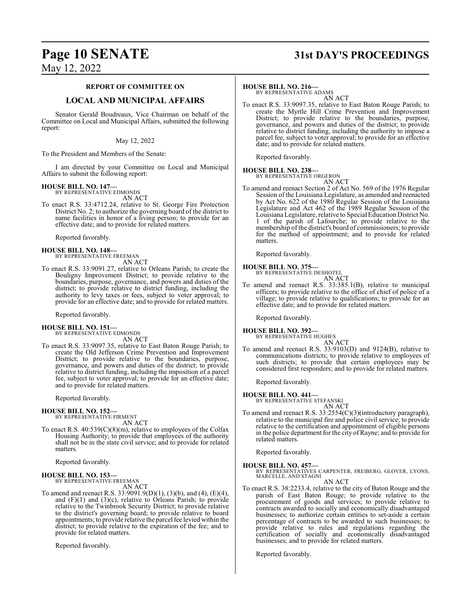## **Page 10 SENATE 31st DAY'S PROCEEDINGS**

May 12, 2022

#### **REPORT OF COMMITTEE ON**

## **LOCAL AND MUNICIPAL AFFAIRS**

Senator Gerald Boudreaux, Vice Chairman on behalf of the Committee on Local and Municipal Affairs, submitted the following report:

#### May 12, 2022

To the President and Members of the Senate:

I am directed by your Committee on Local and Municipal Affairs to submit the following report:

#### **HOUSE BILL NO. 147—**

BY REPRESENTATIVE EDMONDS AN ACT

To enact R.S. 33:4712.24, relative to St. George Fire Protection District No. 2; to authorize the governing board of the district to name facilities in honor of a living person; to provide for an effective date; and to provide for related matters.

Reported favorably.

## **HOUSE BILL NO. 148—** BY REPRESENTATIVE FREEMAN AN ACT

To enact R.S. 33:9091.27, relative to Orleans Parish; to create the Bouligny Improvement District; to provide relative to the boundaries, purpose, governance, and powers and duties of the district; to provide relative to district funding, including the authority to levy taxes or fees, subject to voter approval; to provide for an effective date; and to provide for related matters.

Reported favorably.

# **HOUSE BILL NO. 151—** BY REPRESENTATIVE EDMONDS

AN ACT

To enact R.S. 33:9097.35, relative to East Baton Rouge Parish; to create the Old Jefferson Crime Prevention and Improvement District; to provide relative to the boundaries, purpose, governance, and powers and duties of the district; to provide relative to district funding, including the imposition of a parcel fee, subject to voter approval; to provide for an effective date; and to provide for related matters.

Reported favorably.

## **HOUSE BILL NO. 152—** BY REPRESENTATIVE FIRMENT

AN ACT

To enact R.S. 40:539(C)(8)(m), relative to employees of the Colfax Housing Authority; to provide that employees of the authority shall not be in the state civil service; and to provide for related matters.

Reported favorably.

#### **HOUSE BILL NO. 153—**

BY REPRESENTATIVE FREEMAN

AN ACT

To amend and reenact R.S. 33:9091.9(D)(1), (3)(b), and (4), (E)(4), and (F)(1) and (3)(c), relative to Orleans Parish; to provide relative to the Twinbrook Security District; to provide relative to the district's governing board; to provide relative to board appointments; to provide relative the parcel fee levied within the district; to provide relative to the expiration of the fee; and to provide for related matters.

Reported favorably.

#### **HOUSE BILL NO. 216—**

BY REPRESENTATIVE ADAMS AN ACT

To enact R.S. 33:9097.35, relative to East Baton Rouge Parish; to create the Myrtle Hill Crime Prevention and Improvement District; to provide relative to the boundaries, purpose, governance, and powers and duties of the district; to provide relative to district funding, including the authority to impose a parcel fee, subject to voter approval; to provide for an effective date; and to provide for related matters.

Reported favorably.

#### **HOUSE BILL NO. 238—**

BY REPRESENTATIVE ORGERON AN ACT

To amend and reenact Section 2 of Act No. 569 of the 1976 Regular Session of the Louisiana Legislature, as amended and reenacted by Act No. 622 of the 1980 Regular Session of the Louisiana Legislature and Act 462 of the 1989 Regular Session of the Louisiana Legislature, relative to Special Education District No. 1 of the parish of Lafourche; to provide relative to the membership of the district's board of commissioners; to provide for the method of appointment; and to provide for related matters.

Reported favorably.

## **HOUSE BILL NO. 375—** BY REPRESENTATIVE DESHOTEL

AN ACT

To amend and reenact R.S. 33:385.1(B), relative to municipal officers; to provide relative to the office of chief of police of a village; to provide relative to qualifications; to provide for an effective date; and to provide for related matters.

Reported favorably.

#### **HOUSE BILL NO. 392—**

BY REPRESENTATIVE HUGHES

- AN ACT
- To amend and reenact R.S. 33:9103(D) and 9124(B), relative to communications districts; to provide relative to employees of such districts; to provide that certain employees may be considered first responders; and to provide for related matters.

Reported favorably.

#### **HOUSE BILL NO. 441—**

BY REPRESENTATIVE STEFANSKI

AN ACT

To amend and reenact R.S. 33:2554(C)(3)(introductory paragraph), relative to the municipal fire and police civil service; to provide relative to the certification and appointment of eligible persons in the police department for the city of Rayne; and to provide for related matters.

Reported favorably.

**HOUSE BILL NO. 457—** BY REPRESENTATIVES CARPENTER, FREIBERG, GLOVER, LYONS, MARCELLE, AND STAGNI

AN ACT

To enact R.S. 38:2233.4, relative to the city of Baton Rouge and the parish of East Baton Rouge; to provide relative to the procurement of goods and services; to provide relative to contracts awarded to socially and economically disadvantaged businesses; to authorize certain entities to set-aside a certain percentage of contracts to be awarded to such businesses; to provide relative to rules and regulations regarding the certification of socially and economically disadvantaged businesses; and to provide for related matters.

Reported favorably.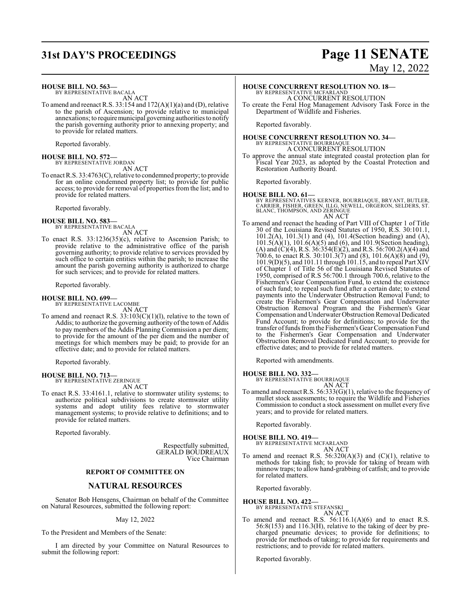## **31st DAY'S PROCEEDINGS Page 11 SENATE**

#### **HOUSE BILL NO. 563—**

BY REPRESENTATIVE BACALA AN ACT

To amend and reenact R.S. 33:154 and 172(A)(1)(a) and (D), relative to the parish of Ascension; to provide relative to municipal annexations; to requiremunicipal governing authorities to notify the parish governing authority prior to annexing property; and to provide for related matters.

Reported favorably.

## **HOUSE BILL NO. 572—** BY REPRESENTATIVE JORDAN

AN ACT

To enact R.S. 33:4763(C), relative to condemned property; to provide for an online condemned property list; to provide for public access; to provide for removal of properties from the list; and to provide for related matters.

Reported favorably.

#### **HOUSE BILL NO. 583—**

BY REPRESENTATIVE BACALA AN ACT

To enact R.S. 33:1236(35)(c), relative to Ascension Parish; to provide relative to the administrative office of the parish governing authority; to provide relative to services provided by such office to certain entities within the parish; to increase the amount the parish governing authority is authorized to charge for such services; and to provide for related matters.

Reported favorably.

#### **HOUSE BILL NO. 699—**

BY REPRESENTATIVE LACOMBE AN ACT

To amend and reenact R.S.  $33:103(C)(1)(1)$ , relative to the town of Addis; to authorize the governing authority of the town of Addis to pay members of the Addis Planning Commission a per diem; to provide for the amount of the per diem and the number of meetings for which members may be paid; to provide for an effective date; and to provide for related matters.

Reported favorably.

**HOUSE BILL NO. 713—** BY REPRESENTATIVE ZERINGUE AN ACT

To enact R.S. 33:4161.1, relative to stormwater utility systems; to authorize political subdivisions to create stormwater utility systems and adopt utility fees relative to stormwater management systems; to provide relative to definitions; and to provide for related matters.

Reported favorably.

Respectfully submitted, GERALD BOUDREAUX Vice Chairman

#### **REPORT OF COMMITTEE ON**

### **NATURAL RESOURCES**

Senator Bob Hensgens, Chairman on behalf of the Committee on Natural Resources, submitted the following report:

#### May 12, 2022

To the President and Members of the Senate:

I am directed by your Committee on Natural Resources to submit the following report:

# May 12, 2022

### **HOUSE CONCURRENT RESOLUTION NO. 18—**

BY REPRESENTATIVE MCFARLAND A CONCURRENT RESOLUTION

To create the Feral Hog Management Advisory Task Force in the Department of Wildlife and Fisheries.

Reported favorably.

## **HOUSE CONCURRENT RESOLUTION NO. 34—** BY REPRESENTATIVE BOURRIAQUE A CONCURRENT RESOLUTION

To approve the annual state integrated coastal protection plan for Fiscal Year 2023, as adopted by the Coastal Protection and Restoration Authority Board.

Reported favorably.

#### **HOUSE BILL NO. 61—**

BY REPRESENTATIVES KERNER, BOURRIAQUE, BRYANT, BUTLER,<br>CARRIER, FISHER, GREEN, ILLG, NEWELL, ORGERON, SELDERS, ST.<br>BLANC, THOMPSON, AND ZERINGUE AN ACT

To amend and reenact the heading of Part VIII of Chapter 1 of Title 30 of the Louisiana Revised Statutes of 1950, R.S. 30:101.1, 101.2(A), 101.3(1) and (4), 101.4(Section heading) and (A), 101.5(A)(1), 101.6(A)(5) and (6), and 101.9(Section heading), (A) and (C)(4), R.S. 36:354(E)(2), and R.S. 56:700.2(A)(4) and 700.6, to enact R.S. 30:101.3(7) and (8), 101.6(A)(8) and (9), 101.9(D)(5), and 101.11 through 101.15, and to repeal Part XIV of Chapter 1 of Title 56 of the Louisiana Revised Statutes of 1950, comprised of R.S 56:700.1 through 700.6, relative to the Fishermen's Gear Compensation Fund, to extend the existence of such fund; to repeal such fund after a certain date; to extend payments into the Underwater Obstruction Removal Fund; to create the Fishermen's Gear Compensation and Underwater Obstruction Removal Program and the Fishermen's Gear Compensation and Underwater Obstruction Removal Dedicated Fund Account; to provide for definitions; to provide for the transfer offunds fromthe Fishermen's Gear Compensation Fund to the Fishermen's Gear Compensation and Underwater Obstruction Removal Dedicated Fund Account; to provide for effective dates; and to provide for related matters.

Reported with amendments.

#### **HOUSE BILL NO. 332—**

BY REPRESENTATIVE BOURRIAQUE AN ACT

To amend and reenact R.S. 56:333(G)(1), relative to the frequency of mullet stock assessments; to require the Wildlife and Fisheries Commission to conduct a stock assessment on mullet every five years; and to provide for related matters.

Reported favorably.

#### **HOUSE BILL NO. 419—**

BY REPRESENTATIVE MCFARLAND AN ACT

To amend and reenact R.S.  $56:320(A)(3)$  and  $(C)(1)$ , relative to methods for taking fish; to provide for taking of bream with minnow traps; to allow hand-grabbing of catfish; and to provide for related matters.

Reported favorably.

#### **HOUSE BILL NO. 422—**

BY REPRESENTATIVE STEFANSKI AN ACT

To amend and reenact R.S.  $56:116.1(A)(6)$  and to enact R.S. 56:8(153) and 116.3(H), relative to the taking of deer by precharged pneumatic devices; to provide for definitions; to provide for methods of taking; to provide for requirements and restrictions; and to provide for related matters.

Reported favorably.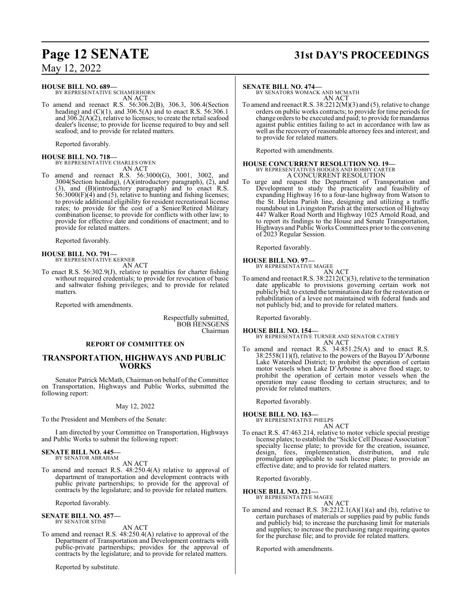## May 12, 2022

#### **HOUSE BILL NO. 689—**

BY REPRESENTATIVE SCHAMERHORN AN ACT

To amend and reenact R.S. 56:306.2(B), 306.3, 306.4(Section heading) and  $(C)(1)$ , and 306.5(A) and to enact R.S. 56:306.1 and  $306.2(A)(2)$ , relative to licenses; to create the retail seafood dealer's license; to provide for license required to buy and sell seafood; and to provide for related matters.

Reported favorably.

**HOUSE BILL NO. 718—** BY REPRESENTATIVE CHARLES OWEN AN ACT

To amend and reenact R.S. 56:3000(G), 3001, 3002, and 3004(Section heading), (A)(introductory paragraph), (2), and (3), and (B)(introductory paragraph) and to enact R.S. 56:3000(F)(4) and (5), relative to hunting and fishing licenses; to provide additional eligibility for resident recreational license rates; to provide for the cost of a Senior/Retired Military combination license; to provide for conflicts with other law; to provide for effective date and conditions of enactment; and to provide for related matters.

Reported favorably.

#### **HOUSE BILL NO. 791—** BY REPRESENTATIVE KERNER

AN ACT

To enact R.S. 56:302.9(J), relative to penalties for charter fishing without required credentials; to provide for revocation of basic and saltwater fishing privileges; and to provide for related matters.

Reported with amendments.

Respectfully submitted, BOB HENSGENS Chairman

#### **REPORT OF COMMITTEE ON**

#### **TRANSPORTATION, HIGHWAYS AND PUBLIC WORKS**

Senator Patrick McMath, Chairman on behalf of the Committee on Transportation, Highways and Public Works, submitted the following report:

#### May 12, 2022

To the President and Members of the Senate:

I am directed by your Committee on Transportation, Highways and Public Works to submit the following report:

#### **SENATE BILL NO. 445—** BY SENATOR ABRAHAM

AN ACT

To amend and reenact R.S. 48:250.4(A) relative to approval of department of transportation and development contracts with public private partnerships; to provide for the approval of contracts by the legislature; and to provide for related matters.

Reported favorably.

## **SENATE BILL NO. 457—** BY SENATOR STINE

AN ACT

To amend and reenact R.S. 48:250.4(A) relative to approval of the Department of Transportation and Development contracts with public-private partnerships; provides for the approval of contracts by the legislature; and to provide for related matters.

Reported by substitute.

# **Page 12 SENATE 31st DAY'S PROCEEDINGS**

#### **SENATE BILL NO. 474—**

BY SENATORS WOMACK AND MCMATH AN ACT

To amend and reenact R.S. 38:2212(M)(3) and (5), relative to change orders on public works contracts; to provide for time periods for change orders to be executed and paid; to provide for mandamus against public entities failing to act in accordance with law as well as the recovery ofreasonable attorney fees and interest; and to provide for related matters.

Reported with amendments.

#### **HOUSE CONCURRENT RESOLUTION NO. 19—** BY REPRESENTATIVES HODGES AND ROBBY CARTER A CONCURRENT RESOLUTION

To urge and request the Department of Transportation and Development to study the practicality and feasibility of expanding Highway 16 to a four-lane highway from Watson to the St. Helena Parish line, designing and utilizing a traffic roundabout in Livingston Parish at the intersection of Highway 447 Walker Road North and Highway 1025 Arnold Road, and to report its findings to the House and Senate Transportation, Highways and Public Works Committees prior to the convening of 2023 Regular Session.

Reported favorably.

## **HOUSE BILL NO. 97—**

BY REPRESENTATIVE MAGEE AN ACT

To amend and reenact R.S. 38:2212(C)(3), relative to the termination date applicable to provisions governing certain work not publicly bid; to extend the termination date for the restoration or rehabilitation of a levee not maintained with federal funds and not publicly bid; and to provide for related matters.

Reported favorably.

#### **HOUSE BILL NO. 154—**

BY REPRESENTATIVE TURNER AND SENATOR CATHEY AN ACT

To amend and reenact R.S. 34:851.25(A) and to enact R.S. 38:2558(11)(f), relative to the powers of the Bayou D'Arbonne Lake Watershed District; to prohibit the operation of certain motor vessels when Lake D'Arbonne is above flood stage; to prohibit the operation of certain motor vessels when the operation may cause flooding to certain structures; and to provide for related matters.

Reported favorably.

## **HOUSE BILL NO. 163—** BY REPRESENTATIVE PHELPS

AN ACT

To enact R.S. 47:463.214, relative to motor vehicle special prestige license plates; to establish the "Sickle Cell Disease Association" specialty license plate; to provide for the creation, issuance, design, fees, implementation, distribution, and rule promulgation applicable to such license plate; to provide an effective date; and to provide for related matters.

Reported favorably.

#### **HOUSE BILL NO. 221—**

BY REPRESENTATIVE MAGEE AN ACT

To amend and reenact R.S.  $38:2212.1(A)(1)(a)$  and (b), relative to certain purchases of materials or supplies paid by public funds and publicly bid; to increase the purchasing limit for materials and supplies; to increase the purchasing range requiring quotes for the purchase file; and to provide for related matters.

Reported with amendments.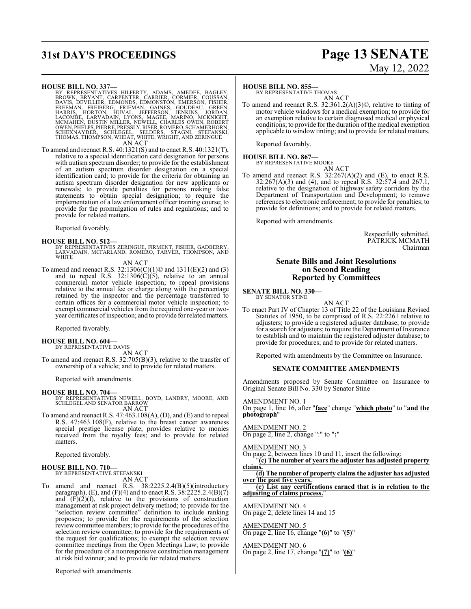# **31st DAY'S PROCEEDINGS Page 13 SENATE**

# May 12, 2022

- HOUSE BILL NO. 337—<br>
BY REPRESENTATIVES HILFERTY, ADAMS, AMEDEE, BAGLEY, BROWN, BRYANT, CARPENTER, CARRIER, CORMIER, COUSSAN,<br>
DAVIS, DEVILLIER, EDMONDS, EDMONSTON, EMERSON, GREEN,<br>
FREEMAN, FREIBERG, FRIEMAN, GAINES, GOUD AN ACT
- To amend and reenact R.S. 40:1321(S) and to enact R.S. 40:1321(T), relative to a special identification card designation for persons with autism spectrum disorder; to provide for the establishment of an autism spectrum disorder designation on a special identification card; to provide for the criteria for obtaining an autism spectrum disorder designation for new applicants or renewals; to provide penalties for persons making false statements to obtain special designation; to require the implementation of a law enforcement officer training course; to provide for the promulgation of rules and regulations; and to provide for related matters.

Reported favorably.

#### **HOUSE BILL NO. 512—**

BY REPRESENTATIVES ZERINGUE, FIRMENT, FISHER, GADBERRY, LARVADAIN, MCFARLAND, ROMERO, TARVER, THOMPSON, AND **WHITE** 

#### AN ACT

To amend and reenact R.S. 32:1306(C)(1)© and 1311(E)(2) and (3) and to repeal R.S.  $32:1306(C)(5)$ , relative to an annual commercial motor vehicle inspection; to repeal provisions relative to the annual fee or charge along with the percentage retained by the inspector and the percentage transferred to certain offices for a commercial motor vehicle inspection; to exempt commercial vehicles from the required one-year or twoyear certificates ofinspection; and to provide forrelated matters.

Reported favorably.

**HOUSE BILL NO. 604—** BY REPRESENTATIVE DAVIS

AN ACT

To amend and reenact R.S. 32:705(B)(3), relative to the transfer of ownership of a vehicle; and to provide for related matters.

Reported with amendments.

**HOUSE BILL NO. 704—** BY REPRESENTATIVES NEWELL, BOYD, LANDRY, MOORE, AND SCHLEGEL AND SENATOR BARROW AN ACT

To amend and reenact R.S. 47:463.108(A), (D), and (E) and to repeal R.S. 47:463.108(F), relative to the breast cancer awareness special prestige license plate; provides relative to monies received from the royalty fees; and to provide for related matters.

Reported favorably.

# **HOUSE BILL NO. 710—** BY REPRESENTATIVE STEFANSKI

AN ACT

To amend and reenact R.S. 38:2225.2.4(B)(5)(introductory paragraph), (E), and (F)(4) and to enact R.S.  $38:2225.2.4(B)(7)$ and  $(F)(2)(f)$ , relative to the provisions of construction management at risk project delivery method; to provide for the "selection review committee" definition to include ranking proposers; to provide for the requirements of the selection review committee members; to provide for the procedures of the selection review committee; to provide for the requirements of the request for qualifications; to exempt the selection review committee meetings from the Open Meetings Law; to provide for the procedure of a nonresponsive construction management at risk bid winner; and to provide for related matters.

Reported with amendments.

#### **HOUSE BILL NO. 855—**

BY REPRESENTATIVE THOMAS AN ACT

To amend and reenact R.S. 32:361.2(A)(3)©, relative to tinting of motor vehicle windows for a medical exemption; to provide for an exemption relative to certain diagnosed medical or physical conditions; to provide for the duration of the medical exemption applicable to window tinting; and to provide for related matters.

Reported favorably.

## **HOUSE BILL NO. 867—** BY REPRESENTATIVE MOORE

AN ACT To amend and reenact R.S.  $32:267(A)(2)$  and (E), to enact R.S. 32:267(A)(3) and (4), and to repeal R.S. 32:57.4 and 267.1, relative to the designation of highway safety corridors by the Department of Transportation and Development; to remove references to electronic enforcement; to provide for penalties; to provide for definitions; and to provide for related matters.

Reported with amendments.

Respectfully submitted, PATRICK MCMATH Chairman

#### **Senate Bills and Joint Resolutions on Second Reading Reported by Committees**

**SENATE BILL NO. 330—** BY SENATOR STINE

AN ACT

To enact Part IV of Chapter 13 of Title 22 of the Louisiana Revised Statutes of 1950, to be comprised of R.S. 22:2261 relative to adjusters; to provide a registered adjuster database; to provide for a search for adjusters; to require the Department of Insurance to establish and to maintain the registered adjuster database; to provide for procedures; and to provide for related matters.

Reported with amendments by the Committee on Insurance.

#### **SENATE COMMITTEE AMENDMENTS**

Amendments proposed by Senate Committee on Insurance to Original Senate Bill No. 330 by Senator Stine

#### AMENDMENT NO. 1

On page 1, line 16, after "**face**" change "**which photo**" to "**and the photograph**"

#### AMENDMENT NO. 2

On page 2, line 2, change ":" to "**:**"

#### AMENDMENT NO. 3

On page 2, between lines 10 and 11, insert the following: "**(c) The number of years the adjuster has adjusted property**

**claims. (d) The number of property claims the adjuster has adjusted over the past five years.**

**(e) List any certifications earned that is in relation to the adjusting of claims process.**"

#### AMENDMENT NO. 4

On page 2, delete lines 14 and 15

#### AMENDMENT NO. 5

On page 2, line 16, change "**(6)**" to "**(5)**"

AMENDMENT NO. 6

On page 2, line 17, change "**(7)**" to "**(6)**"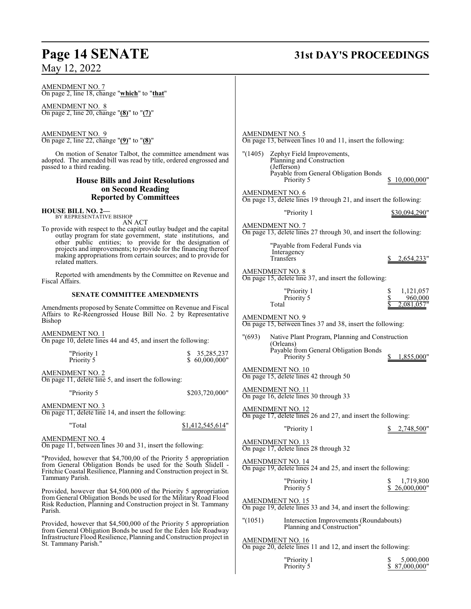# **Page 14 SENATE 31st DAY'S PROCEEDINGS**

# May 12, 2022

| <b>AMENDMENT NO. 5</b><br>On page 13, between lines 10 and 11, insert the following:        |  |  |
|---------------------------------------------------------------------------------------------|--|--|
| "(1405)<br>Zephyr Field Improvements,<br>Planning and Construction<br>(Jefferson)           |  |  |
| Payable from General Obligation Bonds<br>Priority 5<br>\$10,000,000"                        |  |  |
|                                                                                             |  |  |
| <b>AMENDMENT NO. 6</b><br>On page 13, delete lines 19 through 21, and insert the following: |  |  |
| "Priority 1<br>\$30,094,290"                                                                |  |  |
| <b>AMENDMENT NO. 7</b><br>On page 13, delete lines 27 through 30, and insert the following: |  |  |
| "Payable from Federal Funds via                                                             |  |  |
| Interagency<br>Transfers<br>2,654,233"                                                      |  |  |
| <b>AMENDMENT NO. 8</b><br>On page 15, delete line 37, and insert the following:             |  |  |
| 1,121,057<br>"Priority 1                                                                    |  |  |
| Priority 5<br>960,000<br>Total<br>2,081,057"                                                |  |  |
| <b>AMENDMENT NO. 9</b><br>On page 15, between lines 37 and 38, insert the following:        |  |  |
| " (693)<br>Native Plant Program, Planning and Construction<br>(Orleans)                     |  |  |
| Payable from General Obligation Bonds<br>Priority 5<br>1,855,000"                           |  |  |
| <b>AMENDMENT NO. 10</b><br>On page 15, delete lines 42 through 50                           |  |  |
| AMENDMENT NO. 11<br>On page 16, delete lines 30 through 33                                  |  |  |
| <b>AMENDMENT NO. 12</b><br>On page 17, delete lines 26 and 27, and insert the following:    |  |  |
| "Priority 1<br>2,748,500"                                                                   |  |  |
| <b>AMENDMENT NO. 13</b><br>On page 17, delete lines 28 through 32                           |  |  |
| <b>AMENDMENT NO. 14</b><br>On page 19, delete lines 24 and 25, and insert the following:    |  |  |
| "Priority 1<br>1,719,800<br>Priority 5<br>26,000,000"                                       |  |  |
| <b>AMENDMENT NO. 15</b><br>On page 19, delete lines 33 and 34, and insert the following:    |  |  |
| "(1051)<br>Intersection Improvements (Roundabouts)<br>Planning and Construction"            |  |  |
| <b>AMENDMENT NO. 16</b><br>On page 20, delete lines 11 and 12, and insert the following:    |  |  |
| "Priority 1<br>5,000,000<br>Priority 5<br>\$87,000,000"                                     |  |  |
|                                                                                             |  |  |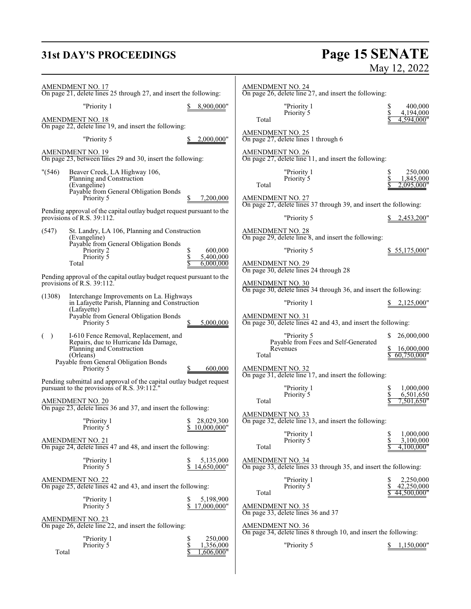# **31st DAY'S PROCEEDINGS**

# **Page 15 SENATE**<br>May 12, 2022

|         | <b>AMENDMENT NO. 17</b><br>On page 21, delete lines 25 through 27, and insert the following:                       |                                       | <b>AMENDMENT NO. 24</b><br>On page 26, delete line 27, and insert the following:             |                                                    |
|---------|--------------------------------------------------------------------------------------------------------------------|---------------------------------------|----------------------------------------------------------------------------------------------|----------------------------------------------------|
|         | "Priority 1                                                                                                        | 8,900,000"                            | "Priority 1<br>Priority 5                                                                    | \$<br>400,000<br>\$<br>4,194,000                   |
|         | <b>AMENDMENT NO. 18</b><br>On page 22, delete line 19, and insert the following:                                   |                                       | Total                                                                                        | 4,594,000"                                         |
|         | "Priority 5                                                                                                        | 2,000,000"                            | <b>AMENDMENT NO. 25</b><br>On page 27, delete lines 1 through 6                              |                                                    |
|         | <b>AMENDMENT NO. 19</b><br>On page 23, between lines 29 and 30, insert the following:                              |                                       | <b>AMENDMENT NO. 26</b><br>On page 27, delete line 11, and insert the following:             |                                                    |
| " (546) | Beaver Creek, LA Highway 106,<br>Planning and Construction<br>(Evangeline)                                         |                                       | "Priority 1<br>Priority 5<br>Total                                                           | 250,000<br>\$<br>\$<br>1,845,000<br>2.095.000"     |
|         | Payable from General Obligation Bonds<br>Priority 5                                                                | 7,200,000                             | <b>AMENDMENT NO. 27</b>                                                                      |                                                    |
|         | Pending approval of the capital outlay budget request pursuant to the<br>provisions of R.S. 39:112.                |                                       | On page 27, delete lines 37 through 39, and insert the following:<br>"Priority 5             | 2,453,200"                                         |
| (547)   | St. Landry, LA 106, Planning and Construction<br>(Evangeline)                                                      |                                       | <b>AMENDMENT NO. 28</b><br>On page 29, delete line 8, and insert the following:              |                                                    |
|         | Payable from General Obligation Bonds<br>Priority 2                                                                | 600,000<br>S                          | "Priority 5                                                                                  | \$55,175,000"                                      |
|         | Priority 5<br>Total                                                                                                | 5,400,000<br>6,000,000                | <b>AMENDMENT NO. 29</b><br>On page 30, delete lines 24 through 28                            |                                                    |
|         | Pending approval of the capital outlay budget request pursuant to the<br>provisions of R.S. 39:112.                |                                       | AMENDMENT NO. 30<br>On page 30, delete lines 34 through 36, and insert the following:        |                                                    |
| (1308)  | Interchange Improvements on La. Highways<br>in Lafayette Parish, Planning and Construction<br>(Lafayette)          |                                       | "Priority 1                                                                                  | 2,125,000"                                         |
|         | Payable from General Obligation Bonds<br>Priority 5                                                                | 5,000,000                             | <b>AMENDMENT NO. 31</b><br>On page 30, delete lines 42 and 43, and insert the following:     |                                                    |
| ( )     | I-610 Fence Removal, Replacement, and<br>Repairs, due to Hurricane Ida Damage,                                     |                                       | "Priority 5<br>Payable from Fees and Self-Generated                                          | 26,000,000<br>S                                    |
|         | Planning and Construction<br>(Orleans)<br>Payable from General Obligation Bonds                                    |                                       | Revenues<br>Total                                                                            | 16,000,000<br>60,750,000"                          |
|         | Priority 5                                                                                                         | 600,000                               | <b>AMENDMENT NO. 32</b><br>On page 31, delete line 17, and insert the following:             |                                                    |
|         | Pending submittal and approval of the capital outlay budget request<br>pursuant to the provisions of R.S. 39:112." |                                       | "Priority 1<br>Priority 5                                                                    | 1,000,000<br>6,501,650                             |
|         | <b>AMENDMENT NO. 20</b><br>On page 23, delete lines 36 and 37, and insert the following:                           |                                       | Total                                                                                        | 7,501,650"                                         |
|         | "Priority 1<br>Priority 5                                                                                          | 28,029,300<br>\$<br>\$<br>10,000,000" | <b>AMENDMENT NO. 33</b><br>On page 32, delete line 13, and insert the following:             |                                                    |
|         | <b>AMENDMENT NO. 21</b>                                                                                            |                                       | "Priority 1<br>Priority 5                                                                    | 1,000,000<br>\$<br>\$<br>3,100,000                 |
|         | On page 24, delete lines 47 and 48, and insert the following:                                                      |                                       | Total                                                                                        | 4,100,000"                                         |
|         | "Priority 1<br>Priority 5                                                                                          | 5,135,000<br>\$<br>14,650,000"        | <b>AMENDMENT NO. 34</b><br>On page 33, delete lines 33 through 35, and insert the following: |                                                    |
|         | <b>AMENDMENT NO. 22</b><br>On page 25, delete lines 42 and 43, and insert the following:                           |                                       | "Priority 1<br>Priority 5<br>Total                                                           | 2,250,000<br>\$<br>\$<br>42,250,000<br>44,500,000" |
|         | "Priority 1<br>Priority 5                                                                                          | 5,198,900<br>\$<br>\$<br>17,000,000"  | <b>AMENDMENT NO. 35</b>                                                                      |                                                    |
|         | <b>AMENDMENT NO. 23</b><br>On page 26, delete line 22, and insert the following:                                   |                                       | On page 33, delete lines 36 and 37<br><b>AMENDMENT NO. 36</b>                                |                                                    |
|         | "Priority 1                                                                                                        | \$<br>250,000                         | On page 34, delete lines 8 through 10, and insert the following:                             |                                                    |
| Total   | Priority <sup>5</sup>                                                                                              | \$<br>1,356,000<br>,606,000"          | "Priority 5                                                                                  | 1,150,000"                                         |
|         |                                                                                                                    |                                       |                                                                                              |                                                    |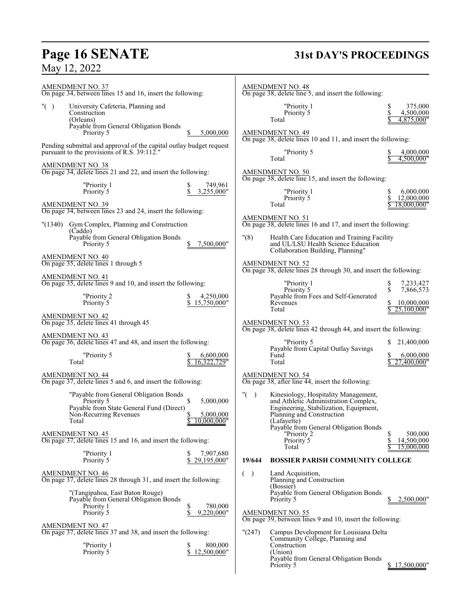# **Page 16 SENATE**<br>May 12, 2022

# **Page 16 SENATE 31st DAY'S PROCEEDINGS**

| <b>AMENDMENT NO. 37</b><br>On page 34, between lines 15 and 16, insert the following:                                                           |                                       |                           | <b>AMENDMENT NO. 48</b><br>On page 38, delete line 5, and insert the following:                                                                                                                             |                                               |
|-------------------------------------------------------------------------------------------------------------------------------------------------|---------------------------------------|---------------------------|-------------------------------------------------------------------------------------------------------------------------------------------------------------------------------------------------------------|-----------------------------------------------|
| " $($ )<br>University Cafeteria, Planning and<br>Construction<br>(Orleans)<br>Payable from General Obligation Bonds                             |                                       |                           | "Priority 1<br>Priority 5<br>Total                                                                                                                                                                          | S<br>375,000<br>\$<br>4,500,000<br>4,875,000" |
| Priority 5                                                                                                                                      | 5,000,000                             |                           | <b>AMENDMENT NO. 49</b><br>On page 38, delete lines 10 and 11, and insert the following:                                                                                                                    |                                               |
| Pending submittal and approval of the capital outlay budget request<br>pursuant to the provisions of R.S. 39:112."                              |                                       |                           | "Priority 5<br>Total                                                                                                                                                                                        | 4,000,000<br>4,500,000"                       |
| <b>AMENDMENT NO. 38</b><br>On page 34, delete lines 21 and 22, and insert the following:                                                        |                                       |                           | AMENDMENT NO. 50<br>On page 38, delete line 15, and insert the following:                                                                                                                                   |                                               |
| "Priority 1<br>\$<br>Priority <sup>5</sup>                                                                                                      | 749,961<br>3,255,000"                 |                           | "Priority 1<br>Priority 5                                                                                                                                                                                   | 6,000,000<br>S<br>12,000,000                  |
| <b>AMENDMENT NO. 39</b><br>On page 34, between lines 23 and 24, insert the following:                                                           |                                       |                           | Total                                                                                                                                                                                                       | 18,000,000"                                   |
| "(1340)<br>Gym Complex, Planning and Construction<br>(Caddo)                                                                                    |                                       |                           | AMENDMENT NO. 51<br>On page 38, delete lines 16 and 17, and insert the following:                                                                                                                           |                                               |
| Payable from General Obligation Bonds<br>Priority 5                                                                                             | 7,500,000"                            | "(8)                      | Health Care Education and Training Facility<br>and UL/LSU Health Science Education<br>Collaboration Building, Planning"                                                                                     |                                               |
| <b>AMENDMENT NO. 40</b><br>On page 35, delete lines 1 through 5                                                                                 |                                       |                           | <b>AMENDMENT NO. 52</b><br>On page 38, delete lines 28 through 30, and insert the following:                                                                                                                |                                               |
| <b>AMENDMENT NO. 41</b><br>On page 35, delete lines 9 and 10, and insert the following:                                                         |                                       |                           | "Priority 1<br>Priority 5                                                                                                                                                                                   | 7,233,427<br>\$<br>\$.<br>7,866,573           |
| "Priority 2<br>Priority 5                                                                                                                       | 4,250,000<br>15,750,000"              |                           | Payable from Fees and Self-Generated<br>Revenues<br>Total                                                                                                                                                   | 10,000,000                                    |
| <b>AMENDMENT NO. 42</b><br>On page 35, delete lines 41 through 45                                                                               |                                       |                           | <b>AMENDMENT NO. 53</b>                                                                                                                                                                                     | 25,100,000"                                   |
| <b>AMENDMENT NO. 43</b><br>On page 36, delete lines 47 and 48, and insert the following:                                                        |                                       |                           | On page 38, delete lines 42 through 44, and insert the following:<br>"Priority 5                                                                                                                            | 21,400,000                                    |
| "Priority 5<br>Total                                                                                                                            | 6,600,000<br>16.322.729"              |                           | Payable from Capital Outlay Savings<br>Fund<br>Total                                                                                                                                                        | 6,000,000<br>27,400,000"                      |
| <b>AMENDMENT NO. 44</b><br>On page 37, delete lines 5 and 6, and insert the following:                                                          |                                       |                           | AMENDMENT NO. 54<br>On page 38, after line 44, insert the following:                                                                                                                                        |                                               |
| "Payable from General Obligation Bonds<br>\$<br>Priority 5<br>Payable from State General Fund (Direct)<br>Non-Recurring Revenues<br>\$<br>Total | 5,000,000<br>5,000,000<br>10,000,000" | " $($ )                   | Kinesiology, Hospitality Management,<br>and Athletic Administration Complex,<br>Engineering, Stabilization, Equipment,<br>Planning and Construction<br>(Lafayette)<br>Payable from General Obligation Bonds |                                               |
| <b>AMENDMENT NO. 45</b><br>On page 37, delete lines 15 and 16, and insert the following:                                                        |                                       |                           | "Priority 2<br>Priority <sup>5</sup><br>Total                                                                                                                                                               | S<br>500,000<br>14,500,000<br>S<br>15,000,000 |
| "Priority 1<br>Priority 5<br>S                                                                                                                  | 7,907,680<br>29,195,000"              | 19/644                    | <b>BOSSIER PARISH COMMUNITY COLLEGE</b>                                                                                                                                                                     |                                               |
| <b>AMENDMENT NO. 46</b><br>On page 37, delete lines 28 through 31, and insert the following:                                                    |                                       | $\rightarrow$<br>$\left($ | Land Acquisition,<br>Planning and Construction                                                                                                                                                              |                                               |
| "(Tangipahoa, East Baton Rouge)<br>Payable from General Obligation Bonds                                                                        |                                       |                           | (Bossier)<br>Payable from General Obligation Bonds<br>Priority 5                                                                                                                                            | 2,500,000"<br>\$                              |
| \$<br>Priority 1<br>\$<br>Priority 5                                                                                                            | 780,000<br>9,220,000"                 |                           | <b>AMENDMENT NO. 55</b><br>On page 39, between lines 9 and 10, insert the following:                                                                                                                        |                                               |
| <b>AMENDMENT NO. 47</b><br>On page 37, delete lines 37 and 38, and insert the following:                                                        |                                       | "(247)                    | Campus Development for Louisiana Delta<br>Community College, Planning and                                                                                                                                   |                                               |
| "Priority 1<br>Priority 5<br>\$                                                                                                                 | 800,000<br>12,500,000"                |                           | Construction<br>(Union)<br>Payable from General Obligation Bonds                                                                                                                                            |                                               |
|                                                                                                                                                 |                                       |                           | Priority 5                                                                                                                                                                                                  | \$17,500,000"                                 |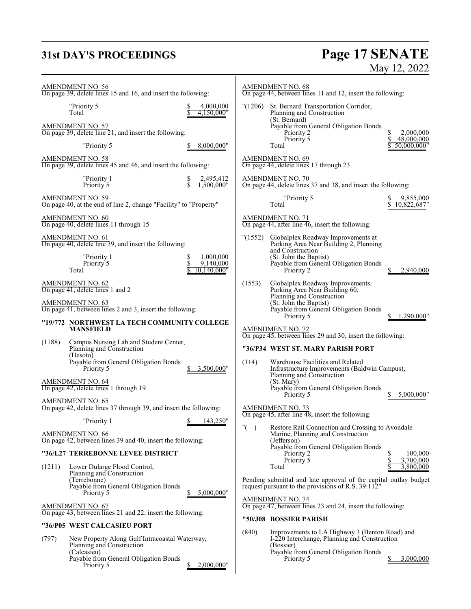# **31st DAY'S PROCEEDINGS**

# **Page 17 SENATE**<br>May 12, 2022

| AMENDMENT NO. 56<br>On page 39, delete lines 15 and 16, and insert the following:                   | AMENDMENT NO. 68<br>On page 44, between lines 11 and 12, insert the following:                                                                                |
|-----------------------------------------------------------------------------------------------------|---------------------------------------------------------------------------------------------------------------------------------------------------------------|
| "Priority 5<br>4,000,000<br>Total<br>4.150.000"                                                     | "(1206)<br>St. Bernard Transportation Corridor,<br>Planning and Construction                                                                                  |
| AMENDMENT NO. 57<br>On page 39, delete line 21, and insert the following:                           | (St. Bernard)<br>Payable from General Obligation Bonds<br>Priority 2<br>2,000,000<br>S<br>\$                                                                  |
| "Priority 5<br>8,000,000"                                                                           | Priority 5<br>48,000,000<br>50,000,000"<br>Total                                                                                                              |
| <b>AMENDMENT NO. 58</b><br>On page 39, delete lines 45 and 46, and insert the following:            | AMENDMENT NO. 69<br>On page 44, delete lines 17 through 23                                                                                                    |
| "Priority 1<br>2,495,412<br>\$<br>1,500,000"<br>Priority 5                                          | <b>AMENDMENT NO. 70</b><br>On page 44, delete lines 37 and 38, and insert the following:                                                                      |
| AMENDMENT NO. 59<br>On page 40, at the end of line 2, change "Facility" to "Property"               | "Priority 5<br>9,855,000<br>Total<br>10,822,687"                                                                                                              |
| AMENDMENT NO. 60<br>On page 40, delete lines 11 through 15                                          | AMENDMENT NO. 71<br>On page 44, after line 46, insert the following:                                                                                          |
| <b>AMENDMENT NO. 61</b><br>On page 40, delete line 39, and insert the following:                    | Globalplex Roadway Improvements at<br>"(1552)<br>Parking Area Near Building 2, Planning<br>and Construction                                                   |
| 1,000,000<br>"Priority 1<br>\$<br>Priority 5<br>9,140,000<br>Total<br>10,140,000"                   | (St. John the Baptist)<br>Payable from General Obligation Bonds<br>Priority 2<br>2,940,000                                                                    |
| <b>AMENDMENT NO. 62</b><br>On page 41, delete lines 1 and 2                                         | (1553)<br>Globalplex Roadway Improvements:<br>Parking Area Near Building 60,<br>Planning and Construction                                                     |
| AMENDMENT NO. 63<br>On page 41, between lines 2 and 3, insert the following:                        | (St. John the Baptist)<br>Payable from General Obligation Bonds<br>Priority 5<br>,290,000'                                                                    |
| "19/772 NORTHWEST LA TECH COMMUNITY COLLEGE<br><b>MANSFIELD</b>                                     | <b>AMENDMENT NO. 72</b><br>On page 45, between lines 29 and 30, insert the following:                                                                         |
| (1188)<br>Campus Nursing Lab and Student Center,<br>Planning and Construction                       | "36/P34 WEST ST. MARY PARISH PORT                                                                                                                             |
| (Desoto)<br>Payable from General Obligation Bonds<br>Priority 5<br>3,500,000"                       | (114)<br>Warehouse Facilities and Related<br>Infrastructure Improvements (Baldwin Campus),                                                                    |
| <b>AMENDMENT NO. 64</b><br>On page 42, delete lines 1 through 19                                    | Planning and Construction<br>(St. Mary)<br>Payable from General Obligation Bonds                                                                              |
| <b>AMENDMENT NO. 65</b><br>On page 42, delete lines 37 through 39, and insert the following:        | Priority 5<br>5,000,000"<br><b>AMENDMENT NO. 73</b>                                                                                                           |
| \$143,250"<br>"Priority 1                                                                           | On page 45, after line 48, insert the following:                                                                                                              |
| <b>AMENDMENT NO. 66</b><br>On page 42, between lines 39 and 40, insert the following:               | $"$ (<br>Restore Rail Connection and Crossing to Avondale<br>$\lambda$<br>Marine, Planning and Construction<br>(Jefferson)                                    |
| "36/L27 TERREBONNE LEVEE DISTRICT                                                                   | Payable from General Obligation Bonds<br>100,000<br>Priority 2<br>Priority 5<br>\$<br>3.700,000                                                               |
| Lower Dularge Flood Control,<br>(1211)<br>Planning and Construction                                 | 3,800,000<br>Total                                                                                                                                            |
| (Terrebonne)<br>Payable from General Obligation Bonds<br>Priority 5<br>5,000,000"                   | Pending submittal and late approval of the capital outlay budget<br>request pursuant to the provisions of R.S. 39:112"                                        |
| <b>AMENDMENT NO. 67</b><br>On page 43, between lines 21 and 22, insert the following:               | <b>AMENDMENT NO. 74</b><br>On page 47, between lines 23 and 24, insert the following:                                                                         |
| "36/P05 WEST CALCASIEU PORT                                                                         | "50/J08 BOSSIER PARISH                                                                                                                                        |
| (797)<br>New Property Along Gulf Intracoastal Waterway,<br>Planning and Construction<br>(Calcasieu) | (840)<br>Improvements to LA Highway 3 (Benton Road) and<br>I-220 Interchange, Planning and Construction<br>(Bossier)<br>Payable from General Obligation Bonds |
| Payable from General Obligation Bonds<br>2,000,000"<br>Priority 5                                   | Priority 5<br>3,000,000                                                                                                                                       |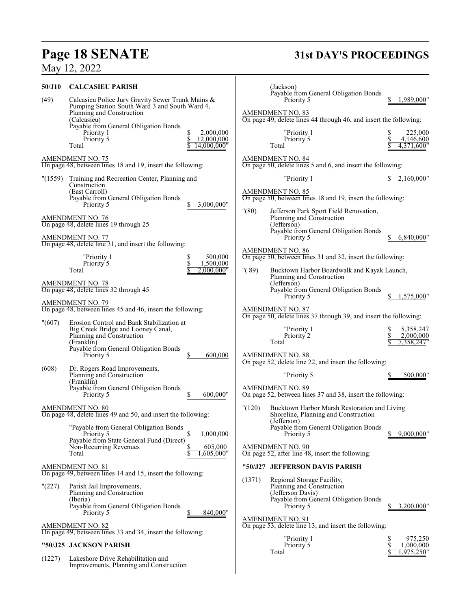# **Page 18 SENATE 31st DAY'S PROCEEDINGS**

# May 12, 2022

| 50/J10  | <b>CALCASIEU PARISH</b>                                                                                                    |                                                   |          | (Jackson)<br>Payable from General Obligation Bonds                                                                                  |          |                                      |
|---------|----------------------------------------------------------------------------------------------------------------------------|---------------------------------------------------|----------|-------------------------------------------------------------------------------------------------------------------------------------|----------|--------------------------------------|
| (49)    | Calcasieu Police Jury Gravity Sewer Trunk Mains &<br>Pumping Station South Ward 3 and South Ward 4,                        |                                                   |          | Priority 5                                                                                                                          |          | 1,989,000"                           |
|         | Planning and Construction<br>(Calcasieu)                                                                                   |                                                   |          | <b>AMENDMENT NO. 83</b><br>On page 49, delete lines 44 through 46, and insert the following:                                        |          |                                      |
|         | Payable from General Obligation Bonds<br>Priority 1<br>Priority 5<br>Total                                                 | 2,000,000<br>S<br>\$<br>12,000,000<br>14,000,000" |          | "Priority 1<br>Priority 5<br>Total                                                                                                  |          | 225,000<br>4,146,600<br>4,371,600"   |
|         | <b>AMENDMENT NO. 75</b><br>On page 48, between lines 18 and 19, insert the following:                                      |                                                   |          | <b>AMENDMENT NO. 84</b><br>On page 50, delete lines 5 and 6, and insert the following:                                              |          |                                      |
| "(1559) | Training and Recreation Center, Planning and                                                                               |                                                   |          | "Priority 1                                                                                                                         | S.       | 2,160,000"                           |
|         | Construction<br>(East Carroll)<br>Payable from General Obligation Bonds<br>Priority 5                                      | 3,000,000"                                        |          | <b>AMENDMENT NO. 85</b><br>On page 50, between lines 18 and 19, insert the following:                                               |          |                                      |
|         | AMENDMENT NO. 76<br>On page 48, delete lines 19 through 25                                                                 |                                                   | "(80)    | Jefferson Park Sport Field Renovation,<br>Planning and Construction<br>(Jefferson)                                                  |          |                                      |
|         | AMENDMENT NO. 77<br>On page 48, delete line 31, and insert the following:                                                  |                                                   |          | Payable from General Obligation Bonds<br>Priority 5                                                                                 |          | 6,840,000"                           |
|         | "Priority 1                                                                                                                | 500,000<br>S                                      |          | <b>AMENDMENT NO. 86</b><br>On page 50, between lines 31 and 32, insert the following:                                               |          |                                      |
|         | Priority 5<br>Total                                                                                                        | \$<br>1,500,000<br>2.000.000"                     | " $(89)$ | Bucktown Harbor Boardwalk and Kayak Launch,<br>Planning and Construction                                                            |          |                                      |
|         | <b>AMENDMENT NO. 78</b><br>On page 48, delete lines 32 through 45                                                          |                                                   |          | (Jefferson)<br>Payable from General Obligation Bonds<br>Priority 5                                                                  |          | 1,575,000"                           |
|         | <b>AMENDMENT NO. 79</b><br>On page 48, between lines 45 and 46, insert the following:                                      |                                                   |          | <b>AMENDMENT NO. 87</b><br>On page 50, delete lines 37 through 39, and insert the following:                                        |          |                                      |
| " (607) | Erosion Control and Bank Stabilization at<br>Big Creek Bridge and Looney Canal,<br>Planning and Construction<br>(Franklin) |                                                   |          | "Priority 1<br>Priority 2<br>Total                                                                                                  | \$<br>\$ | 5,358,247<br>2,000,000<br>7,358,247" |
|         | Payable from General Obligation Bonds<br>Priority 5                                                                        | 600,000                                           |          | AMENDMENT NO. 88<br>On page 52, delete line 22, and insert the following:                                                           |          |                                      |
| (608)   | Dr. Rogers Road Improvements,<br>Planning and Construction<br>(Franklin)                                                   |                                                   |          | "Priority 5                                                                                                                         |          | 500,000"                             |
|         | Payable from General Obligation Bonds<br>Priority 5                                                                        | 600,000"                                          |          | <b>AMENDMENT NO. 89</b><br>On page 52, between lines 37 and 38, insert the following:                                               |          |                                      |
|         | <b>AMENDMENT NO. 80</b><br>On page 48, delete lines 49 and 50, and insert the following:                                   |                                                   | "(120)   | Bucktown Harbor Marsh Restoration and Living<br>Shoreline, Planning and Construction<br>(Jefferson)                                 |          |                                      |
|         | "Payable from General Obligation Bonds"<br>Priority 5<br>Payable from State General Fund (Direct)                          | 1,000,000                                         |          | Payable from General Obligation Bonds<br>Priority 5                                                                                 |          | 9,000,000"                           |
|         | Non-Recurring Revenues<br>Total                                                                                            | \$<br>605,000<br>,605,000"                        |          | <b>AMENDMENT NO. 90</b><br>On page 52, after line 48, insert the following:                                                         |          |                                      |
|         | <b>AMENDMENT NO. 81</b><br>On page 49, between lines 14 and 15, insert the following:                                      |                                                   |          | "50/J27 JEFFERSON DAVIS PARISH                                                                                                      |          |                                      |
| "(227)  | Parish Jail Improvements,<br>Planning and Construction<br>(Iberia)<br>Payable from General Obligation Bonds<br>Priority 5  |                                                   | (1371)   | Regional Storage Facility,<br>Planning and Construction<br>(Jefferson Davis)<br>Payable from General Obligation Bonds<br>Priority 5 |          | 3,200,000"                           |
|         | <b>AMENDMENT NO. 82</b><br>On page 49, between lines 33 and 34, insert the following:                                      | 840,000"                                          |          | <b>AMENDMENT NO. 91</b><br>On page 53, delete line 13, and insert the following:                                                    |          |                                      |
|         | "50/J25 JACKSON PARISH                                                                                                     |                                                   |          | "Priority 1<br>Priority 5                                                                                                           | \$<br>\$ | 975,250<br>1,000,000                 |
| (1227)  | Lakeshore Drive Rehabilitation and<br>Improvements, Planning and Construction                                              |                                                   |          | Total                                                                                                                               |          | 1,975,250'                           |
|         |                                                                                                                            |                                                   |          |                                                                                                                                     |          |                                      |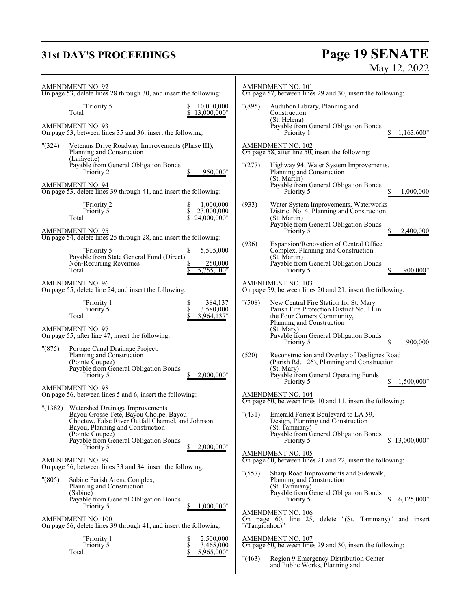# **31st DAY'S PROCEEDINGS Page 19 SENATE** May 12, 2022

| <b>AMENDMENT NO. 92</b><br>On page 53, delete lines 28 through 30, and insert the following:                                                                                                                                                                         | AMENDMENT NO. 101<br>On page 57, between lines 29 and 30, insert the following:                                                                                                                                                                               |  |  |
|----------------------------------------------------------------------------------------------------------------------------------------------------------------------------------------------------------------------------------------------------------------------|---------------------------------------------------------------------------------------------------------------------------------------------------------------------------------------------------------------------------------------------------------------|--|--|
| "Priority 5<br>10,000,000<br>13,000,000"<br>Total<br><b>AMENDMENT NO. 93</b>                                                                                                                                                                                         | "(895)<br>Audubon Library, Planning and<br>Construction<br>(St. Helena)<br>Payable from General Obligation Bonds                                                                                                                                              |  |  |
| On page 53, between lines 35 and 36, insert the following:<br>(324)<br>Veterans Drive Roadway Improvements (Phase III),<br>Planning and Construction<br>(Lafayette)                                                                                                  | Priority 1<br>1,163,600"<br><b>AMENDMENT NO. 102</b><br>On page 58, after line 50, insert the following:                                                                                                                                                      |  |  |
| Payable from General Obligation Bonds<br>Priority 2<br>950,000"<br><b>AMENDMENT NO. 94</b><br>On page 53, delete lines 39 through 41, and insert the following:                                                                                                      | "(277)<br>Highway 94, Water System Improvements,<br>Planning and Construction<br>(St. Martin)<br>Payable from General Obligation Bonds<br>1,000,000<br>Priority 5                                                                                             |  |  |
| "Priority 2<br>1,000,000<br>S<br>\$<br>23,000,000<br>Priority 5<br>Total<br>24,000,000"                                                                                                                                                                              | Water System Improvements, Waterworks<br>(933)<br>District No. 4, Planning and Construction<br>(St. Martin)<br>Payable from General Obligation Bonds                                                                                                          |  |  |
| <b>AMENDMENT NO. 95</b><br>On page 54, delete lines 25 through 28, and insert the following:<br>"Priority 5<br>\$<br>5,505,000<br>Payable from State General Fund (Direct)<br>Non-Recurring Revenues<br>250,000<br>5,755,000"<br>Total                               | Priority 5<br>2,400,000<br>(936)<br>Expansion/Renovation of Central Office<br>Complex, Planning and Construction<br>(St. Martin)<br>Payable from General Obligation Bonds<br>Priority 5<br>900,000"                                                           |  |  |
| <b>AMENDMENT NO. 96</b><br>On page 55, delete line 24, and insert the following:                                                                                                                                                                                     | AMENDMENT NO. 103<br>On page 59, between lines 20 and 21, insert the following:                                                                                                                                                                               |  |  |
| "Priority 1<br>\$<br>384,137<br>\$<br>3,580,000<br>Priority 5<br>3,964,137"<br>Total<br><b>AMENDMENT NO. 97</b>                                                                                                                                                      | " (508)<br>New Central Fire Station for St. Mary<br>Parish Fire Protection District No. 11 in<br>the Four Corners Community,<br>Planning and Construction<br>(St. Mary)                                                                                       |  |  |
| On page 55, after line 47, insert the following:<br>"(875)<br>Portage Canal Drainage Project,<br>Planning and Construction<br>(Pointe Coupee)<br>Payable from General Obligation Bonds<br>Priority 5<br>2,000,000"                                                   | Payable from General Obligation Bonds<br>Priority 5<br>900,000<br>(520)<br>Reconstruction and Overlay of Deslignes Road<br>(Parish Rd. 126), Planning and Construction<br>(St. Mary)<br>Payable from General Operating Funds<br>1,500,000"<br>Priority 5<br>S |  |  |
| <b>AMENDMENT NO. 98</b><br>On page 56, between lines 5 and 6, insert the following:                                                                                                                                                                                  | AMENDMENT NO. 104<br>On page 60, between lines 10 and 11, insert the following:                                                                                                                                                                               |  |  |
| Watershed Drainage Improvements<br>(1382)<br>Bayou Grosse Tete, Bayou Cholpe, Bayou<br>Choctaw, False River Outfall Channel, and Johnson<br>Bayou, Planning and Construction<br>(Pointe Coupee)<br>Payable from General Obligation Bonds<br>2,000,000"<br>Priority 5 | Emerald Forrest Boulevard to LA 59,<br>" (431)<br>Design, Planning and Construction<br>(St. Tammany)<br>Payable from General Obligation Bonds<br>Priority 5<br>\$13,000,000"                                                                                  |  |  |
| <b>AMENDMENT NO. 99</b><br>On page 56, between lines 33 and 34, insert the following:                                                                                                                                                                                | <b>AMENDMENT NO. 105</b><br>On page 60, between lines 21 and 22, insert the following:<br>" (557)<br>Sharp Road Improvements and Sidewalk,                                                                                                                    |  |  |
| "(805)<br>Sabine Parish Arena Complex,<br>Planning and Construction<br>(Sabine)<br>Payable from General Obligation Bonds<br>1,000,000"<br>Priority 5                                                                                                                 | Planning and Construction<br>(St. Tammany)<br>Payable from General Obligation Bonds<br>Priority 5<br>6,125,000"                                                                                                                                               |  |  |
| AMENDMENT NO. 100<br>On page 56, delete lines 39 through 41, and insert the following:                                                                                                                                                                               | AMENDMENT NO. 106<br>On page 60, line 25, delete "(St. Tammany)"<br>and insert<br>"(Tangipahoa)"                                                                                                                                                              |  |  |
| "Priority 1<br>2,500,000<br>S<br>\$<br>3,465,000<br>Priority 5<br>5,965,000"<br>Total                                                                                                                                                                                | AMENDMENT NO. 107<br>On page 60, between lines 29 and 30, insert the following:<br>" (463)<br>Region 9 Emergency Distribution Center<br>and Public Works, Planning and                                                                                        |  |  |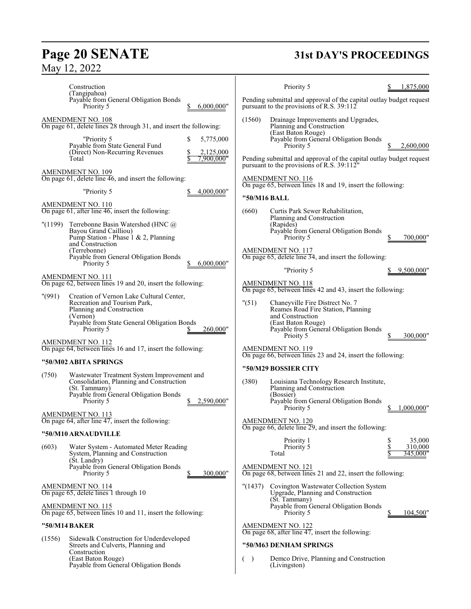# **Page 20 SENATE**<br>May 12, 2022

# **31st DAY'S PROCEEDINGS**

|                          | Construction<br>(Tangipahoa)                                                                                                                                                           |                    | Priority 5                                                                                                                                                        | 1,875,000                 |
|--------------------------|----------------------------------------------------------------------------------------------------------------------------------------------------------------------------------------|--------------------|-------------------------------------------------------------------------------------------------------------------------------------------------------------------|---------------------------|
|                          | Payable from General Obligation Bonds<br>Priority 5<br>6,000,000"                                                                                                                      |                    | Pending submittal and approval of the capital outlay budget request<br>pursuant to the provisions of R.S. 39:112                                                  |                           |
| <b>AMENDMENT NO. 108</b> | On page 61, delete lines 28 through 31, and insert the following:<br>"Priority 5<br>\$<br>5,775,000<br>Payable from State General Fund<br>(Direct) Non-Recurring Revenues<br>2,125,000 | (1560)             | Drainage Improvements and Upgrades,<br>Planning and Construction<br>(East Baton Rouge)<br>Payable from General Obligation Bonds<br>Priority 5                     | 2,600,000                 |
| Total                    | 7.900.000"                                                                                                                                                                             |                    | Pending submittal and approval of the capital outlay budget request<br>pursuant to the provisions of R.S. 39:112"                                                 |                           |
| <b>AMENDMENT NO. 109</b> | On page 61, delete line 46, and insert the following:                                                                                                                                  |                    | AMENDMENT NO. 116<br>On page 65, between lines 18 and 19, insert the following:                                                                                   |                           |
|                          | "Priority 5<br>4,000,000"                                                                                                                                                              |                    | "50/M16 BALL                                                                                                                                                      |                           |
| AMENDMENT NO. 110        | On page 61, after line 46, insert the following:                                                                                                                                       | (660)              | Curtis Park Sewer Rehabilitation,<br>Planning and Construction                                                                                                    |                           |
| "(1199)                  | Terrebonne Basin Watershed (HNC @)<br>Bayou Grand Cailliou)<br>Pump Station - Phase 1 & 2, Planning<br>and Construction                                                                |                    | (Rapides)<br>Payable from General Obligation Bonds<br>Priority 5                                                                                                  | 700,000"                  |
|                          | (Terrebonne)<br>Payable from General Obligation Bonds<br>6,000,000"<br>Priority 5                                                                                                      |                    | <b>AMENDMENT NO. 117</b><br>On page $65$ , delete line $34$ , and insert the following:                                                                           |                           |
| AMENDMENT NO. 111        |                                                                                                                                                                                        |                    | "Priority 5                                                                                                                                                       | 9,500,000"                |
|                          | On page 62, between lines 19 and 20, insert the following:                                                                                                                             |                    | <b>AMENDMENT NO. 118</b><br>On page 65, between lines 42 and 43, insert the following:                                                                            |                           |
| " (991)                  | Creation of Vernon Lake Cultural Center,<br>Recreation and Tourism Park,<br>Planning and Construction<br>(Vernon)<br>Payable from State General Obligation Bonds<br>Priority 5         | "(51)<br>260,000"  | Chaneyville Fire Distrect No. 7<br>Reames Road Fire Station, Planning<br>and Construction<br>(East Baton Rouge)<br>Payable from General Obligation Bonds          |                           |
| <b>AMENDMENT NO. 112</b> | On page 64, between lines 16 and 17, insert the following:                                                                                                                             |                    | Prioity 5<br><b>AMENDMENT NO. 119</b>                                                                                                                             | 300,000"                  |
|                          | "50/M02 ABITA SPRINGS                                                                                                                                                                  |                    | On page 66, between lines 23 and 24, insert the following:                                                                                                        |                           |
| (750)                    | Wastewater Treatment System Improvement and<br>Consolidation, Planning and Construction<br>(St. Tammany)<br>Payable from General Obligation Bonds<br>Priority 5<br>2,590,000"          | (380)              | "50/M29 BOSSIER CITY<br>Louisiana Technology Research Institute,<br>Planning and Construction<br>(Bossier)<br>Payable from General Obligation Bonds<br>Priority 5 | 1.000.000"                |
| AMENDMENT NO. 113        | On page $64$ , after line $47$ , insert the following:                                                                                                                                 |                    | $\frac{\text{AMENDMENT NO. 120}}{\text{On page 66, delete line 29}}$ , and insert the following:                                                                  |                           |
|                          | "50/M10 ARNAUDVILLE                                                                                                                                                                    |                    | Priority 1                                                                                                                                                        | \$<br>35,000              |
| (603)                    | Water System - Automated Meter Reading<br>System, Planning and Construction<br>(St. Landry)                                                                                            |                    | Priority 5<br>Total                                                                                                                                               | \$<br>310,000<br>345,000" |
|                          | Payable from General Obligation Bonds<br>Priority 5<br>\$                                                                                                                              | 300,000"           | AMENDMENT NO. 121<br>On page 68, between lines 21 and 22, insert the following:                                                                                   |                           |
|                          | AMENDMENT NO. 114<br>On page 65, delete lines 1 through 10                                                                                                                             | "(1437)            | Covington Wastewater Collection System<br>Upgrade, Planning and Construction<br>(St. Tammany)                                                                     |                           |
| AMENDMENT NO. 115        | On page 65, between lines 10 and 11, insert the following:                                                                                                                             |                    | Payable from General Obligation Bonds<br>Priority 5                                                                                                               | 104,500"                  |
| "50/M14 BAKER            |                                                                                                                                                                                        |                    | <b>AMENDMENT NO. 122</b><br>On page $68$ , after line $47$ , insert the following:                                                                                |                           |
| (1556)                   | Sidewalk Construction for Underdeveloped<br>Streets and Culverts, Planning and                                                                                                         |                    | "50/M63 DENHAM SPRINGS                                                                                                                                            |                           |
|                          | Construction<br>(East Baton Rouge)<br>Payable from General Obligation Bonds                                                                                                            | $\rightarrow$<br>€ | Demco Drive, Planning and Construction<br>(Livingston)                                                                                                            |                           |
|                          |                                                                                                                                                                                        |                    |                                                                                                                                                                   |                           |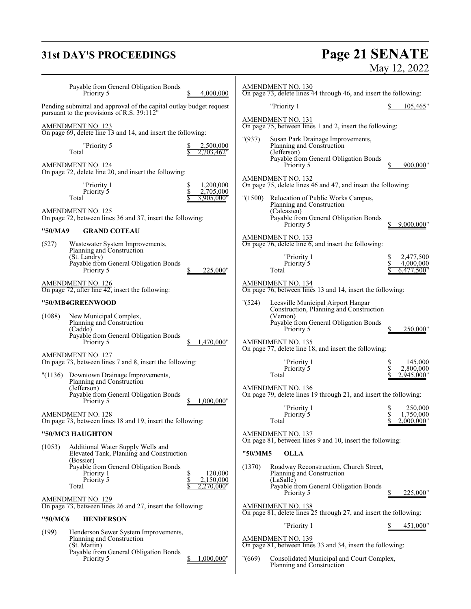# **31st DAY'S PROCEEDINGS**

# **Page 21 SENATE**<br>May 12, 2022

| Payable from General Obligation Bonds<br>4,000,000<br>Priority 5                                                               | <b>AMENDMENT NO. 130</b><br>On page 73, delete lines 44 through 46, and insert the following:                                                                  |
|--------------------------------------------------------------------------------------------------------------------------------|----------------------------------------------------------------------------------------------------------------------------------------------------------------|
| Pending submittal and approval of the capital outlay budget request<br>pursuant to the provisions of R.S. 39:112 <sup>th</sup> | "Priority 1<br><u>105,465</u> "                                                                                                                                |
| <b>AMENDMENT NO. 123</b><br>On page 69, delete line 13 and 14, and insert the following:                                       | <b>AMENDMENT NO. 131</b><br>On page 75, between lines 1 and 2, insert the following:                                                                           |
| "Priority 5<br>2,500,000<br>Total<br>.,703,462"<br>AMENDMENT NO. 124<br>On page 72, delete line 20, and insert the following:  | "(937)<br>Susan Park Drainage Improvements,<br>Planning and Construction<br>(Jefferson)<br>Payable from General Obligation Bonds<br>900,000"<br>Priority 5     |
| 1,200,000<br>"Priority 1<br>\$<br>Priority 5<br>2,705,000                                                                      | AMENDMENT NO. 132<br>On page 75, delete lines 46 and 47, and insert the following:                                                                             |
| Total<br>3,905,000"<br><b>AMENDMENT NO. 125</b><br>On page 72, between lines 36 and 37, insert the following:                  | "(1500)<br>Relocation of Public Works Campus,<br>Planning and Construction<br>(Calcasieu)<br>Payable from General Obligation Bonds<br>Priority 5<br>9,000,000" |
| "50/MA9<br><b>GRAND COTEAU</b>                                                                                                 | AMENDMENT NO. 133                                                                                                                                              |
| (527)<br>Wastewater System Improvements,<br>Planning and Construction                                                          | On page $76$ , delete line $6$ , and insert the following:                                                                                                     |
| (St. Landry)<br>Payable from General Obligation Bonds                                                                          | "Priority 1<br>2,477,500<br>\$<br>\$<br>Priority 5<br>4,000,000                                                                                                |
| Priority 5<br>225,000"<br>\$                                                                                                   | Total<br>6,477,500"                                                                                                                                            |
| <b>AMENDMENT NO. 126</b><br>On page 72, after line 42, insert the following:                                                   | <b>AMENDMENT NO. 134</b><br>On page 76, between lines 13 and 14, insert the following:                                                                         |
| "50/MB4GREENWOOD                                                                                                               | " (524)<br>Leesville Municipal Airport Hangar<br>Construction, Planning and Construction                                                                       |
| (1088)<br>New Municipal Complex,<br>Planning and Construction<br>(Caddo)                                                       | (Vernon)<br>Payable from General Obligation Bonds<br>Priority 5<br>250,000"                                                                                    |
| Payable from General Obligation Bonds<br>1,470,000"<br>Priority 5                                                              | <b>AMENDMENT NO. 135</b>                                                                                                                                       |
| AMENDMENT NO. 127<br>On page 73, between lines 7 and 8, insert the following:                                                  | On page 77, delete line 18, and insert the following:<br>"Priority 1<br>145,000<br>\$                                                                          |
| "(1136) Downtown Drainage Improvements,                                                                                        | \$<br>Priority 5<br>2,800,000<br>Total<br>2,945,000"                                                                                                           |
| Planning and Construction<br>(Jefferson)<br>Payable from General Obligation Bonds<br>1,000,000"<br>Priority 5                  | AMENDMENT NO. 136<br>On page 79, delete lines 19 through 21, and insert the following:                                                                         |
| <b>AMENDMENT NO. 128</b>                                                                                                       | "Priority 1<br>250,000<br>\$<br>Priority 5<br>1,750,000                                                                                                        |
| On page 73, between lines 18 and 19, insert the following:                                                                     | 2,000,000"<br>Total                                                                                                                                            |
| "50/MC3 HAUGHTON                                                                                                               | <b>AMENDMENT NO. 137</b><br>On page 81, between lines 9 and 10, insert the following:                                                                          |
| (1053)<br>Additional Water Supply Wells and<br>Elevated Tank, Planning and Construction                                        | "50/MM5<br><b>OLLA</b>                                                                                                                                         |
| (Bossier)<br>Payable from General Obligation Bonds<br>\$<br>120,000<br>Priority 1<br>Priority 5<br>\$<br>2,150,000             | Roadway Reconstruction, Church Street,<br>(1370)<br>Planning and Construction<br>(LaSalle)                                                                     |
| 2.270.000"<br>Total                                                                                                            | Payable from General Obligation Bonds<br>225,000"<br>Priority 5                                                                                                |
| <b>AMENDMENT NO. 129</b><br>On page 73, between lines 26 and 27, insert the following:                                         | AMENDMENT NO. 138<br>On page 81, delete lines 25 through 27, and insert the following:                                                                         |
| "50/MC6<br><b>HENDERSON</b>                                                                                                    | "Priority 1<br>451,000"                                                                                                                                        |
| (199)<br>Henderson Sewer System Improvements,<br>Planning and Construction                                                     | <b>AMENDMENT NO. 139</b>                                                                                                                                       |
| (St. Martin)<br>Payable from General Obligation Bonds                                                                          | On page 81, between lines 33 and 34, insert the following:                                                                                                     |
| Priority 5<br>,000,000"                                                                                                        | "(669)<br>Consolidated Municipal and Court Complex,<br>Planning and Construction                                                                               |
|                                                                                                                                |                                                                                                                                                                |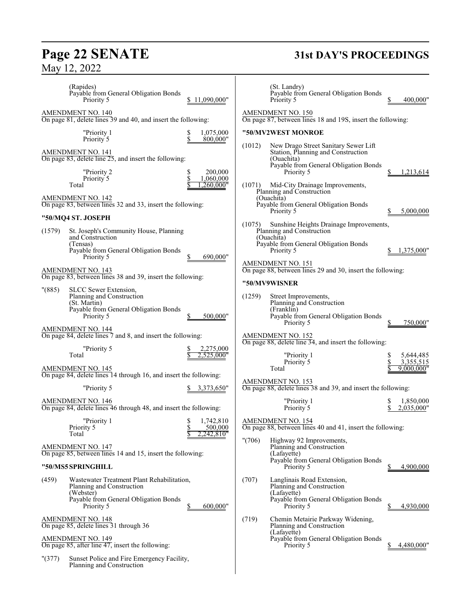# **Page 22 SENATE**<br>May 12, 2022

# **31st DAY'S PROCEEDINGS**

| (Rapides)<br>Payable from General Obligation Bonds<br>11.090.000"<br>Priority 5               | (St. Landry)<br>Payable from General Obligation Bonds<br>400.000"<br>Priority 5                                                             |
|-----------------------------------------------------------------------------------------------|---------------------------------------------------------------------------------------------------------------------------------------------|
| AMENDMENT NO. 140<br>On page 81, delete lines 39 and 40, and insert the following:            | AMENDMENT NO. 150<br>On page 87, between lines 18 and 19S, insert the following:                                                            |
| "Priority 1<br>\$<br>1,075,000<br>\$<br>Priority 5<br>800,000"                                | "50/MV2WEST MONROE                                                                                                                          |
| <u>AMENDMENT NO. 141</u><br>On page 83, delete line $25$ , and insert the following:          | New Drago Street Sanitary Sewer Lift<br>(1012)<br>Station, Planning and Construction<br>(Ouachita)<br>Payable from General Obligation Bonds |
| 200,000<br>"Priority 2<br>S<br>Priority 5<br>1,060,000<br>260.000"<br>Total                   | Priority 5<br>1,213,614<br>(1071)<br>Mid-City Drainage Improvements,                                                                        |
| AMENDMENT NO. 142<br>On page 83, between lines 32 and 33, insert the following:               | Planning and Construction<br>(Ouachita)<br>Payable from General Obligation Bonds                                                            |
| "50/MQ4 ST. JOSEPH                                                                            | 5,000,000<br>Priority 5                                                                                                                     |
| (1579)<br>St. Joseph's Community House, Planning<br>and Construction<br>(Tensas)              | (1075)<br>Sunshine Heights Drainage Improvements,<br>Planning and Construction<br>(Ouachita)<br>Payable from General Obligation Bonds       |
| Payable from General Obligation Bonds<br>690,000"<br>Priority 5                               | Priority 5<br>1,375,000"<br>AMENDMENT NO. 151                                                                                               |
| AMENDMENT NO. 143<br>On page 83, between lines 38 and 39, insert the following:               | On page 88, between lines 29 and 30, insert the following:                                                                                  |
| "(885)<br>SLCC Sewer Extension,                                                               | "50/MV9WISNER                                                                                                                               |
| Planning and Construction<br>(St. Martin)<br>Payable from General Obligation Bonds            | (1259)<br>Street Improvements,<br>Planning and Construction<br>(Franklin)                                                                   |
| Priority 5<br>500,000"                                                                        | Payable from General Obligation Bonds<br>750,000"<br>Priority 5                                                                             |
| AMENDMENT NO. 144<br>On page 84, delete lines 7 and 8, and insert the following:              | AMENDMENT NO. 152<br>On page 88, delete line 34, and insert the following:                                                                  |
| "Priority 5<br>2,275,000<br>Total<br>2,525,000"                                               | "Priority 1<br>5,644,485<br>Priority 5<br>3,355,515                                                                                         |
| <b>AMENDMENT NO. 145</b><br>On page 84, delete lines 14 through 16, and insert the following: | 9,000,000"<br>Total                                                                                                                         |
| "Priority 5<br>3,373,650"                                                                     | <b>AMENDMENT NO. 153</b><br>On page 88, delete lines 38 and 39, and insert the following:                                                   |
| AMENDMENT NO. 146<br>On page 84, delete lines 46 through 48, and insert the following:        | 1,850,000<br>"Priority 1<br>\$<br>Priority 5<br>2,035,000"                                                                                  |
| 1,742,810<br>"Priority 1<br>S<br>Priority 5<br>500,000<br>.242.810"<br>Total                  | <b>AMENDMENT NO. 154</b><br>On page 88, between lines 40 and 41, insert the following:                                                      |
| AMENDMENT NO. 147<br>On page 85, between lines 14 and 15, insert the following:               | "(706)<br>Highway 92 Improvements,<br>Planning and Construction<br>(Lafayette)                                                              |
| "50/MS5 SPRINGHILL                                                                            | Payable from General Obligation Bonds<br>Priority 5<br>4,900,000                                                                            |
| (459)<br>Wastewater Treatment Plant Rehabilitation,<br>Planning and Construction<br>(Webster) | (707)<br>Langlinais Road Extension,<br>Planning and Construction<br>(Lafayette)                                                             |
| Payable from General Obligation Bonds<br>600,000"<br>Priority 5                               | Payable from General Obligation Bonds<br>4,930,000<br>Priority 5                                                                            |
| <u>AMENDMENT NO. 148</u><br>On page 85, delete lines 31 through 36                            | (719)<br>Chemin Metairie Parkway Widening,<br>Planning and Construction                                                                     |
| <b>AMENDMENT NO. 149</b><br>On page 85, after line 47, insert the following:                  | (Lafayette)<br>Payable from General Obligation Bonds<br>Priority 5<br>4,480,000"                                                            |
| "(377)<br>Sunset Police and Fire Emergency Facility,<br>Planning and Construction             |                                                                                                                                             |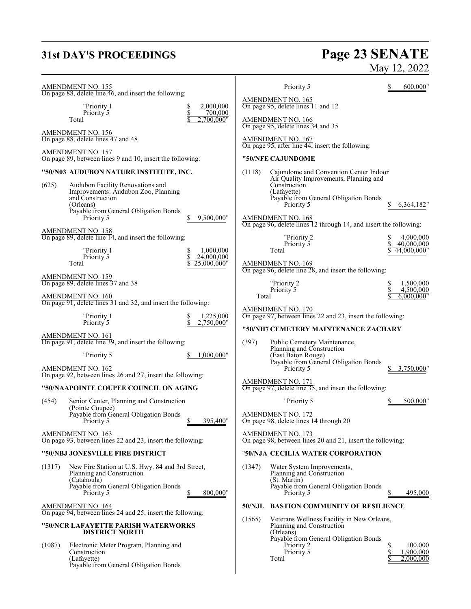# **31st DAY'S PROCEEDINGS**

# **Page 23 SENATE**<br>May 12, 2022

|        | AMENDMENT NO. 155<br>On page 88, delete line 46, and insert the following:                        |        | Priority 5                                                                             | 600,000"                        |
|--------|---------------------------------------------------------------------------------------------------|--------|----------------------------------------------------------------------------------------|---------------------------------|
|        | "Priority 1<br>\$<br>2,000,000                                                                    |        | <b>AMENDMENT NO. 165</b><br>On page 95, delete lines 11 and 12                         |                                 |
|        | \$<br>700,000<br>Priority 5<br>Total<br>,700,000"                                                 |        | <b>AMENDMENT NO. 166</b><br>On page 95, delete lines 34 and 35                         |                                 |
|        | <b>AMENDMENT NO. 156</b><br>On page 88, delete lines 47 and 48                                    |        | AMENDMENT NO. 167<br>On page 95, after line 44, insert the following:                  |                                 |
|        | <b>AMENDMENT NO. 157</b><br>On page 89, between lines 9 and 10, insert the following:             |        | "50/NFE CAJUNDOME                                                                      |                                 |
|        | "50/N03 AUDUBON NATURE INSTITUTE, INC.                                                            | (1118) | Cajundome and Convention Center Indoor                                                 |                                 |
| (625)  | Audubon Facility Renovations and<br>Improvements: Áudubon Zoo, Planning                           |        | Air Quality Improvements, Planning and<br>Construction<br>(Lafayette)                  |                                 |
|        | and Construction<br>(Orleans)                                                                     |        | Payable from General Obligation Bonds<br>Priority 5                                    | 6,364,182"                      |
|        | Payable from General Obligation Bonds<br>Priority 5<br>9,500,000"                                 |        | AMENDMENT NO. 168<br>On page 96, delete lines 12 through 14, and insert the following: |                                 |
|        | AMENDMENT NO. 158<br>On page 89, delete line 14, and insert the following:                        |        | "Priority 2                                                                            | 4,000,000                       |
|        | 1,000,000<br>"Priority 1<br>\$                                                                    |        | Priority 5<br>Total                                                                    | \$<br>40,000,000<br>44,000,000" |
|        | \$<br>Priority 5<br>24,000,000<br>25.000.000"<br>Total                                            |        | <b>AMENDMENT NO. 169</b><br>On page 96, delete line 28, and insert the following:      |                                 |
|        | <b>AMENDMENT NO. 159</b><br>On page 89, delete lines 37 and 38                                    |        | "Priority 2<br>Priority 5                                                              | \$<br>1.500.000<br>4,500,000    |
|        | <b>AMENDMENT NO. 160</b><br>On page 91, delete lines 31 and 32, and insert the following:         | Total  |                                                                                        | 6,000,000"                      |
|        | "Priority 1<br>1,225,000<br>\$<br>\$<br>Priority 5<br>2,750,000"                                  |        | AMENDMENT NO. 170<br>On page 97, between lines 22 and 23, insert the following:        |                                 |
|        | AMENDMENT NO. 161                                                                                 |        | "50/NH7 CEMETERY MAINTENANCE ZACHARY                                                   |                                 |
|        | On page 91, delete line 39, and insert the following:                                             | (397)  | Public Cemetery Maintenance,<br>Planning and Construction                              |                                 |
|        | "Priority 5<br>1.000.000"<br>AMENDMENT NO. 162                                                    |        | (East Baton Rouge)<br>Payable from General Obligation Bonds<br>Priority 5              | \$<br>3,750,000"                |
|        | On page 92, between lines 26 and 27, insert the following:                                        |        |                                                                                        |                                 |
|        | "50/NAAPOINTE COUPEE COUNCIL ON AGING                                                             |        | AMENDMENT NO. 171<br>On page 97, delete line 35, and insert the following:             |                                 |
| (454)  | Senior Center, Planning and Construction<br>(Pointe Coupee)                                       |        | "Priority 5                                                                            | 500,000"                        |
|        | Payable from General Obligation Bonds<br>¢<br>395,400"<br>Priority 5                              |        | <b>AMENDMENT NO. 172</b><br>On page 98, delete lines 14 through 20                     |                                 |
|        | <b>AMENDMENT NO. 163</b><br>On page 93, between lines 22 and 23, insert the following:            |        | <b>AMENDMENT NO. 173</b><br>On page 98, between lines 20 and 21, insert the following: |                                 |
|        | "50/NBJ JONESVILLE FIRE DISTRICT                                                                  |        | "50/NJA CECILIA WATER CORPORATION                                                      |                                 |
| (1317) | New Fire Station at U.S. Hwy. 84 and 3rd Street,<br>Planning and Construction<br>(Catahoula)      | (1347) | Water System Improvements,<br>Planning and Construction<br>(St. Martin)                |                                 |
|        | Payable from General Obligation Bonds<br>800,000"<br>Priority 5<br>\$                             |        | Payable from General Obligation Bonds<br>Priority 5                                    | 495,000                         |
|        | AMENDMENT NO. 164                                                                                 |        | 50/NJL BASTION COMMUNITY OF RESILIENCE                                                 |                                 |
|        | On page 94, between lines 24 and 25, insert the following:<br>"50/NCR LAFAYETTE PARISH WATERWORKS | (1565) | Veterans Wellness Facility in New Orleans,<br>Planning and Construction                |                                 |
| (1087) | <b>DISTRICT NORTH</b><br>Electronic Meter Program, Planning and                                   |        | (Orleans)<br>Payable from General Obligation Bonds<br>Priority 2                       | S<br>100,000                    |
|        | Construction<br>(Lafayette)<br>Payable from General Obligation Bonds                              |        | Priority 5<br>Total                                                                    | \$<br>1,900,000<br>2,000,000    |
|        |                                                                                                   |        |                                                                                        |                                 |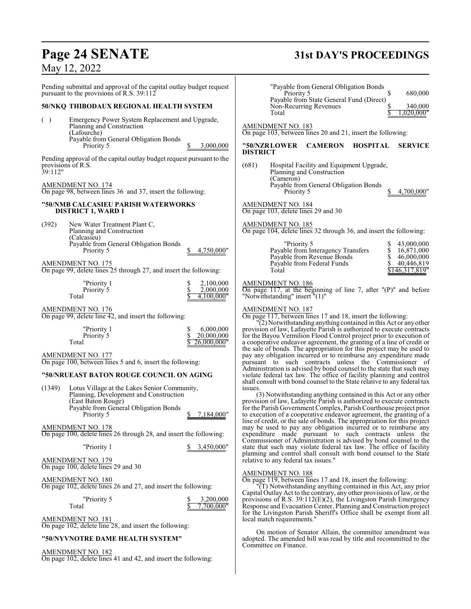# **Page 24 SENATE 31st DAY'S PROCEEDINGS**

## May 12, 2022

On motion of Senator Allain, the committee amendment was adopted. The amended bill was read by title and recommitted to the

Committee on Finance.

| Pending submittal and approval of the capital outlay budget request<br>pursuant to the provisions of R.S. 39:112                                                                                                                                                                                                                                                                                                                                                                                          | "Payable from General Obligation Bonds<br>S<br>680,000<br>Priority 5<br>Payable from State General Fund (Direct)                                                                                                                                                                                                                                                                                                                                                                                                                                                                                                                                                                                                                                                                                                                                                                                                                                                                                                                                                                                                                                                                                      |
|-----------------------------------------------------------------------------------------------------------------------------------------------------------------------------------------------------------------------------------------------------------------------------------------------------------------------------------------------------------------------------------------------------------------------------------------------------------------------------------------------------------|-------------------------------------------------------------------------------------------------------------------------------------------------------------------------------------------------------------------------------------------------------------------------------------------------------------------------------------------------------------------------------------------------------------------------------------------------------------------------------------------------------------------------------------------------------------------------------------------------------------------------------------------------------------------------------------------------------------------------------------------------------------------------------------------------------------------------------------------------------------------------------------------------------------------------------------------------------------------------------------------------------------------------------------------------------------------------------------------------------------------------------------------------------------------------------------------------------|
| 50/NKQ THIBODAUX REGIONAL HEALTH SYSTEM                                                                                                                                                                                                                                                                                                                                                                                                                                                                   | Non-Recurring Revenues<br>340,000                                                                                                                                                                                                                                                                                                                                                                                                                                                                                                                                                                                                                                                                                                                                                                                                                                                                                                                                                                                                                                                                                                                                                                     |
| Emergency Power System Replacement and Upgrade,<br>( )<br>Planning and Construction<br>(Lafourche)<br>Payable from General Obligation Bonds<br>3,000,000<br>Priority 5                                                                                                                                                                                                                                                                                                                                    | .020.000"<br>Total<br>AMENDMENT NO. 183<br>On page 103, between lines 20 and 21, insert the following:<br>"50/NZRLOWER<br><b>CAMERON</b><br>HOSPITAL<br><b>SERVICE</b>                                                                                                                                                                                                                                                                                                                                                                                                                                                                                                                                                                                                                                                                                                                                                                                                                                                                                                                                                                                                                                |
| Pending approval of the capital outlay budget request pursuant to the<br>provisions of R.S.<br>39:112"<br>AMENDMENT NO. 174<br>On page 98, between lines 36 and 37, insert the following:                                                                                                                                                                                                                                                                                                                 | <b>DISTRICT</b><br>(681)<br>Hospital Facility and Equipment Upgrade,<br>Planning and Construction<br>(Cameron)<br>Payable from General Obligation Bonds<br>Priority 5<br>4,700,000"                                                                                                                                                                                                                                                                                                                                                                                                                                                                                                                                                                                                                                                                                                                                                                                                                                                                                                                                                                                                                   |
| "50/NMB CALCASIEU PARISH WATERWORKS<br><b>DISTRICT 1, WARD 1</b>                                                                                                                                                                                                                                                                                                                                                                                                                                          | <b>AMENDMENT NO. 184</b><br>On page 103, delete lines 29 and 30                                                                                                                                                                                                                                                                                                                                                                                                                                                                                                                                                                                                                                                                                                                                                                                                                                                                                                                                                                                                                                                                                                                                       |
| (392)<br>New Water Treatment Plant C,<br>Planning and Construction<br>(Calcasieu)                                                                                                                                                                                                                                                                                                                                                                                                                         | AMENDMENT NO. 185<br>On page 104, delete lines 32 through 36, and insert the following:                                                                                                                                                                                                                                                                                                                                                                                                                                                                                                                                                                                                                                                                                                                                                                                                                                                                                                                                                                                                                                                                                                               |
| Payable from General Obligation Bonds<br>Priority 5<br>4,750,000"<br>AMENDMENT NO. 175<br>On page 99, delete lines 25 through 27, and insert the following:                                                                                                                                                                                                                                                                                                                                               | "Priority 5<br>43,000,000<br>Payable from Interagency Transfers<br>\$<br>16,871,000<br>\$<br>Payable from Revenue Bonds<br>46,000,000<br>\$<br>40,446,819<br>Payable from Federal Funds<br>Total<br>\$146.317.819"                                                                                                                                                                                                                                                                                                                                                                                                                                                                                                                                                                                                                                                                                                                                                                                                                                                                                                                                                                                    |
| "Priority 1<br>2,100,000<br>\$<br>\$<br>2,000,000<br>Priority 5<br>Total<br>4.100.000"                                                                                                                                                                                                                                                                                                                                                                                                                    | <b>AMENDMENT NO. 186</b><br>On page 117, at the beginning of line 7, after $P$ )" and before<br>"Notwithstanding" insert "(1)"                                                                                                                                                                                                                                                                                                                                                                                                                                                                                                                                                                                                                                                                                                                                                                                                                                                                                                                                                                                                                                                                        |
| AMENDMENT NO. 176<br>On page 99, delete line 42, and insert the following:<br>6,000,000<br>"Priority 1<br>\$<br>\$<br>Priority 5<br>20,000,000<br>Total<br>26,000,000"<br>AMENDMENT NO. 177<br>On page 100, between lines 5 and 6, insert the following:<br>"50/NRUEAST BATON ROUGE COUNCIL ON AGING<br>(1349)<br>Lotus Village at the Lakes Senior Community,<br>Planning, Development and Construction<br>(East Baton Rouge)<br>Payable from General Obligation Bonds<br>7,184,000"<br>Priority 5<br>\$ | <b>AMENDMENT NO. 187</b><br>On page 117, between lines 17 and 18, insert the following:<br>'(2) Notwithstanding anything contained in this Act or any other<br>provision of law, Lafayette Parish is authorized to execute contracts<br>for the Bayou Vermilion Flood Control project prior to execution of<br>a cooperative endeavor agreement, the granting of a line of credit or<br>the sale of bonds. The appropriation for this project may be used to<br>pay any obligation incurred or to reimburse any expenditure made<br>pursuant to such contracts unless the Commissioner of<br>Administration is advised by bond counsel to the state that such may<br>violate federal tax law. The office of facility planning and control<br>shall consult with bond counsel to the State relative to any federal tax<br>issues.<br>(3) Notwithstanding anything contained in this Act or any other<br>provision of law, Lafayette Parish is authorized to execute contracts<br>for the Parish Government Complex, Parish Courthouse project prior<br>to execution of a cooperative endeavor agreement, the granting of a<br>line of credit, or the sale of bonds. The appropriation for this project |
| AMENDMENT NO. 178<br>On page 100, delete lines 26 through 28, and insert the following:<br>3,450,000"<br>"Priority 1<br>AMENDMENT NO. 179                                                                                                                                                                                                                                                                                                                                                                 | may be used to pay any obligation incurred or to reimburse any<br>expenditure made pursuant to such contracts unless the<br>Commissioner of Administration is advised by bond counsel to the<br>state that such may violate federal tax law. The office of facility<br>planning and control shall consult with bond counsel to the State<br>relative to any federal tax issues."                                                                                                                                                                                                                                                                                                                                                                                                                                                                                                                                                                                                                                                                                                                                                                                                                      |
| On page 100, delete lines 29 and 30<br>AMENDMENT NO. 180<br>On page 102, delete lines 26 and 27, and insert the following:<br>"Priority 5<br>3,200,000<br>7,700,000"<br>Total<br><b>AMENDMENT NO. 181</b>                                                                                                                                                                                                                                                                                                 | AMENDMENT NO. 188<br>On page 119, between lines 17 and 18, insert the following:<br>"(T) Notwithstanding anything contained in this Act, any prior<br>Capital Outlay Act to the contrary, any other provisions of law, or the<br>provisions of R.S. $39:112(E)(2)$ , the Livingston Parish Emergency<br>Response and Evacuation Center, Planning and Construction project<br>for the Livingston Parish Sheriff's Office shall be exempt from all<br>local match requirements."                                                                                                                                                                                                                                                                                                                                                                                                                                                                                                                                                                                                                                                                                                                        |

AMENDMENT NO. 181 On page 102, delete line 28, and insert the following:

## **"50/NYVNOTRE DAME HEALTH SYSTEM"**

AMENDMENT NO. 182

On page 102, delete lines 41 and 42, and insert the following: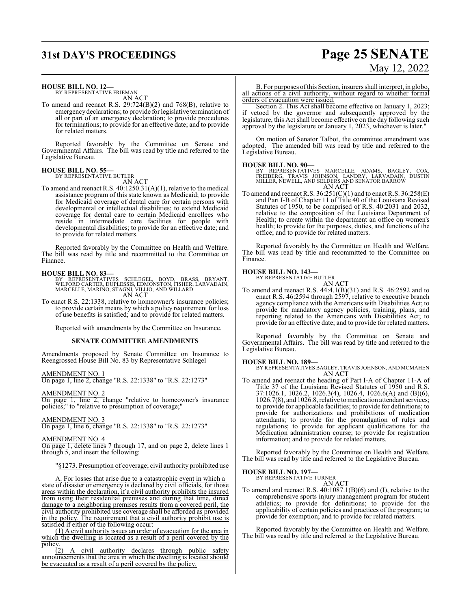# **31st DAY'S PROCEEDINGS Page 25 SENATE**

#### **HOUSE BILL NO. 12—**

BY REPRESENTATIVE FRIEMAN AN ACT

To amend and reenact R.S. 29:724(B)(2) and 768(B), relative to emergency declarations; to provide for legislative termination of all or part of an emergency declaration; to provide procedures for terminations; to provide for an effective date; and to provide for related matters.

Reported favorably by the Committee on Senate and Governmental Affairs. The bill was read by title and referred to the Legislative Bureau.

#### **HOUSE BILL NO. 55—** BY REPRESENTATIVE BUTLER

AN ACT

To amend and reenact R.S. 40:1250.31(A)(1), relative to the medical assistance program of this state known as Medicaid; to provide for Medicaid coverage of dental care for certain persons with developmental or intellectual disabilities; to extend Medicaid coverage for dental care to certain Medicaid enrollees who reside in intermediate care facilities for people with developmental disabilities; to provide for an effective date; and to provide for related matters.

Reported favorably by the Committee on Health and Welfare. The bill was read by title and recommitted to the Committee on Finance.

#### **HOUSE BILL NO. 83—**

- BY REPRESENTATIVES SCHLEGEL, BOYD, BRASS, BRYANT,<br>WILFORD CARTER,DUPLESSIS,EDMONSTON,FISHER,LARVADAIN,<br>MARCELLE,MARINO,STAGNI,VILLIO,AND WILLARD AN ACT
- To enact R.S. 22:1338, relative to homeowner's insurance policies; to provide certain means by which a policy requirement for loss of use benefits is satisfied; and to provide for related matters.

Reported with amendments by the Committee on Insurance.

#### **SENATE COMMITTEE AMENDMENTS**

Amendments proposed by Senate Committee on Insurance to Reengrossed House Bill No. 83 by Representative Schlegel

#### AMENDMENT NO. 1

On page 1, line 2, change "R.S. 22:1338" to "R.S. 22:1273"

#### AMENDMENT NO. 2

On page 1, line 2, change "relative to homeowner's insurance policies;" to "relative to presumption of coverage;"

#### AMENDMENT NO. 3

On page 1, line 6, change "R.S. 22:1338" to "R.S. 22:1273"

#### AMENDMENT NO. 4

On page 1, delete lines 7 through 17, and on page 2, delete lines 1 through 5, and insert the following:

#### "§1273. Presumption of coverage; civil authority prohibited use

A. For losses that arise due to a catastrophic event in which a state of disaster or emergency is declared by civil officials, for those areas within the declaration, if a civil authority prohibits the insured from using their residential premises and during that time, direct damage to a neighboring premises results from a covered peril, the civil authority prohibited use coverage shall be afforded as provided in the policy. The requirement that a civil authority prohibit use is satisfied if either of the following occur:

(1) A civil authority issues an order of evacuation for the area in which the dwelling is located as a result of a peril covered by the policy

(2) A civil authority declares through public safety announcements that the area in which the dwelling is located should be evacuated as a result of a peril covered by the policy.

#### B. For purposes ofthis Section, insurers shall interpret, in globo, all actions of a civil authority, without regard to whether formal orders of evacuation were issued.

Section 2. This Act shall become effective on January 1, 2023; if vetoed by the governor and subsequently approved by the legislature, this Act shall become effective on the day following such approval by the legislature or January 1, 2023, whichever is later."

On motion of Senator Talbot, the committee amendment was adopted. The amended bill was read by title and referred to the Legislative Bureau.

#### **HOUSE BILL NO. 90—**

BY REPRESENTATIVES MARCELLE, ADAMS, BAGLEY, COX,<br>FREIBERG, TRAVIS JOHNSON, LANDRY, LARVADAIN, DUSTIN<br>MILLER,NEWELL,AND SELDERS AND SENATOR BARROW AN ACT

To amend and reenact R.S. 36:251(C)(1) and to enact R.S. 36:258(E) and Part I-B of Chapter 11 of Title 40 of the Louisiana Revised Statutes of 1950, to be comprised of R.S. 40:2031 and 2032, relative to the composition of the Louisiana Department of Health; to create within the department an office on women's health; to provide for the purposes, duties, and functions of the office; and to provide for related matters.

Reported favorably by the Committee on Health and Welfare. The bill was read by title and recommitted to the Committee on Finance.

#### **HOUSE BILL NO. 143—** BY REPRESENTATIVE BUTLER



To amend and reenact R.S. 44:4.1(B)(31) and R.S. 46:2592 and to enact R.S. 46:2594 through 2597, relative to executive branch agency compliance with the Americans with Disabilities Act; to provide for mandatory agency policies, training, plans, and reporting related to the Americans with Disabilities Act; to provide for an effective date; and to provide for related matters.

Reported favorably by the Committee on Senate and Governmental Affairs. The bill was read by title and referred to the Legislative Bureau.

**HOUSE BILL NO. 189—** BY REPRESENTATIVES BAGLEY, TRAVIS JOHNSON, AND MCMAHEN AN ACT

To amend and reenact the heading of Part I-A of Chapter 11-A of Title 37 of the Louisiana Revised Statutes of 1950 and R.S. 37:1026.1, 1026.2, 1026.3(4), 1026.4, 1026.6(A) and (B)(6), 1026.7(8), and 1026.8, relative to medication attendant services; to provide for applicable facilities; to provide for definitions; to provide for authorizations and prohibitions of medication attendants; to provide for the promulgation of rules and regulations; to provide for applicant qualifications for the Medication administration course; to provide for registration information; and to provide for related matters.

Reported favorably by the Committee on Health and Welfare. The bill was read by title and referred to the Legislative Bureau.

#### **HOUSE BILL NO. 197—**

BY REPRESENTATIVE TURNER

#### AN ACT

To amend and reenact R.S. 40:1087.1(B)(6) and (I), relative to the comprehensive sports injury management program for student athletics; to provide for definitions; to provide for the applicability of certain policies and practices of the program; to provide for exemption; and to provide for related matters.

Reported favorably by the Committee on Health and Welfare. The bill was read by title and referred to the Legislative Bureau.

# May 12, 2022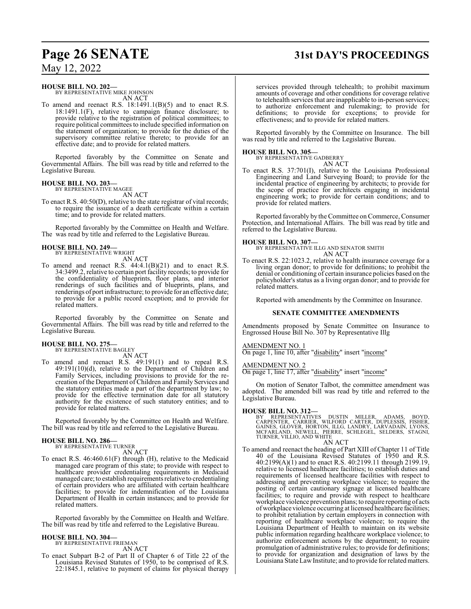## May 12, 2022

#### **HOUSE BILL NO. 202—**

BY REPRESENTATIVE MIKE JOHNSON AN ACT

To amend and reenact R.S. 18:1491.1(B)(5) and to enact R.S. 18:1491.1(F), relative to campaign finance disclosure; to provide relative to the registration of political committees; to require political committees to include specified information on the statement of organization; to provide for the duties of the supervisory committee relative thereto; to provide for an effective date; and to provide for related matters.

Reported favorably by the Committee on Senate and Governmental Affairs. The bill was read by title and referred to the Legislative Bureau.

## **HOUSE BILL NO. 203—** BY REPRESENTATIVE MAGEE

AN ACT

To enact R.S. 40:50(D), relative to the state registrar of vital records; to require the issuance of a death certificate within a certain time; and to provide for related matters.

Reported favorably by the Committee on Health and Welfare. The was read by title and referred to the Legislative Bureau.

#### **HOUSE BILL NO. 249—** BY REPRESENTATIVE WRIGHT

AN ACT

To amend and reenact R.S.  $44:4.1(B)(21)$  and to enact R.S. 34:3499.2, relative to certain port facility records; to provide for the confidentiality of blueprints, floor plans, and interior renderings of such facilities and of blueprints, plans, and renderings of port infrastructure; to provide for an effective date; to provide for a public record exception; and to provide for related matters.

Reported favorably by the Committee on Senate and Governmental Affairs. The bill was read by title and referred to the Legislative Bureau.

**HOUSE BILL NO. 275—** BY REPRESENTATIVE BAGLEY

AN ACT

To amend and reenact R.S. 49:191(1) and to repeal R.S. 49:191(10)(d), relative to the Department of Children and Family Services, including provisions to provide for the recreation of the Department of Children and Family Services and the statutory entities made a part of the department by law; to provide for the effective termination date for all statutory authority for the existence of such statutory entities; and to provide for related matters.

Reported favorably by the Committee on Health and Welfare. The bill was read by title and referred to the Legislative Bureau.

#### **HOUSE BILL NO. 286—** BY REPRESENTATIVE TURNER

AN ACT

To enact R.S. 46:460.61(F) through (H), relative to the Medicaid managed care program of this state; to provide with respect to healthcare provider credentialing requirements in Medicaid managed care; to establish requirements relative to credentialing of certain providers who are affiliated with certain healthcare facilities; to provide for indemnification of the Louisiana Department of Health in certain instances; and to provide for related matters.

Reported favorably by the Committee on Health and Welfare. The bill was read by title and referred to the Legislative Bureau.

#### **HOUSE BILL NO. 304—**

BY REPRESENTATIVE FRIEMAN AN ACT

To enact Subpart B-2 of Part II of Chapter 6 of Title 22 of the Louisiana Revised Statutes of 1950, to be comprised of R.S. 22:1845.1, relative to payment of claims for physical therapy

services provided through telehealth; to prohibit maximum amounts of coverage and other conditions for coverage relative to telehealth services that are inapplicable to in-person services; to authorize enforcement and rulemaking; to provide for definitions; to provide for exceptions; to provide for effectiveness; and to provide for related matters.

Reported favorably by the Committee on Insurance. The bill was read by title and referred to the Legislative Bureau.

#### **HOUSE BILL NO. 305—**

BY REPRESENTATIVE GADBERRY

AN ACT

To enact R.S. 37:701(I), relative to the Louisiana Professional Engineering and Land Surveying Board; to provide for the incidental practice of engineering by architects; to provide for the scope of practice for architects engaging in incidental engineering work; to provide for certain conditions; and to provide for related matters.

Reported favorably by the Committee on Commerce, Consumer Protection, and International Affairs. The bill was read by title and referred to the Legislative Bureau.

#### **HOUSE BILL NO. 307—**

BY REPRESENTATIVE ILLG AND SENATOR SMITH AN ACT

To enact R.S. 22:1023.2, relative to health insurance coverage for a living organ donor; to provide for definitions; to prohibit the denial or conditioning of certain insurance policies based on the policyholder's status as a living organ donor; and to provide for related matters.

Reported with amendments by the Committee on Insurance.

#### **SENATE COMMITTEE AMENDMENTS**

Amendments proposed by Senate Committee on Insurance to Engrossed House Bill No. 307 by Representative Illg

AMENDMENT NO. 1

On page 1, line 10, after "disability" insert "income"

AMENDMENT NO. 2

On page 1, line 17, after "disability" insert "income"

On motion of Senator Talbot, the committee amendment was adopted. The amended bill was read by title and referred to the Legislative Bureau.

**HOUSE BILL NO. 312—**<br>BY REPRESENTATIVES DUSTIN MILLER, ADAMS, BOYD,<br>CARPENTER, CARRIER, WILFORD CARTER, DUPLESSIS, FISHER,<br>GAINES, GLOVER, HORTON, ILLG, LANDRY, LARVADAIN, LYONS,<br>MCFARLAND, NEWELL, PIERRE, SCHLEGEL, SELDE

#### AN ACT

To amend and reenact the heading of Part XIII of Chapter 11 of Title 40 of the Louisiana Revised Statutes of 1950 and R.S. 40:2199(A)(1) and to enact R.S. 40:2199.11 through 2199.19, relative to licensed healthcare facilities; to establish duties and requirements of licensed healthcare facilities with respect to addressing and preventing workplace violence; to require the posting of certain cautionary signage at licensed healthcare facilities; to require and provide with respect to healthcare workplace violence prevention plans; to require reporting of acts ofworkplace violence occurring at licensed healthcare facilities; to prohibit retaliation by certain employers in connection with reporting of healthcare workplace violence; to require the Louisiana Department of Health to maintain on its website public information regarding healthcare workplace violence; to authorize enforcement actions by the department; to require promulgation of administrative rules; to provide for definitions; to provide for organization and designation of laws by the Louisiana State LawInstitute; and to provide for related matters.

## **Page 26 SENATE 31st DAY'S PROCEEDINGS**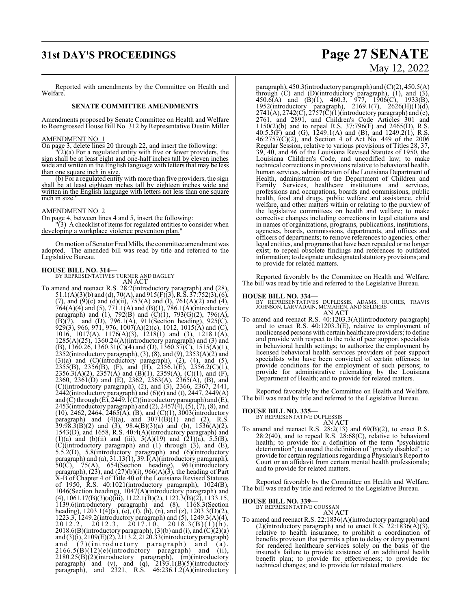## **31st DAY'S PROCEEDINGS Page 27 SENATE**

#### Reported with amendments by the Committee on Health and Welfare.

#### **SENATE COMMITTEE AMENDMENTS**

Amendments proposed by Senate Committee on Health and Welfare to Reengrossed House Bill No. 312 by Representative Dustin Miller

#### AMENDMENT NO. 1

On page 3, delete lines 20 through 22, and insert the following:

 $\Gamma(2)(a)$  For a regulated entity with five or fewer providers, the sign shall be at least eight and one-half inches tall by eleven inches wide and written in the English language with letters that may be less than one square inch in size.

(b) For a regulated entity with more than five providers, the sign shall be at least eighteen inches tall by eighteen inches wide and written in the English language with letters not less than one square inch in size.

#### AMENDMENT NO. 2

On page 4, between lines 4 and 5, insert the following:

"(3) A checklist of items for regulated entities to consider when developing a workplace violence prevention plan.

On motion of Senator Fred Mills, the committee amendment was adopted. The amended bill was read by title and referred to the Legislative Bureau.

#### **HOUSE BILL NO. 314—**

BY REPRESENTATIVES TURNER AND BAGLEY AN ACT

To amend and reenact R.S. 28:2(introductory paragraph) and (28), 51.1(A)(3)(b) and (d), 70(A), and 915(F)(3), R.S. 37:752(3),(6), (7), and (9)(c) and (d)(ii),  $753(A)$  and (I),  $761(A)(2)$  and (4), 764(A)(4) and (5), 771.1(A) and (B)(1), 786.1(A)(introductory paragraph) and (1), 792(B) and (C)(1), 793(G)(2), 796(A),  $(B)(7)$ , and  $(D)$ , 796.1(A), 911(Section heading), 925(C), 929(3), 966, 971, 976, 1007(A)(2)(c), 1012, 1015(A) and (C), 1016, 1017(A), 1176(A)(3), 1218(1) and (3), 1218.1(A),  $1285(A)(25)$ ,  $1360.24(A)(introductory paragraph)$  and  $(3)$  and (B), 1360.26, 1360.31(C)(4) and (D), 1360.37(C), 1515(A)(1), 2352(introductory paragraph), (3), (8), and (9), 2353(A)(2) and  $(3)(a)$  and  $(C)(introducing paragramh), (2), (4), and (5),$  $2355(B)$ ,  $2356(B)$ , (F), and (H),  $2356.1(E)$ ,  $2356.2(C)(1)$ , 2356.3(A)(2), 2357(A) and (B)(1), 2359(A), (C)(1), and (F), 2360, 2361(D) and (E), 2362, 2363(A), 2365(A), (B), and (C)(introductory paragraph), (2), and (3), 2366, 2367, 2441, 2442(introductory paragraph) and (6)(r) and (t), 2447, 2449(A) and (C) through (E), 2449.1(C)(introductory paragraph) and (E), 2453(introductory paragraph) and  $(2)$ , 2457 $(4)$ ,  $(5)$ ,  $(7)$ ,  $(8)$ , and (10), 2462, 2464, 2465(A), (B), and (C)(1), 3003(introductory paragraph) and  $(4)(a)$ , and  $3071(B)(1)$  and  $(2)$ , R.S.  $39:98.3(B)(2)$  and  $(3)$ ,  $98.4(B)(3)(a)$  and  $(b)$ ,  $1536(A)(2)$ , 1543(D), and 1658, R.S. 40:4(A)(introductory paragraph) and (1)(a) and (b)(ii) and (iii),  $5(\text{A})(19)$  and  $(21)(\text{a})$ ,  $5.5(\text{B})$ , (C)(introductory paragraph) and (1) through (3), and (E), 5.5.2(D), 5.8(introductory paragraph) and (6)(introductory paragraph) and (a), 31.13(1), 39.1(A)(introductory paragraph),  $50(\overline{C})$ ,  $75(A)$ ,  $654(Section$  heading),  $961(introductor)$ paragraph),  $(23)$ , and  $(27)(b)(i)$ , 966 $(A)(\overline{3})$ , the heading of Part X-B of Chapter 4 of Title 40 of the Louisiana Revised Statutes of 1950, R.S. 40:1021(introductory paragraph), 1024(B), 1046(Section heading), 1047(A)(introductory paragraph) and (4), 1061.17(B)(3)(a)(iii), 1122.1(B)(2), 1123.3(B)(2), 1133.15, 1139.6(introductory paragraph) and (8), 1168.3(Section heading), 1203.1(4)(a), (e), (f), (h), (n), and (z), 1203.3(D)(2), 1223.3, 1249.2(introductory paragraph) and (5), 1249.3(A)(4),  $2012.2, 2012.3, 2017.10, 2018.3(B)(1)(h),$  $2018.6(B)$ (introductory paragraph), (3)(b) and (i), and (C)(2)(a) and  $(3)(i)$ ,  $2109(E)(2)$ ,  $2113.2$ ,  $2120.33(introductor)$  paragraph) and (a). and (7)(introductory paragraph) and (a),  $2166.5(B)(12)(e)$ (introductory paragraph) and (ii), 2180.25(B)(2)(introductory paragraph), (m)(introductory paragraph) and (v), and (q),  $2193.1(B)(5)$ (introductory paragraph), and 2321, R.S. 46:236.1.2(A)(introductory

# May 12, 2022

paragraph),  $450.3$ (introductory paragraph) and  $(C)(2)$ ,  $450.5(A)$ through (C) and (D)(introductory paragraph), (1), and (3),  $450.6(A)$  and  $(B)(1)$ ,  $460.3$ ,  $977$ ,  $1906(C)$ ,  $1933(B)$ , 1952(introductory paragraph), 2169.1(7), 2626(H)(1)(d),  $2741(A), 2742(C), 2757(\overline{C})(1)$ (introductory paragraph) and (e), 2761, and 2891, and Children's Code Articles 301 and 1150(2)(b) and to repeal R.S. 37:796(F) and 2465(D), R.S. 40:5.5(F) and (G), 1249.1(A) and (B), and 1249.2(1), R.S.  $46:2757(C)(2)$ , and Section 4 of Act No. 449 of the 2006 Regular Session, relative to various provisions of Titles 28, 37, 39, 40, and 46 of the Louisiana Revised Statutes of 1950, the Louisiana Children's Code, and uncodified law; to make technical corrections in provisions relative to behavioral health, human services, administration of the Louisiana Department of Health, administration of the Department of Children and Family Services, healthcare institutions and services, professions and occupations, boards and commissions, public health, food and drugs, public welfare and assistance, child welfare, and other matters within or relating to the purview of the legislative committees on health and welfare; to make corrective changes including corrections in legal citations and in names of organizations, programs, publications, institutions, agencies, boards, commissions, departments, and offices and officers of departments; to remove references to agencies, other legal entities, and programs that have been repealed or no longer exist; to repeal obsolete findings and references to outdated information; to designate undesignated statutory provisions; and to provide for related matters.

Reported favorably by the Committee on Health and Welfare. The bill was read by title and referred to the Legislative Bureau.

- **HOUSE BILL NO. 334—** BY REPRESENTATIVES DUPLESSIS, ADAMS, HUGHES, TRAVIS JOHNSON, LARVADAIN, MCMAHEN, AND SELDERS AN ACT
- To amend and reenact R.S. 40:1203.3(A)(introductory paragraph) and to enact R.S. 40:1203.3(E), relative to employment of nonlicensed persons with certain healthcare providers; to define and provide with respect to the role of peer support specialists in behavioral health settings; to authorize the employment by licensed behavioral health services providers of peer support specialists who have been convicted of certain offenses; to provide conditions for the employment of such persons; to provide for administrative rulemaking by the Louisiana Department of Health; and to provide for related matters.

Reported favorably by the Committee on Health and Welfare. The bill was read by title and referred to the Legislative Bureau.

## **HOUSE BILL NO. 335—** BY REPRESENTATIVE DUPLESSIS

AN ACT To amend and reenact R.S.  $28:2(13)$  and  $69(B)(2)$ , to enact R.S. 28:2(40), and to repeal R.S. 28:68(C), relative to behavioral health; to provide for a definition of the term "psychiatric deterioration"; to amend the definition of "gravely disabled"; to provide for certain regulations regarding a Physician's Report to Court or an affidavit from certain mental health professionals; and to provide for related matters.

Reported favorably by the Committee on Health and Welfare. The bill was read by title and referred to the Legislative Bureau.

#### **HOUSE BILL NO. 339—**

BY REPRESENTATIVE COUSSAN AN ACT

To amend and reenact R.S. 22:1836(A)(introductory paragraph) and (2)(introductory paragraph) and to enact R.S.  $22:1836(A)(3)$ , relative to health insurance; to prohibit a coordination of benefits provision that permits a plan to delay or deny payment for rendered healthcare services solely on the basis of the insured's failure to provide existence of an additional health benefit plan; to provide for effectiveness; to provide for technical changes; and to provide for related matters.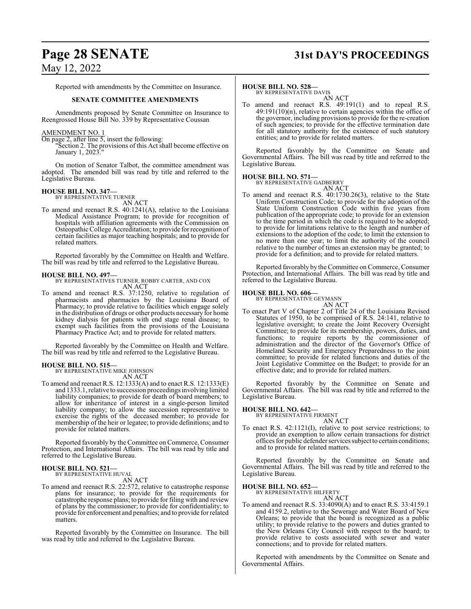## **Page 28 SENATE 31st DAY'S PROCEEDINGS**

May 12, 2022

Reported with amendments by the Committee on Insurance.

#### **SENATE COMMITTEE AMENDMENTS**

Amendments proposed by Senate Committee on Insurance to Reengrossed House Bill No. 339 by Representative Coussan

## AMENDMENT NO. 1

On page 2, after line 5, insert the following:

"Section 2. The provisions of this Act shall become effective on January 1, 2023."

On motion of Senator Talbot, the committee amendment was adopted. The amended bill was read by title and referred to the Legislative Bureau.

## **HOUSE BILL NO. 347—** BY REPRESENTATIVE TURNER

- AN ACT
- To amend and reenact R.S. 40:1241(A), relative to the Louisiana Medical Assistance Program; to provide for recognition of hospitals with affiliation agreements with the Commission on Osteopathic College Accreditation; to provide for recognition of certain facilities as major teaching hospitals; and to provide for related matters.

Reported favorably by the Committee on Health and Welfare. The bill was read by title and referred to the Legislative Bureau.

#### **HOUSE BILL NO. 497—**

BY REPRESENTATIVES TURNER, ROBBY CARTER, AND COX AN ACT

To amend and reenact R.S. 37:1250, relative to regulation of pharmacists and pharmacies by the Louisiana Board of Pharmacy; to provide relative to facilities which engage solely in the distribution of drugs or other products necessary for home kidney dialysis for patients with end stage renal disease; to exempt such facilities from the provisions of the Louisiana Pharmacy Practice Act; and to provide for related matters.

Reported favorably by the Committee on Health and Welfare. The bill was read by title and referred to the Legislative Bureau.

#### **HOUSE BILL NO. 515—**

BY REPRESENTATIVE MIKE JOHNSON AN ACT

To amend and reenact R.S. 12:1333(A) and to enact R.S. 12:1333(E) and 1333.1, relative to succession proceedings involving limited liability companies; to provide for death of board members; to allow for inheritance of interest in a single-person limited liability company; to allow the succession representative to exercise the rights of the deceased member; to provide for membership of the heir or legatee; to provide definitions; and to provide for related matters.

Reported favorably by the Committee on Commerce, Consumer Protection, and International Affairs. The bill was read by title and referred to the Legislative Bureau.

#### **HOUSE BILL NO. 521—** BY REPRESENTATIVE HUVAL

AN ACT

To amend and reenact R.S. 22:572, relative to catastrophe response plans for insurance; to provide for the requirements for catastrophe response plans; to provide for filing with and review of plans by the commissioner; to provide for confidentiality; to provide for enforcement and penalties; and to provide for related matters.

Reported favorably by the Committee on Insurance. The bill was read by title and referred to the Legislative Bureau.

#### **HOUSE BILL NO. 528—**

BY REPRESENTATIVE DAVIS AN ACT

To amend and reenact R.S. 49:191(1) and to repeal R.S.  $49:191(10)(n)$ , relative to certain agencies within the office of the governor, including provisions to provide for the re-creation of such agencies; to provide for the effective termination date for all statutory authority for the existence of such statutory entities; and to provide for related matters.

Reported favorably by the Committee on Senate and Governmental Affairs. The bill was read by title and referred to the Legislative Bureau.

#### **HOUSE BILL NO. 571—**

BY REPRESENTATIVE GADBERRY

AN ACT To amend and reenact R.S. 40:1730.26(3), relative to the State Uniform Construction Code; to provide for the adoption of the State Uniform Construction Code within five years from publication of the appropriate code; to provide for an extension to the time period in which the code is required to be adopted; to provide for limitations relative to the length and number of extensions to the adoption of the code; to limit the extension to no more than one year; to limit the authority of the council relative to the number of times an extension may be granted; to provide for a definition; and to provide for related matters.

Reported favorably by the Committee on Commerce, Consumer Protection, and International Affairs. The bill was read by title and referred to the Legislative Bureau.

#### **HOUSE BILL NO. 606—**

BY REPRESENTATIVE GEYMANN AN ACT

To enact Part V of Chapter 2 of Title 24 of the Louisiana Revised Statutes of 1950, to be comprised of R.S. 24:141, relative to legislative oversight; to create the Joint Recovery Oversight Committee; to provide for its membership, powers, duties, and functions; to require reports by the commissioner of administration and the director of the Governor's Office of Homeland Security and Emergency Preparedness to the joint committee; to provide for related functions and duties of the Joint Legislative Committee on the Budget; to provide for an effective date; and to provide for related matters.

Reported favorably by the Committee on Senate and Governmental Affairs. The bill was read by title and referred to the Legislative Bureau.

**HOUSE BILL NO. 642—** BY REPRESENTATIVE FIRMENT

AN ACT

To enact R.S. 42:1121(I), relative to post service restrictions; to provide an exemption to allow certain transactions for district offices for public defender services subject to certain conditions; and to provide for related matters.

Reported favorably by the Committee on Senate and Governmental Affairs. The bill was read by title and referred to the Legislative Bureau.

**HOUSE BILL NO. 652—**

BY REPRESENTATIVE HILFERTY

AN ACT To amend and reenact R.S. 33:4090(A) and to enact R.S. 33:4159.1 and 4159.2, relative to the Sewerage and Water Board of New Orleans; to provide that the board is recognized as a public utility; to provide relative to the powers and duties granted to the New Orleans City Council with respect to the board; to provide relative to costs associated with sewer and water connections; and to provide for related matters.

Reported with amendments by the Committee on Senate and Governmental Affairs.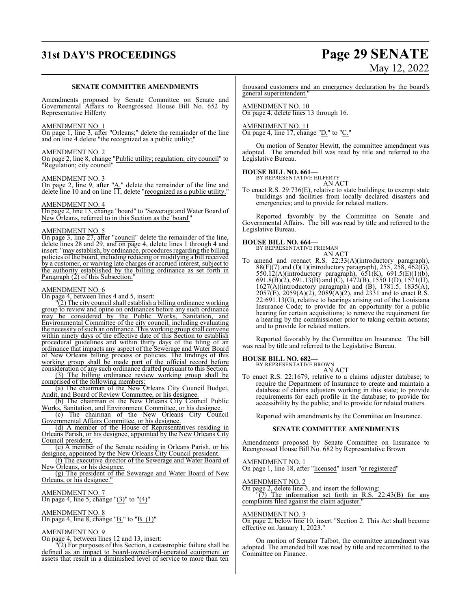# **31st DAY'S PROCEEDINGS Page 29 SENATE** May 12, 2022

#### **SENATE COMMITTEE AMENDMENTS**

Amendments proposed by Senate Committee on Senate and Governmental Affairs to Reengrossed House Bill No. 652 by Representative Hilferty

#### AMENDMENT NO. 1

On page 1, line 3, after "Orleans;" delete the remainder of the line and on line 4 delete "the recognized as a public utility;"

#### AMENDMENT NO. 2

On page 2, line 8, change "Public utility; regulation; city council" to "Regulation; city council"

#### AMENDMENT NO. 3

On page 2, line 9, after "A." delete the remainder of the line and delete line 10 and on line  $\Pi$ , delete "recognized as a public utility."

#### AMENDMENT NO. 4

On page 2, line 13, change "board" to "Sewerage and Water Board of New Orleans, referred to in this Section as the 'board'"

#### AMENDMENT NO. 5

On page 3, line 27, after "council" delete the remainder of the line, delete lines 28 and 29, and on page 4, delete lines 1 through 4 and insert: "may establish, by ordinance, procedures regarding the billing policies of the board, including reducing or modifying a bill received by a customer, or waiving late charges or accrued interest, subject to the authority established by the billing ordinance as set forth in Paragraph (2) of this Subsection.

#### AMENDMENT NO. 6

On page 4, between lines 4 and 5, insert:

"(2) The city council shall establish a billing ordinance working group to review and opine on ordinances before any such ordinance<br>may be considered by the Public Works, Sanitation, and may be considered by the Public Works, Sanitation, Environmental Committee of the city council, including evaluating the necessity of such an ordinance. This working group shall convene within ninety days of the effective date of this Section to establish procedural guidelines and within thirty days of the filing of an ordinance that impacts any aspect of the Sewerage and Water Board of New Orleans billing process or policies. The findings of this working group shall be made part of the official record before consideration of any such ordinance drafted pursuant to this Section.

(3) The billing ordinance review working group shall be comprised of the following members:

(a) The chairman of the New Orleans City Council Budget, Audit, and Board of Review Committee, or his designee.

(b) The chairman of the New Orleans City Council Public Works, Sanitation, and Environment Committee, or his designee.

(c) The chairman of the New Orleans City Council Governmental Affairs Committee, or his designee.

(d) A member of the House of Representatives residing in Orleans Parish, or his designee, appointed by the New Orleans City Council president.

(e) A member of the Senate residing in Orleans Parish, or his designee, appointed by the New Orleans City Council president.

(f) The executive director of the Sewerage and Water Board of New Orleans, or his designee.

(g) The president of the Sewerage and Water Board of New Orleans, or his designee.

#### AMENDMENT NO. 7

On page 4, line 5, change " $(3)$ " to " $(4)$ "

### AMENDMENT NO. 8

On page 4, line 8, change "B." to "B. (1)"

#### AMENDMENT NO. 9

On page 4, between lines 12 and 13, insert:

"(2) For purposes of this Section, a catastrophic failure shall be defined as an impact to board-owned-and-operated equipment or assets that result in a diminished level of service to more than ten

thousand customers and an emergency declaration by the board's general superintendent."

AMENDMENT NO. 10 On page 4, delete lines 13 through 16.

AMENDMENT NO. 11 On page 4, line 17, change "<u>D.</u>" to "C."

On motion of Senator Hewitt, the committee amendment was adopted. The amended bill was read by title and referred to the Legislative Bureau.

## **HOUSE BILL NO. 661—** BY REPRESENTATIVE HILFERTY

AN ACT

To enact R.S. 29:736(E), relative to state buildings; to exempt state buildings and facilities from locally declared disasters and emergencies; and to provide for related matters.

Reported favorably by the Committee on Senate and Governmental Affairs. The bill was read by title and referred to the Legislative Bureau.

## **HOUSE BILL NO. 664—** BY REPRESENTATIVE FRIEMAN

# AN ACT

To amend and reenact R.S. 22:33(A)(introductory paragraph),  $88(F)(7)$  and (I)(1)(introductory paragraph), 255, 258, 462(G), 550.12(A)(introductory paragraph), 651(K), 691.5(E)(1)(b), 691.8(B)(2), 691.13(B) and (C), 1472(B), 1550.1(D), 1571(H), 1627(A)(introductory paragraph) and (B), 1781.5, 1835(A),  $2057(E)$ ,  $2059(A)(2)$ ,  $2089(A)(2)$ , and  $2331$  and to enact R.S. 22:691.13(G), relative to hearings arising out of the Louisiana Insurance Code; to provide for an opportunity for a public hearing for certain acquisitions; to remove the requirement for a hearing by the commissioner prior to taking certain actions; and to provide for related matters.

Reported favorably by the Committee on Insurance. The bill was read by title and referred to the Legislative Bureau.

#### **HOUSE BILL NO. 682—**

BY REPRESENTATIVE BROWN

AN ACT To enact R.S. 22:1679, relative to a claims adjuster database; to require the Department of Insurance to create and maintain a database of claims adjusters working in this state; to provide requirements for each profile in the database; to provide for accessibility by the public; and to provide for related matters.

Reported with amendments by the Committee on Insurance.

#### **SENATE COMMITTEE AMENDMENTS**

Amendments proposed by Senate Committee on Insurance to Reengrossed House Bill No. 682 by Representative Brown

AMENDMENT NO. 1 On page 1, line 18, after "licensed" insert "or registered"

AMENDMENT NO. 2

On page 2, delete line 3, and insert the following: "(7) The information set forth in R.S. 22:43(B) for any complaints filed against the claim adjuster."

#### AMENDMENT NO. 3

On page 2, below line 10, insert "Section 2. This Act shall become effective on January 1, 2023."

On motion of Senator Talbot, the committee amendment was adopted. The amended bill was read by title and recommitted to the Committee on Finance.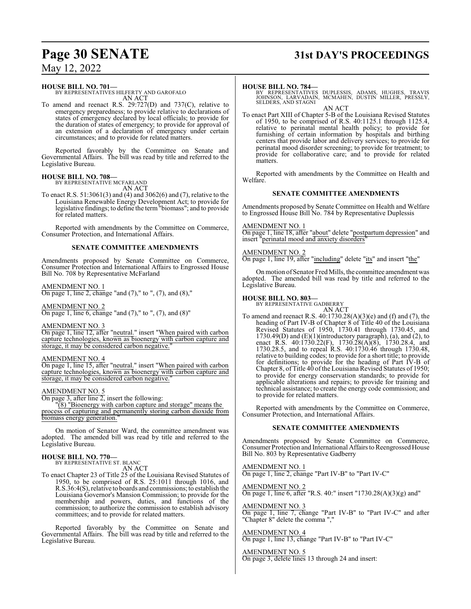## May 12, 2022

#### **HOUSE BILL NO. 701—**

BY REPRESENTATIVES HILFERTY AND GAROFALO AN ACT

To amend and reenact R.S. 29:727(D) and 737(C), relative to emergency preparedness; to provide relative to declarations of states of emergency declared by local officials; to provide for the duration of states of emergency; to provide for approval of an extension of a declaration of emergency under certain circumstances; and to provide for related matters.

Reported favorably by the Committee on Senate and Governmental Affairs. The bill was read by title and referred to the Legislative Bureau.

#### **HOUSE BILL NO. 708—** BY REPRESENTATIVE MCFARLAND

AN ACT

To enact R.S. 51:3061(3) and (4) and 3062(6) and (7), relative to the Louisiana Renewable Energy Development Act; to provide for legislative findings; to define the term"biomass"; and to provide for related matters.

Reported with amendments by the Committee on Commerce, Consumer Protection, and International Affairs.

#### **SENATE COMMITTEE AMENDMENTS**

Amendments proposed by Senate Committee on Commerce, Consumer Protection and International Affairs to Engrossed House Bill No. 708 by Representative McFarland

#### AMENDMENT NO. 1

On page 1, line 2, change "and  $(7)$ ," to ",  $(7)$ , and  $(8)$ ,"

#### AMENDMENT NO. 2

On page 1, line 6, change "and  $(7)$ ," to ",  $(7)$ , and  $(8)$ "

#### AMENDMENT NO. 3

On page 1, line 12, after "neutral." insert "When paired with carbon capture technologies, known as bioenergy with carbon capture and storage, it may be considered carbon negative.

#### AMENDMENT NO. 4

On page 1, line 15, after "neutral." insert "When paired with carbon capture technologies, known as bioenergy with carbon capture and storage, it may be considered carbon negative.

#### AMENDMENT NO. 5

On page 3, after line 2, insert the following:

"(8) "Bioenergy with carbon capture and storage" means the process of capturing and permanently storing carbon dioxide from biomass energy generation.

On motion of Senator Ward, the committee amendment was adopted. The amended bill was read by title and referred to the Legislative Bureau.

#### **HOUSE BILL NO. 770—**

BY REPRESENTATIVE ST. BLANC AN ACT

To enact Chapter 23 of Title 25 of the Louisiana Revised Statutes of 1950, to be comprised of R.S. 25:1011 through 1016, and R.S.36:4(S), relative to boards and commissions; to establish the Louisiana Governor's Mansion Commission; to provide for the membership and powers, duties, and functions of the commission; to authorize the commission to establish advisory committees; and to provide for related matters.

Reported favorably by the Committee on Senate and Governmental Affairs. The bill was read by title and referred to the Legislative Bureau.

## **Page 30 SENATE 31st DAY'S PROCEEDINGS**

#### **HOUSE BILL NO. 784—**

BY REPRESENTATIVES DUPLESSIS, ADAMS, HUGHES, TRAVIS JOHNSON, LARVADAIN, MCMAHEN, DUSTIN MILLER, PRESSLY, SELDERS, AND STAGNI

AN ACT To enact Part XIII of Chapter 5-B of the Louisiana Revised Statutes of 1950, to be comprised of R.S. 40:1125.1 through 1125.4, relative to perinatal mental health policy; to provide for furnishing of certain information by hospitals and birthing centers that provide labor and delivery services; to provide for perinatal mood disorder screening; to provide for treatment; to provide for collaborative care; and to provide for related matters.

Reported with amendments by the Committee on Health and Welfare.

#### **SENATE COMMITTEE AMENDMENTS**

Amendments proposed by Senate Committee on Health and Welfare to Engrossed House Bill No. 784 by Representative Duplessis

#### AMENDMENT NO. 1

On page 1, line 18, after "about" delete "postpartum depression" and insert "perinatal mood and anxiety disorders"

#### AMENDMENT NO. 2

On page 1, line 19, after "including" delete "its" and insert "the"

On motion of Senator Fred Mills, the committee amendment was adopted. The amended bill was read by title and referred to the Legislative Bureau.

#### **HOUSE BILL NO. 803—**

BY REPRESENTATIVE GADBERRY

AN ACT To amend and reenact R.S. 40:1730.28(A)(3)(e) and (f) and (7), the heading of Part IV-B of Chapter 8 of Title 40 of the Louisiana Revised Statutes of 1950, 1730.41 through 1730.45, and  $1730.49(D)$  and  $(E)(1)(introductory paragraph)$ , (a), and (2), to enact R.S. 40:1730.22(F), 1730.28(A)(8), 1730.28.4, and 1730.28.5, and to repeal R.S. 40:1730.46 through 1730.48, relative to building codes; to provide for a short title; to provide for definitions; to provide for the heading of Part IV-B of Chapter 8, of Title 40 of the Louisiana Revised Statutes of 1950; to provide for energy conservation standards; to provide for applicable alterations and repairs; to provide for training and technical assistance; to create the energy code commission; and to provide for related matters.

Reported with amendments by the Committee on Commerce, Consumer Protection, and International Affairs.

#### **SENATE COMMITTEE AMENDMENTS**

Amendments proposed by Senate Committee on Commerce, Consumer Protection and International Affairs to Reengrossed House Bill No. 803 by Representative Gadberry

AMENDMENT NO. 1 On page 1, line 2, change "Part IV-B" to "Part IV-C"

AMENDMENT NO. 2 On page 1, line 6, after "R.S. 40:" insert "1730.28(A)(3)(g) and"

#### AMENDMENT NO. 3

On page 1, line 7, change "Part IV-B" to "Part IV-C" and after "Chapter 8" delete the comma ","

AMENDMENT NO. 4 On page 1, line 13, change "Part IV-B" to "Part IV-C"

#### AMENDMENT NO. 5

On page 3, delete lines 13 through 24 and insert: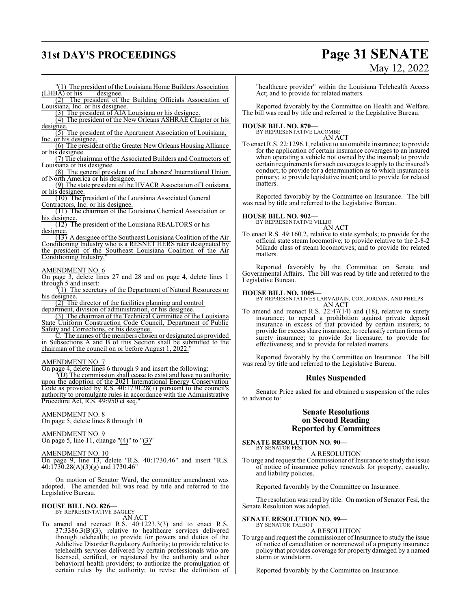## **31st DAY'S PROCEEDINGS Page 31 SENATE**

# May 12, 2022

 $\frac{1}{(1)}$  The president of the Louisiana Home Builders Association  $\overrightarrow{AB}$ ) or his designee.  $(LHBA)$  or his

(2) The president of the Building Officials Association of Louisiana, Inc. or his designee.

(3) The president of AIA Louisiana or his designee.

(4) The president of the New Orleans ASHRAE Chapter or his designee

(5) The president of the Apartment Association of Louisiana, Inc. or his designee.

(6) The president ofthe Greater New Orleans Housing Alliance or his designee.

(7) The chairman of the Associated Builders and Contractors of Louisiana or his designee.

(8) The general president of the Laborers' International Union of North America or his designee.

(9) The state president of the HVACR Association of Louisiana or his designee.

(10) The president of the Louisiana Associated General

Contractors, Inc. or his designee. (11) The chairman of the Louisiana Chemical Association or his designee.

(12) The president of the Louisiana REALTORS or his designee.

(13) A designee of the Southeast Louisiana Coalition of the Air Conditioning Industry who is a RESNET HERS rater designated by the president of the Southeast Louisiana Coalition of the Air Conditioning Industry."

#### AMENDMENT NO. 6

On page 3, delete lines 27 and 28 and on page 4, delete lines 1 through 5 and insert:

 $\sqrt[T]{(1)}$  The secretary of the Department of Natural Resources or his designee.

(2) The director of the facilities planning and control department, division of administration, or his designee.

(3) The chairman of the Technical Committee of the Louisiana State Uniform Construction Code Council, Department of Public Safety and Corrections, or his designee.

The names of the members chosen or designated as provided in Subsections A and B of this Section shall be submitted to the chairman of the council on or before August 1, 2022."

#### AMENDMENT NO. 7

On page 4, delete lines 6 through 9 and insert the following:

"(D) The commission shall cease to exist and have no authority upon the adoption of the 2021 International Energy Conservation Code as provided by R.S. 40:1730.28(7) pursuant to the council's authority to promulgate rules in accordance with the Administrative Procedure Act, R.S. 49:950 et seq.

### AMENDMENT NO. 8

On page 5, delete lines 8 through 10

#### AMENDMENT NO. 9

On page 5, line 11, change "(4)" to "(3)"

AMENDMENT NO. 10 On page 9, line 13, delete "R.S. 40:1730.46" and insert "R.S. 40:1730.28(A)(3)(g) and 1730.46"

On motion of Senator Ward, the committee amendment was adopted. The amended bill was read by title and referred to the Legislative Bureau.

#### **HOUSE BILL NO. 826—**

BY REPRESENTATIVE BAGLEY AN ACT

To amend and reenact R.S. 40:1223.3(3) and to enact R.S. 37:3386.3(B)(3), relative to healthcare services delivered through telehealth; to provide for powers and duties of the Addictive Disorder Regulatory Authority; to provide relative to telehealth services delivered by certain professionals who are licensed, certified, or registered by the authority and other behavioral health providers; to authorize the promulgation of certain rules by the authority; to revise the definition of

"healthcare provider" within the Louisiana Telehealth Access Act; and to provide for related matters.

Reported favorably by the Committee on Health and Welfare. The bill was read by title and referred to the Legislative Bureau.

**HOUSE BILL NO. 870—**

BY REPRESENTATIVE LACOMBE

AN ACT

To enact R.S. 22:1296.1, relative to automobile insurance; to provide for the application of certain insurance coverages to an insured when operating a vehicle not owned by the insured; to provide certain requirements for such coverages to apply to the insured's conduct; to provide for a determination as to which insurance is primary; to provide legislative intent; and to provide for related matters.

Reported favorably by the Committee on Insurance. The bill was read by title and referred to the Legislative Bureau.

# **HOUSE BILL NO. 902—** BY REPRESENTATIVE VILLIO

AN ACT

To enact R.S. 49:160.2, relative to state symbols; to provide for the official state steam locomotive; to provide relative to the 2-8-2 Mikado class of steam locomotives; and to provide for related matters.

Reported favorably by the Committee on Senate and Governmental Affairs. The bill was read by title and referred to the Legislative Bureau.

#### **HOUSE BILL NO. 1005—**

BY REPRESENTATIVES LARVADAIN, COX, JORDAN, AND PHELPS AN ACT

To amend and reenact R.S. 22:47(14) and (18), relative to surety insurance; to repeal a prohibition against private deposit insurance in excess of that provided by certain insurers; to provide for excess share insurance; to reclassify certain forms of surety insurance; to provide for licensure; to provide for effectiveness; and to provide for related matters.

Reported favorably by the Committee on Insurance. The bill was read by title and referred to the Legislative Bureau.

#### **Rules Suspended**

Senator Price asked for and obtained a suspension of the rules to advance to:

### **Senate Resolutions on Second Reading Reported by Committees**

**SENATE RESOLUTION NO. 90—** BY SENATOR FESI

A RESOLUTION

To urge and request the Commissioner of Insurance to study the issue of notice of insurance policy renewals for property, casualty, and liability policies.

Reported favorably by the Committee on Insurance.

The resolution was read by title. On motion of Senator Fesi, the Senate Resolution was adopted.

#### **SENATE RESOLUTION NO. 99—** BY SENATOR TALBOT

A RESOLUTION

To urge and request the commissioner of Insurance to study the issue of notice of cancellation or nonrenewal of a property insurance policy that provides coverage for property damaged by a named storm or windstorm.

Reported favorably by the Committee on Insurance.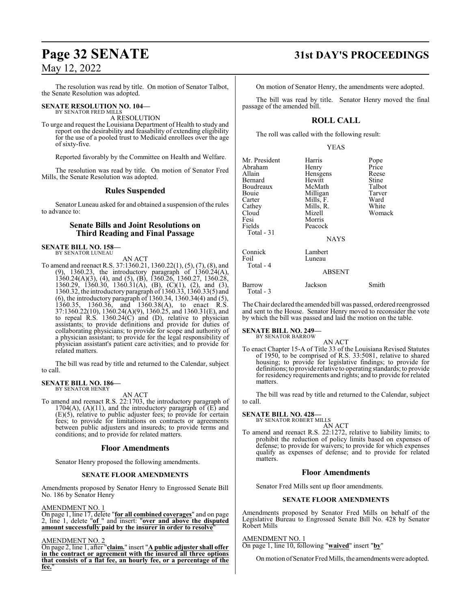## May 12, 2022

The resolution was read by title. On motion of Senator Talbot, the Senate Resolution was adopted.

#### **SENATE RESOLUTION NO. 104—** BY SENATOR FRED MILLS

A RESOLUTION

To urge and request the Louisiana Department of Health to study and report on the desirability and feasability of extending eligibility for the use of a pooled trust to Medicaid enrollees over the age of sixty-five.

Reported favorably by the Committee on Health and Welfare.

The resolution was read by title. On motion of Senator Fred Mills, the Senate Resolution was adopted.

### **Rules Suspended**

Senator Luneau asked for and obtained a suspension of the rules to advance to:

## **Senate Bills and Joint Resolutions on Third Reading and Final Passage**

#### **SENATE BILL NO. 158—** BY SENATOR LUNEAU

AN ACT

To amend and reenact R.S. 37:1360.21, 1360.22(1), (5), (7), (8), and (9), 1360.23, the introductory paragraph of 1360.24(A), 1360.24(A)(3), (4), and (5), (B), 1360.26, 1360.27, 1360.28, 1360.29, 1360.30, 1360.31(A), (B), (C)(1), (2), and (3), 1360.32, the introductory paragraph of 1360.33, 1360.33(5) and (6), the introductory paragraph of 1360.34, 1360.34(4) and (5), 1360.35, 1360.36, and 1360.38(A), to enact R.S. 37:1360.22(10), 1360.24(A)(9), 1360.25, and 1360.31(E), and to repeal R.S. 1360.24(C) and (D), relative to physician assistants; to provide definitions and provide for duties of collaborating physicians; to provide for scope and authority of a physician assistant; to provide for the legal responsibility of physician assistant's patient care activities; and to provide for related matters.

The bill was read by title and returned to the Calendar, subject to call.

#### **SENATE BILL NO. 186—** BY SENATOR HENRY

AN ACT

To amend and reenact R.S. 22:1703, the introductory paragraph of 1704(A), (A)(11), and the introductory paragraph of  $(E)$  and (E)(5), relative to public adjuster fees; to provide for certain fees; to provide for limitations on contracts or agreements between public adjusters and insureds; to provide terms and conditions; and to provide for related matters.

#### **Floor Amendments**

Senator Henry proposed the following amendments.

#### **SENATE FLOOR AMENDMENTS**

Amendments proposed by Senator Henry to Engrossed Senate Bill No. 186 by Senator Henry

#### AMENDMENT NO. 1

On page 1, line 17, delete "**for all combined coverages**" and on page 2, line 1, delete "**of** " and insert: "**over and above the disputed amount successfully paid by the insurer in order to resolve**"

#### AMENDMENT NO. 2

On page 2, line 1, after "**claim.**" insert "**A public adjuster shall offer in the contract or agreement with the insured all three options that consists of a flat fee, an hourly fee, or a percentage of the fee.**"

## **Page 32 SENATE 31st DAY'S PROCEEDINGS**

On motion of Senator Henry, the amendments were adopted.

The bill was read by title. Senator Henry moved the final passage of the amended bill.

## **ROLL CALL**

The roll was called with the following result:

#### YEAS

| Mr. President | Harris        | Pope   |
|---------------|---------------|--------|
| Abraham       | Henry         | Price  |
| Allain        | Hensgens      | Reese  |
| Bernard       | Hewitt        | Stine  |
| Boudreaux     | McMath        | Talbot |
| Bouie         | Milligan      | Tarver |
| Carter        | Mills, F.     | Ward   |
| Cathey        | Mills, R.     | White  |
| Cloud         | Mizell        | Womack |
| Fesi          | Morris        |        |
| Fields        | Peacock       |        |
| Total $-31$   |               |        |
|               | <b>NAYS</b>   |        |
| Connick       | Lambert       |        |
| Foil          | Luneau        |        |
| Total - 4     |               |        |
|               | <b>ABSENT</b> |        |
| <b>Barrow</b> | Jackson       | Smith  |

The Chair declared the amended bill was passed, ordered reengrossed and sent to the House. Senator Henry moved to reconsider the vote by which the bill was passed and laid the motion on the table.

#### **SENATE BILL NO. 249—**

Total - 3

BY SENATOR BARROW

AN ACT To enact Chapter 15-A of Title 33 of the Louisiana Revised Statutes of 1950, to be comprised of R.S. 33:5081, relative to shared housing; to provide for legislative findings; to provide for definitions; to provide relative to operating standards; to provide for residency requirements and rights; and to provide for related matters.

The bill was read by title and returned to the Calendar, subject to call.

## **SENATE BILL NO. 428—** BY SENATOR ROBERT MILLS

AN ACT To amend and reenact R.S. 22:1272, relative to liability limits; to prohibit the reduction of policy limits based on expenses of defense; to provide for waivers; to provide for which expenses qualify as expenses of defense; and to provide for related matters.

#### **Floor Amendments**

Senator Fred Mills sent up floor amendments.

#### **SENATE FLOOR AMENDMENTS**

Amendments proposed by Senator Fred Mills on behalf of the Legislative Bureau to Engrossed Senate Bill No. 428 by Senator Robert Mills

#### AMENDMENT NO. 1

On page 1, line 10, following "**waived**" insert "**by**"

On motion of Senator Fred Mills, the amendments were adopted.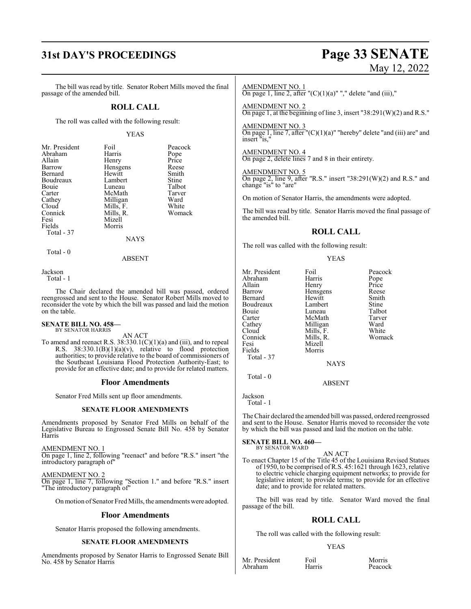# **31st DAY'S PROCEEDINGS Page 33 SENATE**

# May 12, 2022

The bill was read by title. Senator Robert Mills moved the final passage of the amended bill.

### **ROLL CALL**

The roll was called with the following result:

#### YEAS

Peacock<br>Pope

White Womack

| Mr. President | Foil      | Peacod |
|---------------|-----------|--------|
| Abraham       | Harris    | Pope   |
| Allain        | Henry     | Price  |
| Barrow        | Hensgens  | Reese  |
| Bernard       | Hewitt    | Smith  |
| Boudreaux     | Lambert   | Stine  |
| Bouie         | Luneau    | Talbot |
| Carter        | McMath    | Tarver |
| Cathey        | Milligan  | Ward   |
| Cloud         | Mills, F. | White  |
| Connick       | Mills, R. | Woma   |
| Fesi          | Mizell    |        |
| Fields        | Morris    |        |
| Total - 37    |           |        |
|               | NAYS      |        |

 $\overline{\mathbf{s}}$ 

Total - 0

ABSENT

Jackson

Total - 1

The Chair declared the amended bill was passed, ordered reengrossed and sent to the House. Senator Robert Mills moved to reconsider the vote by which the bill was passed and laid the motion on the table.

#### **SENATE BILL NO. 458—** BY SENATOR HARRIS

AN ACT

To amend and reenact R.S.  $38:330.1(C)(1)(a)$  and (iii), and to repeal R.S.  $38:330.1(B)(1)(a)(v)$ , relative to flood protection authorities; to provide relative to the board of commissioners of the Southeast Louisiana Flood Protection Authority-East; to provide for an effective date; and to provide for related matters.

#### **Floor Amendments**

Senator Fred Mills sent up floor amendments.

#### **SENATE FLOOR AMENDMENTS**

Amendments proposed by Senator Fred Mills on behalf of the Legislative Bureau to Engrossed Senate Bill No. 458 by Senator Harris

AMENDMENT NO. 1

On page 1, line 2, following "reenact" and before "R.S." insert "the introductory paragraph of"

#### AMENDMENT NO. 2

On page 1, line 7, following "Section 1." and before "R.S." insert "The introductory paragraph of"

On motion of Senator Fred Mills, the amendments were adopted.

#### **Floor Amendments**

Senator Harris proposed the following amendments.

#### **SENATE FLOOR AMENDMENTS**

Amendments proposed by Senator Harris to Engrossed Senate Bill No. 458 by Senator Harris

#### AMENDMENT NO. 1

On page 1, line 2, after " $(C)(1)(a)$ ""," delete "and (iii),"

AMENDMENT NO. 2

On page 1, at the beginning of line 3, insert "38:291(W)(2) and R.S."

#### AMENDMENT NO. 3

On page 1, line 7, after "(C)(1)(a)" "hereby" delete "and (iii) are" and insert "is,"

## AMENDMENT NO. 4

On page 2, delete lines 7 and 8 in their entirety.

#### AMENDMENT NO. 5

On page 2, line 9, after "R.S." insert "38:291(W)(2) and R.S." and change "is" to "are"

On motion of Senator Harris, the amendments were adopted.

The bill was read by title. Senator Harris moved the final passage of the amended bill.

### **ROLL CALL**

The roll was called with the following result:

#### YEAS

| Mr. President | Foil        | Peacock |
|---------------|-------------|---------|
| Abraham       | Harris      | Pope    |
| Allain        | Henry       | Price   |
| Barrow        | Hensgens    | Reese   |
| Bernard       | Hewitt      | Smith   |
| Boudreaux     | Lambert     | Stine   |
| Bouie         | Luneau      | Talbot  |
| Carter        | McMath      | Tarver  |
| Cathey        | Milligan    | Ward    |
| Cloud         | Mills, F.   | White   |
| Connick       | Mills, R.   | Womack  |
| Fesi          | Mizell      |         |
| Fields        | Morris      |         |
| Total - 37    |             |         |
|               | <b>NAYS</b> |         |
|               |             |         |

Total - 0

Jackson

Total - 1

The Chair declared the amended bill was passed, ordered reengrossed and sent to the House. Senator Harris moved to reconsider the vote by which the bill was passed and laid the motion on the table.

ABSENT

#### **SENATE BILL NO. 460—** BY SENATOR WARD

AN ACT

To enact Chapter 15 of the Title 45 of the Louisiana Revised Statues of 1950, to be comprised ofR.S. 45:1621 through 1623, relative to electric vehicle charging equipment networks; to provide for legislative intent; to provide terms; to provide for an effective date; and to provide for related matters.

The bill was read by title. Senator Ward moved the final passage of the bill.

## **ROLL CALL**

The roll was called with the following result:

#### YEAS

Mr. President Foil Foil Morris<br>Abraham Harris Peacock Abraham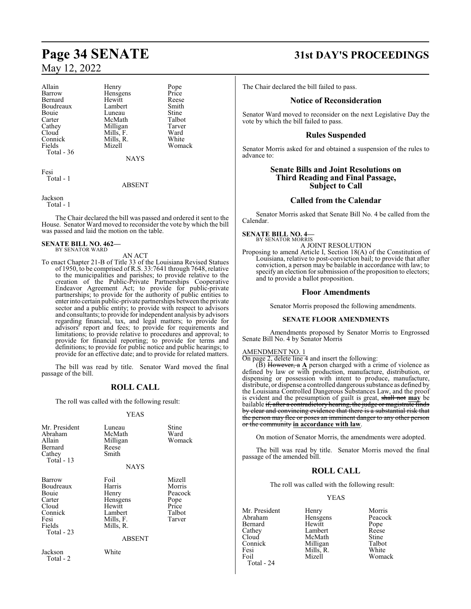## May 12, 2022

Allain Henry Pope<br>
Barrow Hensgens Price Bernard Hewitt Reese Boudreaux Lambert Smith<br>Bouie Luneau Stine Bouie Luneau Stine<br>Carter McMath Talbot Carter McMath Talbot<br>Cathey Milligan Tarver Cloud Mills, F. Ward<br>Connick Mills, R. White Connick Mills, R.<br>Fields Mizell Total - 36

Hensgens Price<br>Hewitt Reese Milligan Tarve<br>
Mills F. Ward

**NAYS** 

Womack

Fesi Total - 1

ABSENT

Jackson

Total - 1

The Chair declared the bill was passed and ordered it sent to the House. Senator Ward moved to reconsider the vote by which the bill was passed and laid the motion on the table.

#### **SENATE BILL NO. 462—** BY SENATOR WARD

#### AN ACT

To enact Chapter 21-B of Title 33 of the Louisiana Revised Statues of 1950, to be comprised of R.S. 33:7641 through 7648, relative to the municipalities and parishes; to provide relative to the creation of the Public-Private Partnerships Cooperative Endeavor Agreement Act; to provide for public-private partnerships; to provide for the authority of public entities to enterinto certain public-private partnerships between the private sector and a public entity; to provide with respect to advisors and consultants; to provide for independent analysis by advisors regarding financial, tax, and legal matters; to provide for advisors' report and fees; to provide for requirements and limitations; to provide relative to procedures and approval; to provide for financial reporting; to provide for terms and definitions; to provide for public notice and public hearings; to provide for an effective date; and to provide for related matters.

The bill was read by title. Senator Ward moved the final passage of the bill.

## **ROLL CALL**

The roll was called with the following result:

#### YEAS

| Mr. President<br>Abraham<br>Allain<br>Bernard<br>Cathey<br>Total - 13                        | Luneau<br>McMath<br>Milligan<br>Reese<br>Smith<br><b>NAYS</b>                                       | Stine<br>Ward<br>Womack                                          |
|----------------------------------------------------------------------------------------------|-----------------------------------------------------------------------------------------------------|------------------------------------------------------------------|
| Barrow<br>Boudreaux<br>Bouie<br>Carter<br>Cloud<br>Connick<br>Fesi<br>Fields<br>Total - $23$ | Foil<br>Harris<br>Henry<br>Hensgens<br>Hewitt<br>Lambert<br>Mills, F.<br>Mills, R.<br><b>ABSENT</b> | Mizell<br>Morris<br>Peacock<br>Pope<br>Price<br>Talbot<br>Tarver |
| Jackson<br>Total - 2                                                                         | White                                                                                               |                                                                  |

# **Page 34 SENATE 31st DAY'S PROCEEDINGS**

The Chair declared the bill failed to pass.

## **Notice of Reconsideration**

Senator Ward moved to reconsider on the next Legislative Day the vote by which the bill failed to pass.

### **Rules Suspended**

Senator Morris asked for and obtained a suspension of the rules to advance to:

### **Senate Bills and Joint Resolutions on Third Reading and Final Passage, Subject to Call**

### **Called from the Calendar**

Senator Morris asked that Senate Bill No. 4 be called from the Calendar.

**SENATE BILL NO. 4—** BY SENATOR MORRIS

A JOINT RESOLUTION

Proposing to amend Article I, Section 18(A) of the Constitution of Louisiana, relative to post-conviction bail; to provide that after conviction, a person may be bailable in accordance with law; to specify an election for submission of the proposition to electors; and to provide a ballot proposition.

#### **Floor Amendments**

Senator Morris proposed the following amendments.

#### **SENATE FLOOR AMENDMENTS**

Amendments proposed by Senator Morris to Engrossed Senate Bill No. 4 by Senator Morris

## AMENDMENT NO. 1

On page 2, delete line 4 and insert the following:

 $(\overline{B})$  However, a  $\underline{A}$  person charged with a crime of violence as defined by law or with production, manufacture, distribution, or dispensing or possession with intent to produce, manufacture, distribute, or dispense a controlled dangerous substance as defined by the Louisiana Controlled Dangerous Substances Law, and the proof is evident and the presumption of guilt is great, shall not **may** be bailable <del>if, after a contradictory hearing, the judge or magistrate finds</del> by clear and convincing evidence that there is a substantial risk that the person may flee or poses an imminent danger to any other person or the community **in accordance with law**.

On motion of Senator Morris, the amendments were adopted.

The bill was read by title. Senator Morris moved the final passage of the amended bill.

#### **ROLL CALL**

The roll was called with the following result:

#### YEAS

Mr. President Henry Morris<br>Abraham Hensgens Peacock Bernard Hewitt Pope<br>
Cathey Lambert Reese Cathey Lambert Reese<br>Cloud McMath Stine Cloud McMath Stine<br>
Connick Milligan Talbot Connick Milligan Talbot<br>
Fesi Mills, R. White Fesi Mills, R.<br>Foil Mizell

Hensgens Peacock<br>
Hewitt Pope Womack

Total - 24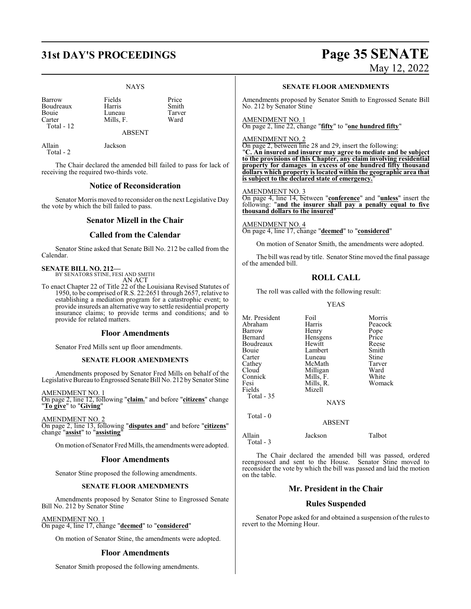# **31st DAY'S PROCEEDINGS Page 35 SENATE**

#### NAYS

| Barrow       | Fields    | Price |
|--------------|-----------|-------|
| Boudreaux    | Harris    | Smith |
| Bouje        | Luneau    | Tarve |
| Carter       | Mills. F. | Ward  |
| Total - $12$ |           |       |

ABSENT

receiving the required two-thirds vote.

Allain Jackson

Total - 2

The Chair declared the amended bill failed to pass for lack of

## **Notice of Reconsideration**

Senator Morris moved to reconsider on the next Legislative Day the vote by which the bill failed to pass.

### **Senator Mizell in the Chair**

### **Called from the Calendar**

Senator Stine asked that Senate Bill No. 212 be called from the Calendar.

## **SENATE BILL NO. 212—** BY SENATORS STINE, FESI AND SMITH

AN ACT

To enact Chapter 22 of Title 22 of the Louisiana Revised Statutes of 1950, to be comprised of R.S. 22:2651 through 2657, relative to establishing a mediation program for a catastrophic event; to provide insureds an alternative way to settle residential property insurance claims; to provide terms and conditions; and to provide for related matters.

#### **Floor Amendments**

Senator Fred Mills sent up floor amendments.

#### **SENATE FLOOR AMENDMENTS**

Amendments proposed by Senator Fred Mills on behalf of the Legislative Bureau to Engrossed Senate Bill No. 212 by Senator Stine

AMENDMENT NO. 1

On page 2, line 12, following "**claim.**" and before "**citizens**" change "**To give**" to "**Giving**"

AMENDMENT NO. 2 On page 2, line 13, following "**disputes and**" and before "**citizens**" change "**assist**" to "**assisting**"

Onmotion ofSenator Fred Mills, the amendments were adopted.

#### **Floor Amendments**

Senator Stine proposed the following amendments.

#### **SENATE FLOOR AMENDMENTS**

Amendments proposed by Senator Stine to Engrossed Senate Bill No. 212 by Senator Stine

#### AMENDMENT NO. 1

On page 4, line 17, change "**deemed**" to "**considered**"

On motion of Senator Stine, the amendments were adopted.

## **Floor Amendments**

Senator Smith proposed the following amendments.

# May 12, 2022

**SENATE FLOOR AMENDMENTS**

Amendments proposed by Senator Smith to Engrossed Senate Bill No. 212 by Senator Stine

AMENDMENT NO. 1 On page 2, line 22, change "**fifty**" to "**one hundred fifty**"

AMENDMENT NO. 2

On page 2, between line 28 and 29, insert the following: "**C. An insured and insurer may agree to mediate and be subject to the provisions of this Chapter, any claim involving residential property for damages in excess of one hundred fifty thousand dollars which property is located within the geographic area that is subject to the declared state of emergency.**"

#### AMENDMENT NO. 3

On page 4, line 14, between "**conference**" and "**unless**" insert the following: "**and the insurer shall pay a penalty equal to five thousand dollars to the insured**"

AMENDMENT NO. 4 On page 4, line 17, change "**deemed**" to "**considered**"

On motion of Senator Smith, the amendments were adopted.

The bill was read by title. Senator Stine moved the final passage of the amended bill.

## **ROLL CALL**

The roll was called with the following result:

Hensgens<br>Hewitt

#### YEAS

Mr. President Foil Morris<br>Abraham Harris Peacock Abraham Harris Peacock<br>Barrow Henry Pope Barrow Henry Pope<br>Bernard Hensgens Price Boudreaux Hewitt Reese<br>Bouie Lambert Smith Bouie Lambert Smith<br>Carter Luneau Stine Carter Luneau Stine<br>
Cathey McMath Tarver Cathey McMath Tarve<br>Cloud Milligan Ward Cloud Milligan Ward<br>
Connick Mills F. White Connick Mills, F.<br>Fesi Mills, R. Fields Total - 35

Mills, R. Womack<br>Mizell

NAYS

ABSENT

Total - 0

Allain Jackson Talbot Total - 3

The Chair declared the amended bill was passed, ordered reengrossed and sent to the House. Senator Stine moved to reconsider the vote by which the bill was passed and laid the motion on the table.

## **Mr. President in the Chair**

#### **Rules Suspended**

Senator Pope asked for and obtained a suspension of the rules to revert to the Morning Hour.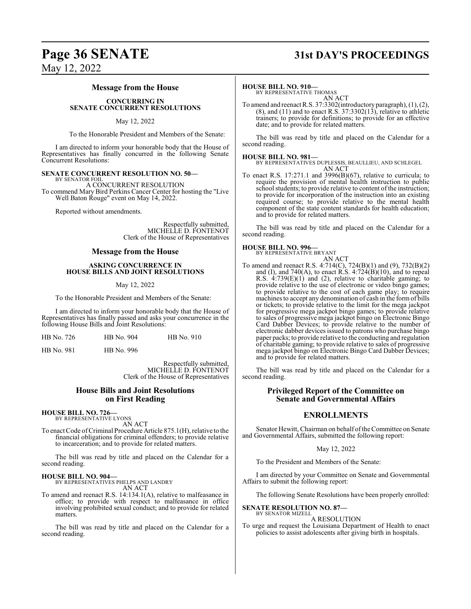## **Page 36 SENATE 31st DAY'S PROCEEDINGS**

May 12, 2022

#### **Message from the House**

#### **CONCURRING IN SENATE CONCURRENT RESOLUTIONS**

#### May 12, 2022

To the Honorable President and Members of the Senate:

I am directed to inform your honorable body that the House of Representatives has finally concurred in the following Senate Concurrent Resolutions:

#### **SENATE CONCURRENT RESOLUTION NO. 50—**

BY SENATOR FOIL A CONCURRENT RESOLUTION To commend Mary Bird Perkins Cancer Center for hosting the "Live Well Baton Rouge" event on May 14, 2022.

Reported without amendments.

Respectfully submitted, MICHELLE D. FONTENOT Clerk of the House of Representatives

#### **Message from the House**

#### **ASKING CONCURRENCE IN HOUSE BILLS AND JOINT RESOLUTIONS**

#### May 12, 2022

To the Honorable President and Members of the Senate:

I am directed to inform your honorable body that the House of Representatives has finally passed and asks your concurrence in the following House Bills and Joint Resolutions:

|  | HB No. 726 | HB No. 904 | HB No. 910 |
|--|------------|------------|------------|
|--|------------|------------|------------|

HB No. 981 HB No. 996

Respectfully submitted, MICHELLE D. FONTENOT Clerk of the House of Representatives

#### **House Bills and Joint Resolutions on First Reading**

**HOUSE BILL NO. 726—** BY REPRESENTATIVE LYONS

AN ACT

To enact Code ofCriminal Procedure Article 875.1(H), relative to the financial obligations for criminal offenders; to provide relative to incarceration; and to provide for related matters.

The bill was read by title and placed on the Calendar for a second reading.

#### **HOUSE BILL NO. 904—**

BY REPRESENTATIVES PHELPS AND LANDRY AN ACT

To amend and reenact R.S. 14:134.1(A), relative to malfeasance in office; to provide with respect to malfeasance in office involving prohibited sexual conduct; and to provide for related matters.

The bill was read by title and placed on the Calendar for a second reading.

#### **HOUSE BILL NO. 910—**

BY REPRESENTATIVE THOMAS AN ACT

To amend and reenact R.S. 37:3302(introductory paragraph), (1), (2),  $(8)$ , and  $(11)$  and to enact R.S. 37:3302 $(13)$ , relative to athletic trainers; to provide for definitions; to provide for an effective date; and to provide for related matters.

The bill was read by title and placed on the Calendar for a second reading.

**HOUSE BILL NO. 981—** BY REPRESENTATIVES DUPLESSIS, BEAULLIEU, AND SCHLEGEL AN ACT

To enact R.S. 17:271.1 and 3996(B)(67), relative to curricula; to require the provision of mental health instruction to public school students; to provide relative to content of the instruction; to provide for incorporation of the instruction into an existing required course; to provide relative to the mental health component of the state content standards for health education; and to provide for related matters.

The bill was read by title and placed on the Calendar for a second reading.

## **HOUSE BILL NO. 996—** BY REPRESENTATIVE BRYANT

AN ACT To amend and reenact R.S. 4:714(C), 724(B)(1) and (9), 732(B)(2) and (I), and 740(A), to enact R.S.  $4:724(B)(10)$ , and to repeal R.S. 4:739(E)(1) and (2), relative to charitable gaming; to provide relative to the use of electronic or video bingo games; to provide relative to the cost of each game play; to require machines to accept any denomination of cash in the form of bills or tickets; to provide relative to the limit for the mega jackpot for progressive mega jackpot bingo games; to provide relative to sales of progressive mega jackpot bingo on Electronic Bingo Card Dabber Devices; to provide relative to the number of electronic dabber devices issued to patrons who purchase bingo paper packs; to provide relative to the conducting and regulation of charitable gaming; to provide relative to sales of progressive mega jackpot bingo on Electronic Bingo Card Dabber Devices; and to provide for related matters.

The bill was read by title and placed on the Calendar for a second reading.

### **Privileged Report of the Committee on Senate and Governmental Affairs**

#### **ENROLLMENTS**

Senator Hewitt, Chairman on behalf of the Committee on Senate and Governmental Affairs, submitted the following report:

#### May 12, 2022

To the President and Members of the Senate:

I am directed by your Committee on Senate and Governmental Affairs to submit the following report:

The following Senate Resolutions have been properly enrolled:

**SENATE RESOLUTION NO. 87—**

BY SENATOR MIZELL A RESOLUTION

To urge and request the Louisiana Department of Health to enact policies to assist adolescents after giving birth in hospitals.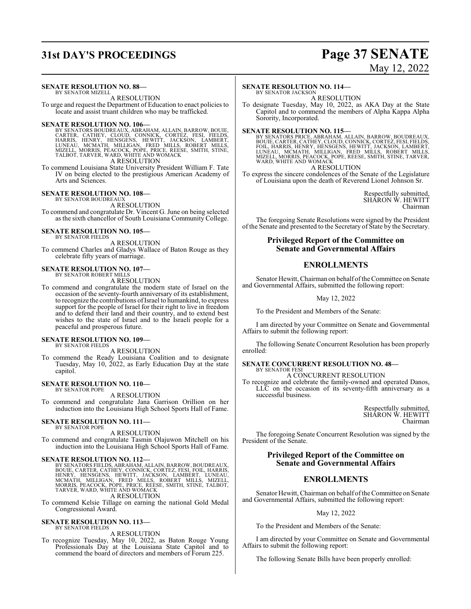## **31st DAY'S PROCEEDINGS Page 37 SENATE**

# May 12, 2022

### **SENATE RESOLUTION NO. 88—**

BY SENATOR MIZELL A RESOLUTION

To urge and request the Department of Education to enact policies to locate and assist truant children who may be trafficked.

SENATE RESOLUTION NO. 106—<br>BY SENATORS BOUDREAUX, ABRAHAM, ALLAIN, BARROW, BOUIE,<br>CARTER, CATHEY, CLOUD, CONNICK, CORTÉZ, FESI, FIELDS,<br>HARRIS, HENRY, HENSGENS, HEWITT, JACKSON, LAMBERT,<br>LUNEAU, MCMATH, MILLIGAN, FRED MILL A RESOLUTION

To commend Louisiana State University President William F. Tate IV on being elected to the prestigious American Academy of Arts and Sciences.

## **SENATE RESOLUTION NO. 108—** BY SENATOR BOUDREAUX

A RESOLUTION

To commend and congratulate Dr. Vincent G. June on being selected as the sixth chancellor of South Louisiana Community College.

#### **SENATE RESOLUTION NO. 105—** BY SENATOR FIELDS

A RESOLUTION

To commend Charles and Gladys Wallace of Baton Rouge as they celebrate fifty years of marriage.

## **SENATE RESOLUTION NO. 107—** BY SENATOR ROBERT MILLS

A RESOLUTION

To commend and congratulate the modern state of Israel on the occasion of the seventy-fourth anniversary of its establishment, to recognize the contributions ofIsrael to humankind, to express support for the people of Israel for their right to live in freedom and to defend their land and their country, and to extend best wishes to the state of Israel and to the Israeli people for a peaceful and prosperous future.

#### **SENATE RESOLUTION NO. 109—** BY SENATOR FIELDS

A RESOLUTION

To commend the Ready Louisiana Coalition and to designate Tuesday, May 10, 2022, as Early Education Day at the state capitol.

#### **SENATE RESOLUTION NO. 110—** BY SENATOR POPE

A RESOLUTION

To commend and congratulate Jana Garrison Orillion on her induction into the Louisiana High School Sports Hall of Fame.

#### **SENATE RESOLUTION NO. 111—** BY SENATOR POPE

A RESOLUTION

To commend and congratulate Tasmin Olajuwon Mitchell on his induction into the Louisiana High School Sports Hall of Fame.

**SENATE RESOLUTION NO. 112—**<br>BY SENATORS FIELDS, ABRAHAM, ALLAIN, BARROW, BOUDREAUX,<br>BOUIE, CARTER, CATHEY, CONNICK, CORTEZ, FESI, FOIL, HARRIS,<br>HENRY, HENSGENS, HEWITT, JACKSON, LAMBERT, LUNEAU,<br>MCMATH, MILLIGAN, FRED MIL A RESOLUTION

To commend Kelsie Tillage on earning the national Gold Medal Congressional Award.

#### **SENATE RESOLUTION NO. 113—** BY SENATOR FIELDS

A RESOLUTION

To recognize Tuesday, May 10, 2022, as Baton Rouge Young Professionals Day at the Louisiana State Capitol and to commend the board of directors and members of Forum 225.

#### **SENATE RESOLUTION NO. 114—**

BY SENATOR JACKSON A RESOLUTION

To designate Tuesday, May 10, 2022, as AKA Day at the State Capitol and to commend the members of Alpha Kappa Alpha Sorority, Incorporated.

SENATE RESOLUTION NO. 115—<br>BY SENATORS PRICE, ABRAHAM, ALLAIN, BARROW, BOUDREAUX,<br>BOUIE, CARTER, CATHEY, CLOUD, CONNICK, CORTEZ, FESI, FIELDS,<br>FOIL, HARRIS, HENRY, HENSGENS, HEWITT, JACKSON, LAMBERT,<br>LUNEAU, MCKIATH, MILLI WARD, WHITE AND WOMACK

A RESOLUTION

To express the sincere condolences of the Senate of the Legislature of Louisiana upon the death of Reverend Lionel Johnson Sr.

> Respectfully submitted, SHARON W. HEWITT Chairman

The foregoing Senate Resolutions were signed by the President of the Senate and presented to the Secretary of State by the Secretary.

### **Privileged Report of the Committee on Senate and Governmental Affairs**

## **ENROLLMENTS**

Senator Hewitt, Chairman on behalf of the Committee on Senate and Governmental Affairs, submitted the following report:

May 12, 2022

To the President and Members of the Senate:

I am directed by your Committee on Senate and Governmental Affairs to submit the following report:

The following Senate Concurrent Resolution has been properly enrolled:

#### **SENATE CONCURRENT RESOLUTION NO. 48—** BY SENATOR FESI

A CONCURRENT RESOLUTION

To recognize and celebrate the family-owned and operated Danos, LLC on the occasion of its seventy-fifth anniversary as a successful business.

> Respectfully submitted, SHARON W. HEWITT Chairman

The foregoing Senate Concurrent Resolution was signed by the President of the Senate.

## **Privileged Report of the Committee on Senate and Governmental Affairs**

## **ENROLLMENTS**

Senator Hewitt, Chairman on behalf of the Committee on Senate and Governmental Affairs, submitted the following report:

#### May 12, 2022

To the President and Members of the Senate:

I am directed by your Committee on Senate and Governmental Affairs to submit the following report:

The following Senate Bills have been properly enrolled: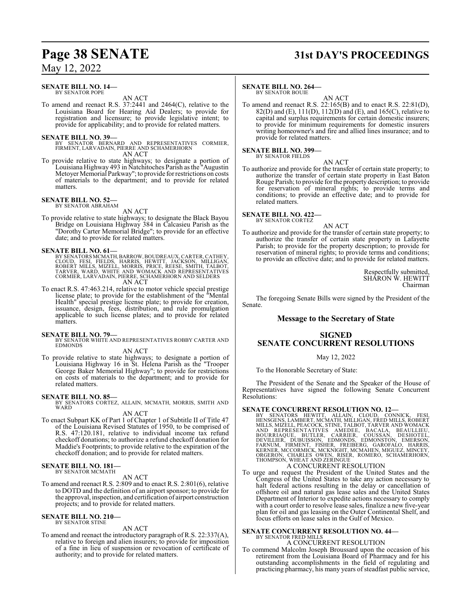## **Page 38 SENATE 31st DAY'S PROCEEDINGS**

## May 12, 2022

#### **SENATE BILL NO. 14—** BY SENATOR POPE

AN ACT

To amend and reenact R.S. 37:2441 and 2464(C), relative to the Louisiana Board for Hearing Aid Dealers; to provide for registration and licensure; to provide legislative intent; to provide for applicability; and to provide for related matters.

- **SENATE BILL NO. 39—**<br>BY SENATOR BERNARD AND REPRESENTATIVES CORMIER,<br>FIRMENT, LARVADAIN, PIERRE AND SCHAMERHORN AN ACT
- To provide relative to state highways; to designate a portion of Louisiana Highway 493 in Natchitoches Parish as the "Augustin Metoyer Memorial Parkway"; to provide for restrictions on costs of materials to the department; and to provide for related matters.

#### **SENATE BILL NO. 52—** BY SENATOR ABRAHAM

AN ACT

To provide relative to state highways; to designate the Black Bayou Bridge on Louisiana Highway 384 in Calcasieu Parish as the "Dorothy Carter Memorial Bridge"; to provide for an effective date; and to provide for related matters.

#### **SENATE BILL NO. 61—**

- BY SENATORSMCMATH,BARROW,BOUDREAUX,CARTER,CATHEY, CLOUD, FESI, FIELDS, HARRIS, HEWITT, JACKSON, MILLIGAN,<br>ROBERT MILLS, MIZELL, MORRIS, PRICE, REESE, SMITH, TALBOT,<br>TARVER, WARD, WHITE AND WOMACK AND REPRESENTATIVES<br>CORMIER, LARVADAIN, PIERRE, SCHAMERHORN AND SELDERS<br>AN A
- To enact R.S. 47:463.214, relative to motor vehicle special prestige license plate; to provide for the establishment of the "Mental Health" special prestige license plate; to provide for creation, issuance, design, fees, distribution, and rule promulgation applicable to such license plates; and to provide for related matters.

#### **SENATE BILL NO. 79—**

BY SENATOR WHITE AND REPRESENTATIVES ROBBY CARTER AND EDMONDS

#### AN ACT

To provide relative to state highways; to designate a portion of Louisiana Highway 16 in St. Helena Parish as the "Trooper George Baker Memorial Highway"; to provide for restrictions on costs of materials to the department; and to provide for related matters.

#### **SENATE BILL NO. 85—**

BY SENATORS CORTEZ, ALLAIN, MCMATH, MORRIS, SMITH AND WARD

#### AN ACT

To enact Subpart KK of Part 1 of Chapter 1 of Subtitle II of Title 47 of the Louisiana Revised Statutes of 1950, to be comprised of R.S. 47:120.181, relative to individual income tax refund checkoff donations; to authorize a refund checkoff donation for Maddie's Footprints; to provide relative to the expiration of the checkoff donation; and to provide for related matters.

#### **SENATE BILL NO. 181—** BY SENATOR MCMATH

AN ACT

To amend and reenact R.S. 2:809 and to enact R.S. 2:801(6), relative to DOTD and the definition of an airport sponsor; to provide for the approval, inspection, and certification of airport construction projects; and to provide for related matters.

#### **SENATE BILL NO. 210—** BY SENATOR STINE

#### AN ACT

To amend and reenact the introductory paragraph of R.S. 22:337(A), relative to foreign and alien insurers; to provide for imposition of a fine in lieu of suspension or revocation of certificate of authority; and to provide for related matters.

#### **SENATE BILL NO. 264—**

BY SENATOR BOUIE

AN ACT To amend and reenact R.S. 22:165(B) and to enact R.S. 22:81(D), 82(D) and (E),  $111(D)$ ,  $112(D)$  and (E), and  $165(C)$ , relative to capital and surplus requirements for certain domestic insurers; to provide for minimum requirements for domestic insurers writing homeowner's and fire and allied lines insurance; and to provide for related matters.

#### **SENATE BILL NO. 399—** BY SENATOR FIELDS

AN ACT

To authorize and provide for the transfer of certain state property; to authorize the transfer of certain state property in East Baton Rouge Parish; to provide for the property description; to provide for reservation of mineral rights; to provide terms and conditions; to provide an effective date; and to provide for related matters.

**SENATE BILL NO. 422—** BY SENATOR CORTEZ

AN ACT

To authorize and provide for the transfer of certain state property; to authorize the transfer of certain state property in Lafayette Parish; to provide for the property description; to provide for reservation of mineral rights; to provide terms and conditions; to provide an effective date; and to provide for related matters.

> Respectfully submitted, SHARON W. HEWITT Chairman

The foregoing Senate Bills were signed by the President of the Senate.

#### **Message to the Secretary of State**

## **SIGNED SENATE CONCURRENT RESOLUTIONS**

#### May 12, 2022

To the Honorable Secretary of State:

The President of the Senate and the Speaker of the House of Representatives have signed the following Senate Concurrent Resolutions:

#### **SENATE CONCURRENT RESOLUTION NO. 12—**

BY SENATORS HEWITT, ALLAIN, CLOUD, CONNICK, FESI,<br>HENSGENS,LAMBERT,MCMATH,MILLIGAN,FRED MILLS,ROBERT<br>MILLS,MIZELL,PEACOCK,STINE,TALBOT,TARVER AND WOMACK<br>AND REPRESENTATIVES AMEDEE, BACALA, BEAULLIEU,<br>BOURRIAQUE, BUTLER, CA

## A CONCURRENT RESOLUTION

To urge and request the President of the United States and the Congress of the United States to take any action necessary to halt federal actions resulting in the delay or cancellation of offshore oil and natural gas lease sales and the United States Department of Interior to expedite actions necessary to comply with a court order to resolve lease sales, finalize a new five-year plan for oil and gas leasing on the Outer Continental Shelf, and focus efforts on lease sales in the Gulf of Mexico.

## **SENATE CONCURRENT RESOLUTION NO. 44—**

BY SENATOR FRED MILLS A CONCURRENT RESOLUTION

To commend Malcolm Joseph Broussard upon the occasion of his retirement from the Louisiana Board of Pharmacy and for his outstanding accomplishments in the field of regulating and practicing pharmacy, his many years of steadfast public service,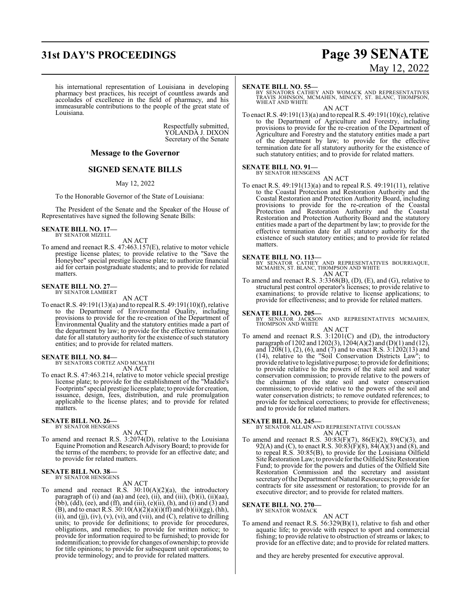## **31st DAY'S PROCEEDINGS Page 39 SENATE**

# May 12, 2022

his international representation of Louisiana in developing pharmacy best practices, his receipt of countless awards and accolades of excellence in the field of pharmacy, and his immeasurable contributions to the people of the great state of Louisiana.

> Respectfully submitted, YOLANDA J. DIXON Secretary of the Senate

### **Message to the Governor**

## **SIGNED SENATE BILLS**

May 12, 2022

To the Honorable Governor of the State of Louisiana:

The President of the Senate and the Speaker of the House of Representatives have signed the following Senate Bills:

**SENATE BILL NO. 17—** BY SENATOR MIZELL

AN ACT

To amend and reenact R.S. 47:463.157(E), relative to motor vehicle prestige license plates; to provide relative to the "Save the Honeybee" special prestige license plate; to authorize financial aid for certain postgraduate students; and to provide for related matters.

## **SENATE BILL NO. 27—** BY SENATOR LAMBERT

AN ACT

To enact R.S. 49:191(13)(a) and to repeal R.S. 49:191(10)(f), relative to the Department of Environmental Quality, including provisions to provide for the re-creation of the Department of Environmental Quality and the statutory entities made a part of the department by law; to provide for the effective termination date for all statutory authority for the existence of such statutory entities; and to provide for related matters.

#### **SENATE BILL NO. 84—**

BY SENATORS CORTEZ AND MCMATH AN ACT

To enact R.S. 47:463.214, relative to motor vehicle special prestige license plate; to provide for the establishment of the "Maddie's Footprints" special prestige license plate; to provide for creation, issuance, design, fees, distribution, and rule promulgation applicable to the license plates; and to provide for related matters.

## **SENATE BILL NO. 26—** BY SENATOR HENSGENS

AN ACT

To amend and reenact R.S. 3:2074(D), relative to the Louisiana Equine Promotion and Research Advisory Board; to provide for the terms of the members; to provide for an effective date; and to provide for related matters.

## **SENATE BILL NO. 38—** BY SENATOR HENSGENS

#### AN ACT

To amend and reenact R.S.  $30:10(A)(2)(a)$ , the introductory paragraph of (i) and (aa) and (ee), (ii), and (iii), (b)(i), (ii)(aa), (bb),  $(dd)$ , (ee), and (ff), and (iii),  $(e)$ (ii),  $(h)$ , and (i) and (3) and (B), and to enact R.S.  $30:10(A)(2)(a)(i)(ff)$  and (b)(ii)(gg), (hh),  $(ii)$ , and  $(ij)$ ,  $(iv)$ ,  $(v)$ ,  $(vi)$ , and  $(vii)$ , and  $(C)$ , relative to drilling units; to provide for definitions; to provide for procedures, obligations, and remedies; to provide for written notice; to provide for information required to be furnished; to provide for indemnification; to provide for changes ofownership; to provide for title opinions; to provide for subsequent unit operations; to provide terminology; and to provide for related matters.

#### **SENATE BILL NO. 55—**

BY SENATORS CATHEY AND WOMACK AND REPRESENTATIVES TRAVIS JOHNSON, MCMAHEN, MINCEY, ST. BLANC, THOMPSON, WHEAT AND WHITE

AN ACT To enact R.S. 49:191(13)(a) and to repeal R.S. 49:191(10)(c), relative to the Department of Agriculture and Forestry, including provisions to provide for the re-creation of the Department of Agriculture and Forestry and the statutory entities made a part of the department by law; to provide for the effective termination date for all statutory authority for the existence of such statutory entities; and to provide for related matters.

## **SENATE BILL NO. 91—** BY SENATOR HENSGENS

AN ACT

To enact R.S. 49:191(13)(a) and to repeal R.S. 49:191(11), relative to the Coastal Protection and Restoration Authority and the Coastal Restoration and Protection Authority Board, including provisions to provide for the re-creation of the Coastal Protection and Restoration Authority and the Coastal Restoration and Protection Authority Board and the statutory entities made a part of the department by law; to provide for the effective termination date for all statutory authority for the existence of such statutory entities; and to provide for related matters.

#### **SENATE BILL NO. 113—**

BY SENATOR CATHEY AND REPRESENTATIVES BOURRIAQUE, MCMAHEN, ST. BLANC, THOMPSON AND WHITE AN ACT

To amend and reenact R.S. 3:3368(B), (D), (E), and (G), relative to structural pest control operator's licenses; to provide relative to examinations; to provide relative to license applications; to provide for effectiveness; and to provide for related matters.

**SENATE BILL NO. 205—**<br>BY SENATOR JACKSON AND REPRESENTATIVES MCMAHEN,<br>THOMPSON AND WHITE

- AN ACT To amend and reenact R.S. 3:1201(C) and (D), the introductory paragraph of 1202 and 1202(3), 1204(A)(2) and (D)(1) and (12), and  $\overline{1208(1)}$ ,  $(2)$ ,  $(6)$ , and  $(7)$  and to enact R.S.  $3:1202(13)$  and
- (14), relative to the "Soil Conservation Districts Law"; to provide relative to legislative purpose; to provide for definitions; to provide relative to the powers of the state soil and water conservation commission; to provide relative to the powers of the chairman of the state soil and water conservation commission; to provide relative to the powers of the soil and water conservation districts; to remove outdated references; to provide for technical corrections; to provide for effectiveness; and to provide for related matters.

#### **SENATE BILL NO. 245—**

BY SENATOR ALLAIN AND REPRESENTATIVE COUSSAN AN ACT

To amend and reenact R.S. 30:83(F)(7), 86(E)(2), 89(C)(3), and 92(A) and (C), to enact R.S.  $30:83(F)(8)$ ,  $84(A)(3)$  and  $(8)$ , and to repeal R.S. 30:85(B), to provide for the Louisiana Oilfield Site Restoration Law; to provide for the Oilfield Site Restoration Fund; to provide for the powers and duties of the Oilfield Site Restoration Commission and the secretary and assistant secretary of the Department of Natural Resources; to provide for contracts for site assessment or restoration; to provide for an executive director; and to provide for related matters.

#### **SENATE BILL NO. 270—**

BY SENATOR WOMACK

AN ACT To amend and reenact R.S. 56:329(B)(1), relative to fish and other aquatic life; to provide with respect to sport and commercial fishing; to provide relative to obstruction of streams or lakes; to provide for an effective date; and to provide for related matters.

and they are hereby presented for executive approval.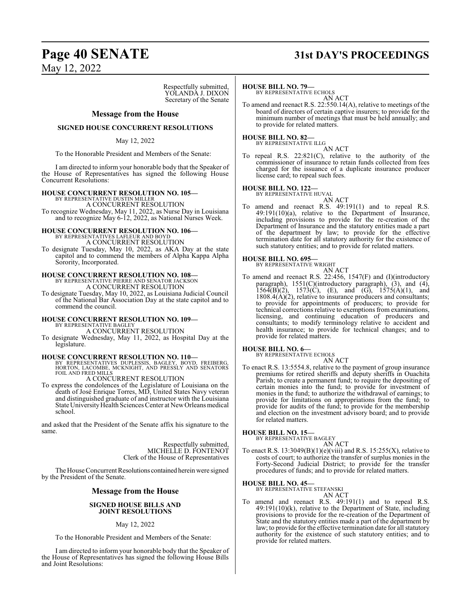## **Page 40 SENATE 31st DAY'S PROCEEDINGS**

May 12, 2022

Respectfully submitted, YOLANDA J. DIXON Secretary of the Senate

#### **Message from the House**

#### **SIGNED HOUSE CONCURRENT RESOLUTIONS**

#### May 12, 2022

To the Honorable President and Members of the Senate:

I am directed to inform your honorable body that the Speaker of the House of Representatives has signed the following House Concurrent Resolutions:

#### **HOUSE CONCURRENT RESOLUTION NO. 105—**

BY REPRESENTATIVE DUSTIN MILLER A CONCURRENT RESOLUTION

To recognize Wednesday, May 11, 2022, as Nurse Day in Louisiana and to recognize May 6-12, 2022, as National Nurses Week.

# **HOUSE CONCURRENT RESOLUTION NO. 106—**

BY REPRESENTATIVES LAFLEUR AND BOYD A CONCURRENT RESOLUTION

To designate Tuesday, May 10, 2022, as AKA Day at the state capitol and to commend the members of Alpha Kappa Alpha Sorority, Incorporated.

# **HOUSE CONCURRENT RESOLUTION NO. 108—** BY REPRESENTATIVE PIERRE AND SENATOR JACKSON A CONCURRENT RESOLUTION

To designate Tuesday, May 10, 2022, as Louisiana Judicial Council of the National Bar Association Day at the state capitol and to commend the council.

## **HOUSE CONCURRENT RESOLUTION NO. 109—** BY REPRESENTATIVE BAGLEY

A CONCURRENT RESOLUTION

To designate Wednesday, May 11, 2022, as Hospital Day at the legislature.

#### **HOUSE CONCURRENT RESOLUTION NO. 110—**

BY REPRESENTATIVES DUPLESSIS, BAGLEY, BOYD, FREIBERG, HORTON, LACOMBE, MCKNIGHT, AND PRESSLY AND SENATORS FOIL AND FRED MILLS

A CONCURRENT RESOLUTION

To express the condolences of the Legislature of Louisiana on the death of José Enrique Torres, MD, United States Navy veteran and distinguished graduate of and instructor with the Louisiana State University Health Sciences Center at New Orleans medical school.

and asked that the President of the Senate affix his signature to the same.

> Respectfully submitted, MICHELLE D. FONTENOT Clerk of the House of Representatives

The House Concurrent Resolutions contained herein were signed by the President of the Senate.

#### **Message from the House**

#### **SIGNED HOUSE BILLS AND JOINT RESOLUTIONS**

May 12, 2022

To the Honorable President and Members of the Senate:

I am directed to inform your honorable body that the Speaker of the House of Representatives has signed the following House Bills and Joint Resolutions:

#### **HOUSE BILL NO. 79—**

BY REPRESENTATIVE ECHOLS AN ACT

To amend and reenact R.S. 22:550.14(A), relative to meetings of the board of directors of certain captive insurers; to provide for the minimum number of meetings that must be held annually; and to provide for related matters.

#### **HOUSE BILL NO. 82—**

BY REPRESENTATIVE ILLG

AN ACT To repeal R.S. 22:821(C), relative to the authority of the commissioner of insurance to retain funds collected from fees charged for the issuance of a duplicate insurance producer license card; to repeal such fees.

#### **HOUSE BILL NO. 122—**

BY REPRESENTATIVE HUVAL

AN ACT To amend and reenact R.S. 49:191(1) and to repeal R.S.  $49:191(10)(a)$ , relative to the Department of Insurance, including provisions to provide for the re-creation of the Department of Insurance and the statutory entities made a part of the department by law; to provide for the effective termination date for all statutory authority for the existence of such statutory entities; and to provide for related matters.

#### **HOUSE BILL NO. 695—**

BY REPRESENTATIVE WRIGHT

AN ACT To amend and reenact R.S. 22:456, 1547(F) and (I)(introductory paragraph), 1551(C)(introductory paragraph), (3), and (4),  $156\overline{4(B)}(2)$ ,  $1573(\overline{C})$ , (E), and (G),  $1575(\overline{A})(1)$ , and  $1808.4(A)(2)$ , relative to insurance producers and consultants; to provide for appointments of producers; to provide for technical corrections relative to exemptions from examinations, licensing, and continuing education of producers and consultants; to modify terminology relative to accident and health insurance; to provide for technical changes; and to provide for related matters.

## **HOUSE BILL NO. 6—** BY REPRESENTATIVE ECHOLS

AN ACT

To enact R.S. 13:5554.8, relative to the payment of group insurance premiums for retired sheriffs and deputy sheriffs in Ouachita Parish; to create a permanent fund; to require the depositing of certain monies into the fund; to provide for investment of monies in the fund; to authorize the withdrawal of earnings; to provide for limitations on appropriations from the fund; to provide for audits of the fund; to provide for the membership and election on the investment advisory board; and to provide for related matters.

#### **HOUSE BILL NO. 15—**

BY REPRESENTATIVE BAGLEY AN ACT

$$
\mathbf{AN} \mathbf{A} \mathbf{C} \mathbf{I}
$$

To enact R.S.  $13:3049(B)(1)(e)(viii)$  and R.S.  $15:255(X)$ , relative to costs of court; to authorize the transfer of surplus monies in the Forty-Second Judicial District; to provide for the transfer procedures of funds; and to provide for related matters.

#### **HOUSE BILL NO. 45—**

BY REPRESENTATIVE STEFANSKI AN ACT

To amend and reenact R.S. 49:191(1) and to repeal R.S. 49:191(10)(k), relative to the Department of State, including provisions to provide for the re-creation of the Department of State and the statutory entities made a part of the department by law; to provide for the effective termination date for all statutory authority for the existence of such statutory entities; and to provide for related matters.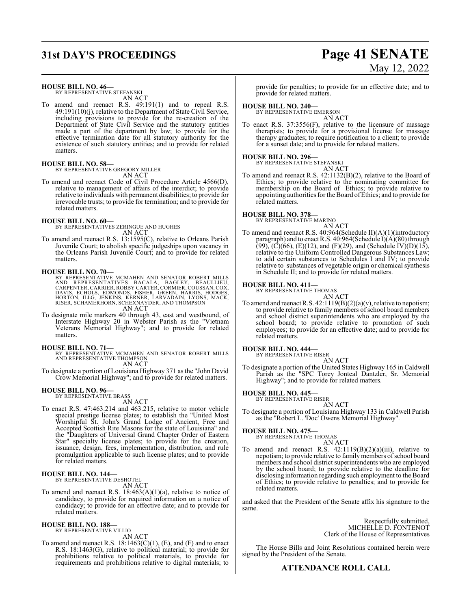# **31st DAY'S PROCEEDINGS Page 41 SENATE** May 12, 2022

**HOUSE BILL NO. 46—**

BY REPRESENTATIVE STEFANSKI AN ACT

To amend and reenact R.S. 49:191(1) and to repeal R.S. 49:191(10)(j), relative to the Department of State Civil Service, including provisions to provide for the re-creation of the Department of State Civil Service and the statutory entities made a part of the department by law; to provide for the effective termination date for all statutory authority for the existence of such statutory entities; and to provide for related matters.

### **HOUSE BILL NO. 58—**

BY REPRESENTATIVE GREGORY MILLER AN ACT

To amend and reenact Code of Civil Procedure Article 4566(D), relative to management of affairs of the interdict; to provide relative to individuals with permanent disabilities; to provide for irrevocable trusts; to provide for termination; and to provide for related matters.

#### **HOUSE BILL NO. 60—**

BY REPRESENTATIVES ZERINGUE AND HUGHES AN ACT

To amend and reenact R.S. 13:1595(C), relative to Orleans Parish Juvenile Court; to abolish specific judgeships upon vacancy in the Orleans Parish Juvenile Court; and to provide for related matters.

**HOUSE BILL NO. 70—**<br>BY REPRESENTATIVE MCMAHEN AND SENATOR ROBERT MILLS<br>AND REPRESENTATIVES BACALA, BAGLEY, BEAULLIEU,<br>CARPENTER, CARRIER, ROBBY CARTER, CORMIER, COUSSAN, COX,<br>DAVIS, ECHOLS, EDMONDS, FISHER, GREEN, HARRIS,

AN ACT

To designate mile markers 40 through 43, east and westbound, of Interstate Highway 20 in Webster Parish as the "Vietnam Veterans Memorial Highway"; and to provide for related matters.

- **HOUSE BILL NO. 71—** BY REPRESENTATIVE MCMAHEN AND SENATOR ROBERT MILLS AND REPRESENTATIVE THOMPSON AN ACT
- To designate a portion of Louisiana Highway 371 as the "John David Crow Memorial Highway"; and to provide for related matters.

#### **HOUSE BILL NO. 96—** BY REPRESENTATIVE BRASS

AN ACT

To enact R.S. 47:463.214 and 463.215, relative to motor vehicle special prestige license plates; to establish the "United Most Worshipful St. John's Grand Lodge of Ancient, Free and Accepted Scottish Rite Masons for the state of Louisiana" and the "Daughters of Universal Grand Chapter Order of Eastern Star" specialty license plates; to provide for the creation, issuance, design, fees, implementation, distribution, and rule promulgation applicable to such license plates; and to provide for related matters.

## **HOUSE BILL NO. 144—** BY REPRESENTATIVE DESHOTEL

- AN ACT
- To amend and reenact R.S. 18:463(A)(1)(a), relative to notice of candidacy, to provide for required information on a notice of candidacy; to provide for an effective date; and to provide for related matters.

## **HOUSE BILL NO. 188—** BY REPRESENTATIVE VILLIO

- AN ACT
- To amend and reenact R.S.  $18:1463(C)(1)$ , (E), and (F) and to enact R.S. 18:1463(G), relative to political material; to provide for prohibitions relative to political materials, to provide for requirements and prohibitions relative to digital materials; to

provide for penalties; to provide for an effective date; and to provide for related matters.

#### **HOUSE BILL NO. 240—**

BY REPRESENTATIVE EMERSON AN ACT

To enact R.S. 37:3556(F), relative to the licensure of massage therapists; to provide for a provisional license for massage therapy graduates; to require notification to a client; to provide for a sunset date; and to provide for related matters.

## **HOUSE BILL NO. 296—** BY REPRESENTATIVE STEFANSKI

AN ACT To amend and reenact R.S. 42:1132(B)(2), relative to the Board of Ethics; to provide relative to the nominating committee for membership on the Board of Ethics; to provide relative to appointing authorities for the Board ofEthics; and to provide for related matters.

**HOUSE BILL NO. 378—** BY REPRESENTATIVE MARINO AN ACT

To amend and reenact R.S. 40:964(Schedule II)(A)(1)(introductory paragraph) and to enact R.S. 40:964(Schedule I)(A)(80) through  $(99)$ ,  $(C)(66)$ ,  $(E)(12)$ , and  $(F)(29)$ , and  $(Schedule IV)(D)(15)$ , relative to the Uniform Controlled Dangerous Substances Law; to add certain substances to Schedules I and IV; to provide relative to substances of vegetable origin or chemical synthesis in Schedule II; and to provide for related matters.

**HOUSE BILL NO. 411—** BY REPRESENTATIVE THOMAS AN ACT

To amend and reenact R.S. 42:1119(B)(2)(a)(v), relative to nepotism; to provide relative to family members of school board members and school district superintendents who are employed by the school board; to provide relative to promotion of such employees; to provide for an effective date; and to provide for related matters.

#### **HOUSE BILL NO. 444—** BY REPRESENTATIVE RISER

AN ACT

To designate a portion of the United States Highway 165 in Caldwell Parish as the "SPC Torey Jonteal Dantzler, Sr. Memorial Highway"; and to provide for related matters.

#### **HOUSE BILL NO. 445—**

BY REPRESENTATIVE RISER

- AN ACT
- To designate a portion of Louisiana Highway 133 in Caldwell Parish as the "Robert L. 'Doc' Owens Memorial Highway".

## **HOUSE BILL NO. 475—** BY REPRESENTATIVE THOMAS

- AN ACT
- To amend and reenact R.S. 42:1119(B)(2)(a)(iii), relative to nepotism; to provide relative to family members of school board members and school district superintendents who are employed by the school board; to provide relative to the deadline for disclosing information regarding such employment to the Board of Ethics; to provide relative to penalties; and to provide for related matters.

and asked that the President of the Senate affix his signature to the same.

> Respectfully submitted, MICHELLE D. FONTENOT Clerk of the House of Representatives

The House Bills and Joint Resolutions contained herein were signed by the President of the Senate.

## **ATTENDANCE ROLL CALL**